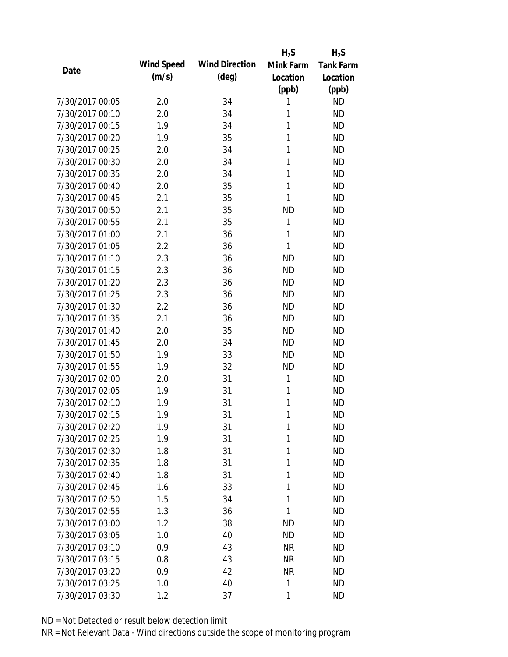|                 |            |                       | $H_2S$    | $H_2S$           |
|-----------------|------------|-----------------------|-----------|------------------|
| Date            | Wind Speed | <b>Wind Direction</b> | Mink Farm | <b>Tank Farm</b> |
|                 | (m/s)      | $(\text{deg})$        | Location  | Location         |
|                 |            |                       | (ppb)     | (ppb)            |
| 7/30/2017 00:05 | 2.0        | 34                    | 1         | <b>ND</b>        |
| 7/30/2017 00:10 | 2.0        | 34                    | 1         | <b>ND</b>        |
| 7/30/2017 00:15 | 1.9        | 34                    | 1         | <b>ND</b>        |
| 7/30/2017 00:20 | 1.9        | 35                    | 1         | <b>ND</b>        |
| 7/30/2017 00:25 | 2.0        | 34                    | 1         | <b>ND</b>        |
| 7/30/2017 00:30 | 2.0        | 34                    | 1         | <b>ND</b>        |
| 7/30/2017 00:35 | 2.0        | 34                    | 1         | <b>ND</b>        |
| 7/30/2017 00:40 | 2.0        | 35                    | 1         | <b>ND</b>        |
| 7/30/2017 00:45 | 2.1        | 35                    | 1         | <b>ND</b>        |
| 7/30/2017 00:50 | 2.1        | 35                    | <b>ND</b> | <b>ND</b>        |
| 7/30/2017 00:55 | 2.1        | 35                    | 1         | <b>ND</b>        |
| 7/30/2017 01:00 | 2.1        | 36                    | 1         | <b>ND</b>        |
| 7/30/2017 01:05 | 2.2        | 36                    | 1         | <b>ND</b>        |
| 7/30/2017 01:10 | 2.3        | 36                    | <b>ND</b> | <b>ND</b>        |
| 7/30/2017 01:15 | 2.3        | 36                    | <b>ND</b> | <b>ND</b>        |
| 7/30/2017 01:20 | 2.3        | 36                    | <b>ND</b> | <b>ND</b>        |
| 7/30/2017 01:25 | 2.3        | 36                    | <b>ND</b> | <b>ND</b>        |
| 7/30/2017 01:30 | 2.2        | 36                    | <b>ND</b> | <b>ND</b>        |
| 7/30/2017 01:35 | 2.1        | 36                    | <b>ND</b> | <b>ND</b>        |
| 7/30/2017 01:40 | 2.0        | 35                    | <b>ND</b> | <b>ND</b>        |
| 7/30/2017 01:45 | 2.0        | 34                    | <b>ND</b> | <b>ND</b>        |
| 7/30/2017 01:50 | 1.9        | 33                    | <b>ND</b> | <b>ND</b>        |
| 7/30/2017 01:55 | 1.9        | 32                    | <b>ND</b> | <b>ND</b>        |
| 7/30/2017 02:00 | 2.0        | 31                    | 1         | <b>ND</b>        |
| 7/30/2017 02:05 | 1.9        | 31                    | 1         | <b>ND</b>        |
| 7/30/2017 02:10 | 1.9        | 31                    | 1         | <b>ND</b>        |
| 7/30/2017 02:15 | 1.9        | 31                    | 1         | <b>ND</b>        |
| 7/30/2017 02:20 | 1.9        | 31                    | 1         | <b>ND</b>        |
| 7/30/2017 02:25 | 1.9        | 31                    | 1         | <b>ND</b>        |
| 7/30/2017 02:30 | 1.8        | 31                    | 1         | <b>ND</b>        |
| 7/30/2017 02:35 | 1.8        | 31                    | 1         | <b>ND</b>        |
| 7/30/2017 02:40 | 1.8        | 31                    | 1         | <b>ND</b>        |
| 7/30/2017 02:45 | 1.6        | 33                    | 1         | <b>ND</b>        |
| 7/30/2017 02:50 | 1.5        | 34                    | 1         | <b>ND</b>        |
| 7/30/2017 02:55 | 1.3        | 36                    | 1         | <b>ND</b>        |
| 7/30/2017 03:00 | 1.2        | 38                    | <b>ND</b> | <b>ND</b>        |
| 7/30/2017 03:05 | 1.0        | 40                    | <b>ND</b> | <b>ND</b>        |
| 7/30/2017 03:10 | 0.9        | 43                    | <b>NR</b> | <b>ND</b>        |
| 7/30/2017 03:15 | 0.8        | 43                    | <b>NR</b> | <b>ND</b>        |
| 7/30/2017 03:20 | 0.9        | 42                    | <b>NR</b> | <b>ND</b>        |
| 7/30/2017 03:25 | 1.0        | 40                    | 1         | <b>ND</b>        |
| 7/30/2017 03:30 | 1.2        | 37                    | 1         | <b>ND</b>        |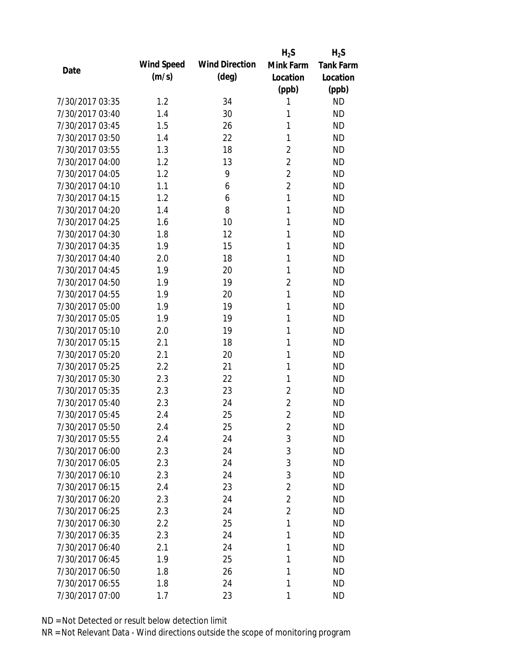|                 |            |                       | $H_2S$         | $H_2S$           |
|-----------------|------------|-----------------------|----------------|------------------|
| Date            | Wind Speed | <b>Wind Direction</b> | Mink Farm      | <b>Tank Farm</b> |
|                 | (m/s)      | (deg)                 | Location       | Location         |
|                 |            |                       | (ppb)          | (ppb)            |
| 7/30/2017 03:35 | 1.2        | 34                    | 1              | <b>ND</b>        |
| 7/30/2017 03:40 | 1.4        | 30                    | 1              | <b>ND</b>        |
| 7/30/2017 03:45 | 1.5        | 26                    | 1              | <b>ND</b>        |
| 7/30/2017 03:50 | 1.4        | 22                    | 1              | <b>ND</b>        |
| 7/30/2017 03:55 | 1.3        | 18                    | $\overline{2}$ | <b>ND</b>        |
| 7/30/2017 04:00 | 1.2        | 13                    | $\overline{2}$ | <b>ND</b>        |
| 7/30/2017 04:05 | 1.2        | 9                     | $\overline{2}$ | <b>ND</b>        |
| 7/30/2017 04:10 | 1.1        | 6                     | $\overline{2}$ | <b>ND</b>        |
| 7/30/2017 04:15 | 1.2        | 6                     | 1              | <b>ND</b>        |
| 7/30/2017 04:20 | 1.4        | 8                     | 1              | <b>ND</b>        |
| 7/30/2017 04:25 | 1.6        | 10                    | 1              | <b>ND</b>        |
| 7/30/2017 04:30 | 1.8        | 12                    | 1              | <b>ND</b>        |
| 7/30/2017 04:35 | 1.9        | 15                    | 1              | <b>ND</b>        |
| 7/30/2017 04:40 | 2.0        | 18                    | 1              | <b>ND</b>        |
| 7/30/2017 04:45 | 1.9        | 20                    | 1              | <b>ND</b>        |
| 7/30/2017 04:50 | 1.9        | 19                    | $\overline{2}$ | <b>ND</b>        |
| 7/30/2017 04:55 | 1.9        | 20                    | 1              | <b>ND</b>        |
| 7/30/2017 05:00 | 1.9        | 19                    | 1              | <b>ND</b>        |
| 7/30/2017 05:05 | 1.9        | 19                    | 1              | <b>ND</b>        |
| 7/30/2017 05:10 | 2.0        | 19                    | 1              | <b>ND</b>        |
| 7/30/2017 05:15 | 2.1        | 18                    | 1              | <b>ND</b>        |
| 7/30/2017 05:20 | 2.1        | 20                    | 1              | <b>ND</b>        |
| 7/30/2017 05:25 | 2.2        | 21                    | 1              | <b>ND</b>        |
| 7/30/2017 05:30 | 2.3        | 22                    | 1              | <b>ND</b>        |
| 7/30/2017 05:35 | 2.3        | 23                    | $\overline{2}$ | <b>ND</b>        |
| 7/30/2017 05:40 | 2.3        | 24                    | $\overline{2}$ | <b>ND</b>        |
| 7/30/2017 05:45 | 2.4        | 25                    | $\overline{2}$ | <b>ND</b>        |
| 7/30/2017 05:50 | 2.4        | 25                    | $\overline{2}$ | <b>ND</b>        |
| 7/30/2017 05:55 | 2.4        | 24                    | 3              | <b>ND</b>        |
| 7/30/2017 06:00 | 2.3        | 24                    | 3              | <b>ND</b>        |
| 7/30/2017 06:05 | 2.3        | 24                    | 3              | <b>ND</b>        |
| 7/30/2017 06:10 | 2.3        | 24                    | 3              | <b>ND</b>        |
| 7/30/2017 06:15 | 2.4        | 23                    | $\overline{2}$ | <b>ND</b>        |
| 7/30/2017 06:20 | 2.3        | 24                    | $\overline{2}$ | <b>ND</b>        |
| 7/30/2017 06:25 | 2.3        | 24                    | $\overline{2}$ | <b>ND</b>        |
| 7/30/2017 06:30 | 2.2        | 25                    | 1              | <b>ND</b>        |
| 7/30/2017 06:35 | 2.3        | 24                    | 1              | <b>ND</b>        |
| 7/30/2017 06:40 | 2.1        | 24                    | 1              | <b>ND</b>        |
| 7/30/2017 06:45 | 1.9        | 25                    | 1              | <b>ND</b>        |
| 7/30/2017 06:50 | 1.8        | 26                    | 1              | <b>ND</b>        |
| 7/30/2017 06:55 | 1.8        | 24                    | 1              | <b>ND</b>        |
| 7/30/2017 07:00 | 1.7        | 23                    | 1              | <b>ND</b>        |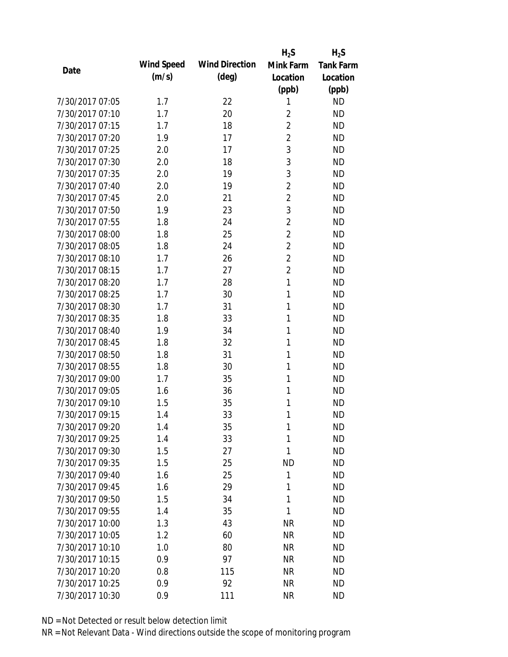|                 |            |                       | $H_2S$         | $H_2S$           |
|-----------------|------------|-----------------------|----------------|------------------|
| Date            | Wind Speed | <b>Wind Direction</b> | Mink Farm      | <b>Tank Farm</b> |
|                 | (m/s)      | $(\text{deg})$        | Location       | Location         |
|                 |            |                       | (ppb)          | (ppb)            |
| 7/30/2017 07:05 | 1.7        | 22                    | 1              | <b>ND</b>        |
| 7/30/2017 07:10 | 1.7        | 20                    | $\overline{2}$ | <b>ND</b>        |
| 7/30/2017 07:15 | 1.7        | 18                    | $\overline{2}$ | <b>ND</b>        |
| 7/30/2017 07:20 | 1.9        | 17                    | $\overline{2}$ | <b>ND</b>        |
| 7/30/2017 07:25 | 2.0        | 17                    | 3              | <b>ND</b>        |
| 7/30/2017 07:30 | 2.0        | 18                    | 3              | <b>ND</b>        |
| 7/30/2017 07:35 | 2.0        | 19                    | 3              | <b>ND</b>        |
| 7/30/2017 07:40 | 2.0        | 19                    | $\overline{2}$ | <b>ND</b>        |
| 7/30/2017 07:45 | 2.0        | 21                    | $\overline{2}$ | <b>ND</b>        |
| 7/30/2017 07:50 | 1.9        | 23                    | 3              | <b>ND</b>        |
| 7/30/2017 07:55 | 1.8        | 24                    | $\overline{2}$ | <b>ND</b>        |
| 7/30/2017 08:00 | 1.8        | 25                    | $\overline{2}$ | <b>ND</b>        |
| 7/30/2017 08:05 | 1.8        | 24                    | $\overline{2}$ | <b>ND</b>        |
| 7/30/2017 08:10 | 1.7        | 26                    | $\overline{2}$ | <b>ND</b>        |
| 7/30/2017 08:15 | 1.7        | 27                    | $\overline{2}$ | <b>ND</b>        |
| 7/30/2017 08:20 | 1.7        | 28                    | 1              | <b>ND</b>        |
| 7/30/2017 08:25 | 1.7        | 30                    | 1              | <b>ND</b>        |
| 7/30/2017 08:30 | 1.7        | 31                    | 1              | <b>ND</b>        |
| 7/30/2017 08:35 | 1.8        | 33                    | 1              | <b>ND</b>        |
| 7/30/2017 08:40 | 1.9        | 34                    | 1              | <b>ND</b>        |
| 7/30/2017 08:45 | 1.8        | 32                    | 1              | <b>ND</b>        |
| 7/30/2017 08:50 | 1.8        | 31                    | 1              | <b>ND</b>        |
| 7/30/2017 08:55 | 1.8        | 30                    | 1              | <b>ND</b>        |
| 7/30/2017 09:00 | 1.7        | 35                    | 1              | <b>ND</b>        |
| 7/30/2017 09:05 | 1.6        | 36                    | 1              | <b>ND</b>        |
| 7/30/2017 09:10 | 1.5        | 35                    | 1              | <b>ND</b>        |
| 7/30/2017 09:15 | 1.4        | 33                    | 1              | <b>ND</b>        |
| 7/30/2017 09:20 | 1.4        | 35                    | 1              | <b>ND</b>        |
| 7/30/2017 09:25 | 1.4        | 33                    | 1              | <b>ND</b>        |
| 7/30/2017 09:30 | 1.5        | 27                    | 1              | <b>ND</b>        |
| 7/30/2017 09:35 | 1.5        | 25                    | <b>ND</b>      | <b>ND</b>        |
| 7/30/2017 09:40 | 1.6        | 25                    | 1              | <b>ND</b>        |
| 7/30/2017 09:45 | 1.6        | 29                    | 1              | <b>ND</b>        |
| 7/30/2017 09:50 | 1.5        | 34                    | 1              | <b>ND</b>        |
| 7/30/2017 09:55 | 1.4        | 35                    | 1              | <b>ND</b>        |
| 7/30/2017 10:00 | 1.3        | 43                    | <b>NR</b>      | <b>ND</b>        |
| 7/30/2017 10:05 | 1.2        | 60                    | <b>NR</b>      | <b>ND</b>        |
| 7/30/2017 10:10 | 1.0        | 80                    | NR             | <b>ND</b>        |
| 7/30/2017 10:15 | 0.9        | 97                    | <b>NR</b>      | <b>ND</b>        |
| 7/30/2017 10:20 | 0.8        | 115                   | <b>NR</b>      | <b>ND</b>        |
| 7/30/2017 10:25 | 0.9        | 92                    | <b>NR</b>      | <b>ND</b>        |
| 7/30/2017 10:30 | 0.9        | 111                   | <b>NR</b>      | <b>ND</b>        |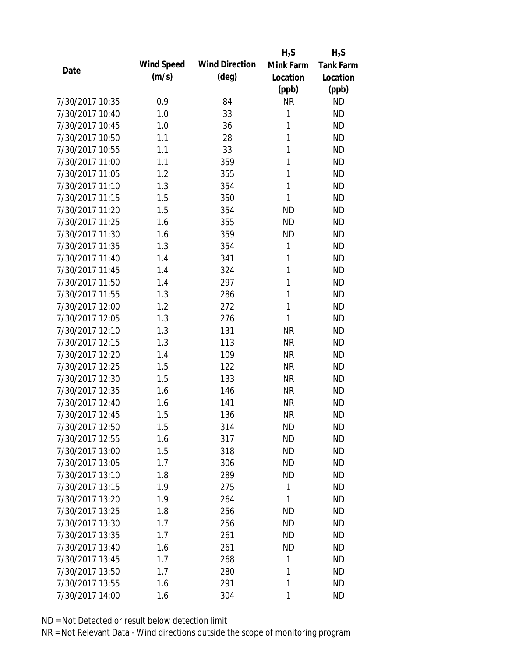|                 |            |                       | $H_2S$    | $H_2S$           |
|-----------------|------------|-----------------------|-----------|------------------|
| Date            | Wind Speed | <b>Wind Direction</b> | Mink Farm | <b>Tank Farm</b> |
|                 | (m/s)      | $(\text{deg})$        | Location  | Location         |
|                 |            |                       | (ppb)     | (ppb)            |
| 7/30/2017 10:35 | 0.9        | 84                    | <b>NR</b> | <b>ND</b>        |
| 7/30/2017 10:40 | 1.0        | 33                    | 1         | <b>ND</b>        |
| 7/30/2017 10:45 | 1.0        | 36                    | 1         | <b>ND</b>        |
| 7/30/2017 10:50 | 1.1        | 28                    | 1         | <b>ND</b>        |
| 7/30/2017 10:55 | 1.1        | 33                    | 1         | <b>ND</b>        |
| 7/30/2017 11:00 | 1.1        | 359                   | 1         | <b>ND</b>        |
| 7/30/2017 11:05 | 1.2        | 355                   | 1         | <b>ND</b>        |
| 7/30/2017 11:10 | 1.3        | 354                   | 1         | <b>ND</b>        |
| 7/30/2017 11:15 | 1.5        | 350                   | 1         | <b>ND</b>        |
| 7/30/2017 11:20 | 1.5        | 354                   | <b>ND</b> | <b>ND</b>        |
| 7/30/2017 11:25 | 1.6        | 355                   | <b>ND</b> | <b>ND</b>        |
| 7/30/2017 11:30 | 1.6        | 359                   | <b>ND</b> | <b>ND</b>        |
| 7/30/2017 11:35 | 1.3        | 354                   | 1         | <b>ND</b>        |
| 7/30/2017 11:40 | 1.4        | 341                   | 1         | <b>ND</b>        |
| 7/30/2017 11:45 | 1.4        | 324                   | 1         | <b>ND</b>        |
| 7/30/2017 11:50 | 1.4        | 297                   | 1         | <b>ND</b>        |
| 7/30/2017 11:55 | 1.3        | 286                   | 1         | <b>ND</b>        |
| 7/30/2017 12:00 | 1.2        | 272                   | 1         | <b>ND</b>        |
| 7/30/2017 12:05 | 1.3        | 276                   | 1         | <b>ND</b>        |
| 7/30/2017 12:10 | 1.3        | 131                   | <b>NR</b> | <b>ND</b>        |
| 7/30/2017 12:15 | 1.3        | 113                   | <b>NR</b> | <b>ND</b>        |
| 7/30/2017 12:20 | 1.4        | 109                   | <b>NR</b> | <b>ND</b>        |
| 7/30/2017 12:25 | 1.5        | 122                   | <b>NR</b> | <b>ND</b>        |
| 7/30/2017 12:30 | 1.5        | 133                   | <b>NR</b> | <b>ND</b>        |
| 7/30/2017 12:35 | 1.6        | 146                   | <b>NR</b> | <b>ND</b>        |
| 7/30/2017 12:40 | 1.6        | 141                   | <b>NR</b> | <b>ND</b>        |
| 7/30/2017 12:45 | 1.5        | 136                   | <b>NR</b> | <b>ND</b>        |
| 7/30/2017 12:50 | 1.5        | 314                   | <b>ND</b> | <b>ND</b>        |
| 7/30/2017 12:55 | 1.6        | 317                   | <b>ND</b> | <b>ND</b>        |
| 7/30/2017 13:00 | 1.5        | 318                   | <b>ND</b> | <b>ND</b>        |
| 7/30/2017 13:05 | 1.7        | 306                   | <b>ND</b> | <b>ND</b>        |
| 7/30/2017 13:10 | 1.8        | 289                   | <b>ND</b> | <b>ND</b>        |
| 7/30/2017 13:15 | 1.9        | 275                   | 1         | <b>ND</b>        |
| 7/30/2017 13:20 | 1.9        | 264                   | 1         | <b>ND</b>        |
| 7/30/2017 13:25 | 1.8        | 256                   | ND        | <b>ND</b>        |
| 7/30/2017 13:30 | 1.7        | 256                   | <b>ND</b> | <b>ND</b>        |
| 7/30/2017 13:35 | 1.7        | 261                   | <b>ND</b> | <b>ND</b>        |
| 7/30/2017 13:40 | 1.6        | 261                   | <b>ND</b> | <b>ND</b>        |
| 7/30/2017 13:45 | 1.7        | 268                   | 1         | <b>ND</b>        |
| 7/30/2017 13:50 | 1.7        | 280                   | 1         | <b>ND</b>        |
| 7/30/2017 13:55 | 1.6        | 291                   | 1         | <b>ND</b>        |
| 7/30/2017 14:00 | 1.6        | 304                   | 1         | <b>ND</b>        |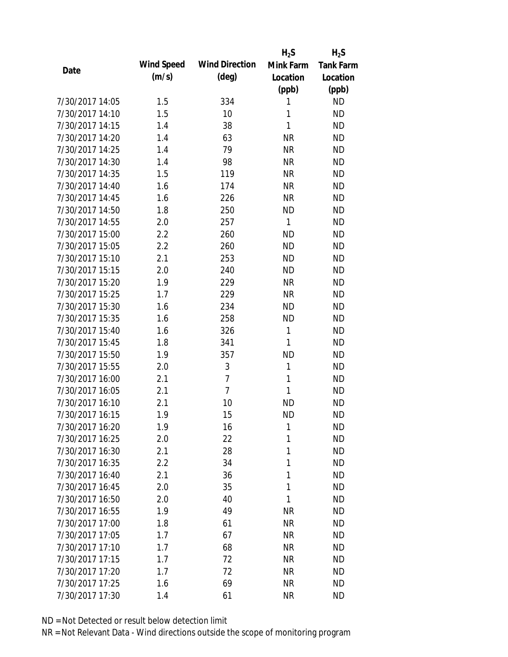|                 |            |                       | $H_2S$    | $H_2S$           |
|-----------------|------------|-----------------------|-----------|------------------|
| Date            | Wind Speed | <b>Wind Direction</b> | Mink Farm | <b>Tank Farm</b> |
|                 | (m/s)      | $(\text{deg})$        | Location  | Location         |
|                 |            |                       | (ppb)     | (ppb)            |
| 7/30/2017 14:05 | 1.5        | 334                   | 1         | <b>ND</b>        |
| 7/30/2017 14:10 | 1.5        | 10                    | 1         | <b>ND</b>        |
| 7/30/2017 14:15 | 1.4        | 38                    | 1         | <b>ND</b>        |
| 7/30/2017 14:20 | 1.4        | 63                    | <b>NR</b> | <b>ND</b>        |
| 7/30/2017 14:25 | 1.4        | 79                    | <b>NR</b> | <b>ND</b>        |
| 7/30/2017 14:30 | 1.4        | 98                    | <b>NR</b> | <b>ND</b>        |
| 7/30/2017 14:35 | 1.5        | 119                   | <b>NR</b> | <b>ND</b>        |
| 7/30/2017 14:40 | 1.6        | 174                   | <b>NR</b> | <b>ND</b>        |
| 7/30/2017 14:45 | 1.6        | 226                   | <b>NR</b> | <b>ND</b>        |
| 7/30/2017 14:50 | 1.8        | 250                   | <b>ND</b> | <b>ND</b>        |
| 7/30/2017 14:55 | 2.0        | 257                   | 1         | <b>ND</b>        |
| 7/30/2017 15:00 | 2.2        | 260                   | <b>ND</b> | <b>ND</b>        |
| 7/30/2017 15:05 | 2.2        | 260                   | <b>ND</b> | <b>ND</b>        |
| 7/30/2017 15:10 | 2.1        | 253                   | <b>ND</b> | <b>ND</b>        |
| 7/30/2017 15:15 | 2.0        | 240                   | <b>ND</b> | <b>ND</b>        |
| 7/30/2017 15:20 | 1.9        | 229                   | <b>NR</b> | <b>ND</b>        |
| 7/30/2017 15:25 | 1.7        | 229                   | <b>NR</b> | <b>ND</b>        |
| 7/30/2017 15:30 | 1.6        | 234                   | <b>ND</b> | <b>ND</b>        |
| 7/30/2017 15:35 | 1.6        | 258                   | <b>ND</b> | <b>ND</b>        |
| 7/30/2017 15:40 | 1.6        | 326                   | 1         | <b>ND</b>        |
| 7/30/2017 15:45 | 1.8        | 341                   | 1         | <b>ND</b>        |
| 7/30/2017 15:50 | 1.9        | 357                   | <b>ND</b> | <b>ND</b>        |
| 7/30/2017 15:55 | 2.0        | $\mathfrak{Z}$        | 1         | <b>ND</b>        |
| 7/30/2017 16:00 | 2.1        | $\overline{7}$        | 1         | <b>ND</b>        |
| 7/30/2017 16:05 | 2.1        | $\overline{7}$        | 1         | <b>ND</b>        |
| 7/30/2017 16:10 | 2.1        | 10                    | <b>ND</b> | <b>ND</b>        |
| 7/30/2017 16:15 | 1.9        | 15                    | <b>ND</b> | <b>ND</b>        |
| 7/30/2017 16:20 | 1.9        | 16                    | 1         | <b>ND</b>        |
| 7/30/2017 16:25 | 2.0        | 22                    | 1         | <b>ND</b>        |
| 7/30/2017 16:30 | 2.1        | 28                    | 1         | <b>ND</b>        |
| 7/30/2017 16:35 | 2.2        | 34                    | 1         | <b>ND</b>        |
| 7/30/2017 16:40 | 2.1        | 36                    | 1         | <b>ND</b>        |
| 7/30/2017 16:45 | 2.0        | 35                    | 1         | <b>ND</b>        |
| 7/30/2017 16:50 | 2.0        | 40                    | 1         | <b>ND</b>        |
| 7/30/2017 16:55 | 1.9        | 49                    | <b>NR</b> | <b>ND</b>        |
| 7/30/2017 17:00 | 1.8        | 61                    | <b>NR</b> | <b>ND</b>        |
| 7/30/2017 17:05 | 1.7        | 67                    | <b>NR</b> | <b>ND</b>        |
| 7/30/2017 17:10 | 1.7        | 68                    | <b>NR</b> | <b>ND</b>        |
| 7/30/2017 17:15 | 1.7        | 72                    | <b>NR</b> | <b>ND</b>        |
| 7/30/2017 17:20 | 1.7        | 72                    | NR        | <b>ND</b>        |
| 7/30/2017 17:25 | 1.6        | 69                    | <b>NR</b> | <b>ND</b>        |
| 7/30/2017 17:30 | 1.4        | 61                    | <b>NR</b> | <b>ND</b>        |
|                 |            |                       |           |                  |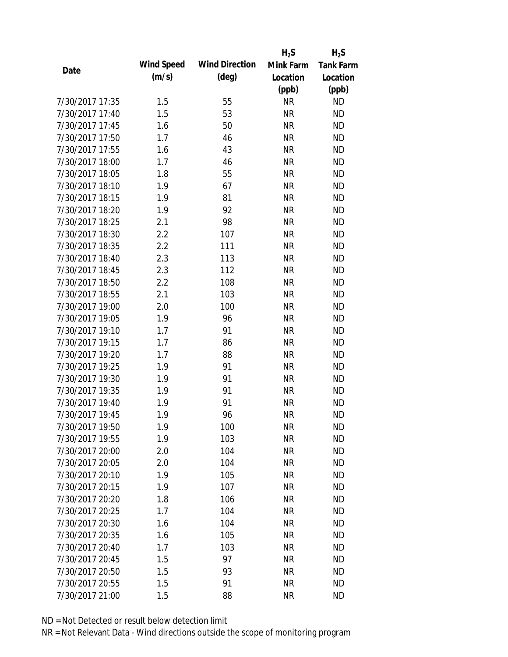|                 |                   |                       | $H_2S$    | $H_2S$           |
|-----------------|-------------------|-----------------------|-----------|------------------|
| Date            | <b>Wind Speed</b> | <b>Wind Direction</b> | Mink Farm | <b>Tank Farm</b> |
|                 | (m/s)             | $(\text{deg})$        | Location  | Location         |
|                 |                   |                       | (ppb)     | (ppb)            |
| 7/30/2017 17:35 | 1.5               | 55                    | <b>NR</b> | <b>ND</b>        |
| 7/30/2017 17:40 | 1.5               | 53                    | <b>NR</b> | <b>ND</b>        |
| 7/30/2017 17:45 | 1.6               | 50                    | <b>NR</b> | <b>ND</b>        |
| 7/30/2017 17:50 | 1.7               | 46                    | <b>NR</b> | <b>ND</b>        |
| 7/30/2017 17:55 | 1.6               | 43                    | <b>NR</b> | <b>ND</b>        |
| 7/30/2017 18:00 | 1.7               | 46                    | <b>NR</b> | <b>ND</b>        |
| 7/30/2017 18:05 | 1.8               | 55                    | <b>NR</b> | <b>ND</b>        |
| 7/30/2017 18:10 | 1.9               | 67                    | <b>NR</b> | <b>ND</b>        |
| 7/30/2017 18:15 | 1.9               | 81                    | <b>NR</b> | <b>ND</b>        |
| 7/30/2017 18:20 | 1.9               | 92                    | <b>NR</b> | <b>ND</b>        |
| 7/30/2017 18:25 | 2.1               | 98                    | <b>NR</b> | <b>ND</b>        |
| 7/30/2017 18:30 | 2.2               | 107                   | <b>NR</b> | <b>ND</b>        |
| 7/30/2017 18:35 | 2.2               | 111                   | <b>NR</b> | <b>ND</b>        |
| 7/30/2017 18:40 | 2.3               | 113                   | <b>NR</b> | <b>ND</b>        |
| 7/30/2017 18:45 | 2.3               | 112                   | <b>NR</b> | <b>ND</b>        |
| 7/30/2017 18:50 | 2.2               | 108                   | <b>NR</b> | <b>ND</b>        |
| 7/30/2017 18:55 | 2.1               | 103                   | <b>NR</b> | <b>ND</b>        |
| 7/30/2017 19:00 | 2.0               | 100                   | <b>NR</b> | <b>ND</b>        |
| 7/30/2017 19:05 | 1.9               | 96                    | <b>NR</b> | <b>ND</b>        |
| 7/30/2017 19:10 | 1.7               | 91                    | <b>NR</b> | <b>ND</b>        |
| 7/30/2017 19:15 | 1.7               | 86                    | <b>NR</b> | <b>ND</b>        |
| 7/30/2017 19:20 | 1.7               | 88                    | <b>NR</b> | <b>ND</b>        |
| 7/30/2017 19:25 | 1.9               | 91                    | <b>NR</b> | <b>ND</b>        |
| 7/30/2017 19:30 | 1.9               | 91                    | <b>NR</b> | <b>ND</b>        |
| 7/30/2017 19:35 | 1.9               | 91                    | <b>NR</b> | <b>ND</b>        |
| 7/30/2017 19:40 | 1.9               | 91                    | <b>NR</b> | <b>ND</b>        |
| 7/30/2017 19:45 | 1.9               | 96                    | <b>NR</b> | <b>ND</b>        |
| 7/30/2017 19:50 | 1.9               | 100                   | <b>NR</b> | ND               |
| 7/30/2017 19:55 | 1.9               | 103                   | <b>NR</b> | <b>ND</b>        |
| 7/30/2017 20:00 | 2.0               | 104                   | <b>NR</b> | <b>ND</b>        |
| 7/30/2017 20:05 | 2.0               | 104                   | <b>NR</b> | <b>ND</b>        |
| 7/30/2017 20:10 | 1.9               | 105                   | <b>NR</b> | <b>ND</b>        |
| 7/30/2017 20:15 | 1.9               | 107                   | <b>NR</b> | <b>ND</b>        |
| 7/30/2017 20:20 | 1.8               | 106                   | <b>NR</b> | <b>ND</b>        |
| 7/30/2017 20:25 | 1.7               | 104                   | <b>NR</b> | <b>ND</b>        |
| 7/30/2017 20:30 | 1.6               | 104                   | <b>NR</b> | <b>ND</b>        |
| 7/30/2017 20:35 | 1.6               | 105                   | <b>NR</b> | <b>ND</b>        |
| 7/30/2017 20:40 | 1.7               | 103                   | <b>NR</b> | <b>ND</b>        |
| 7/30/2017 20:45 | 1.5               | 97                    | <b>NR</b> | <b>ND</b>        |
| 7/30/2017 20:50 | 1.5               | 93                    | <b>NR</b> | <b>ND</b>        |
| 7/30/2017 20:55 | 1.5               | 91                    | <b>NR</b> | <b>ND</b>        |
|                 |                   |                       |           |                  |
| 7/30/2017 21:00 | 1.5               | 88                    | <b>NR</b> | <b>ND</b>        |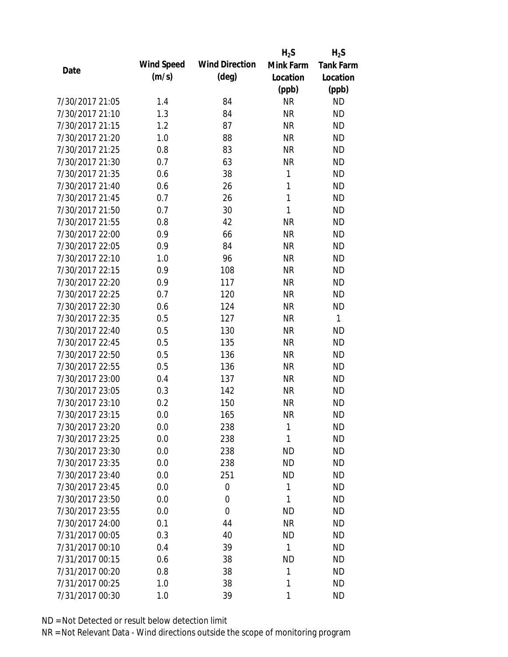|                 |                   |                       | $H_2S$    | $H_2S$           |
|-----------------|-------------------|-----------------------|-----------|------------------|
| Date            | <b>Wind Speed</b> | <b>Wind Direction</b> | Mink Farm | <b>Tank Farm</b> |
|                 | (m/s)             | $(\text{deg})$        | Location  | Location         |
|                 |                   |                       | (ppb)     | (ppb)            |
| 7/30/2017 21:05 | 1.4               | 84                    | <b>NR</b> | <b>ND</b>        |
| 7/30/2017 21:10 | 1.3               | 84                    | <b>NR</b> | <b>ND</b>        |
| 7/30/2017 21:15 | 1.2               | 87                    | <b>NR</b> | <b>ND</b>        |
| 7/30/2017 21:20 | 1.0               | 88                    | <b>NR</b> | <b>ND</b>        |
| 7/30/2017 21:25 | 0.8               | 83                    | <b>NR</b> | <b>ND</b>        |
| 7/30/2017 21:30 | 0.7               | 63                    | <b>NR</b> | <b>ND</b>        |
| 7/30/2017 21:35 | 0.6               | 38                    | 1         | <b>ND</b>        |
| 7/30/2017 21:40 | 0.6               | 26                    | 1         | <b>ND</b>        |
| 7/30/2017 21:45 | 0.7               | 26                    | 1         | <b>ND</b>        |
| 7/30/2017 21:50 | 0.7               | 30                    | 1         | <b>ND</b>        |
| 7/30/2017 21:55 | 0.8               | 42                    | <b>NR</b> | <b>ND</b>        |
| 7/30/2017 22:00 | 0.9               | 66                    | <b>NR</b> | <b>ND</b>        |
| 7/30/2017 22:05 | 0.9               | 84                    | <b>NR</b> | <b>ND</b>        |
| 7/30/2017 22:10 | 1.0               | 96                    | <b>NR</b> | <b>ND</b>        |
| 7/30/2017 22:15 | 0.9               | 108                   | <b>NR</b> | <b>ND</b>        |
| 7/30/2017 22:20 | 0.9               | 117                   | <b>NR</b> | <b>ND</b>        |
| 7/30/2017 22:25 | 0.7               | 120                   | <b>NR</b> | <b>ND</b>        |
| 7/30/2017 22:30 | 0.6               | 124                   | <b>NR</b> | <b>ND</b>        |
| 7/30/2017 22:35 | 0.5               | 127                   | <b>NR</b> | 1                |
| 7/30/2017 22:40 | 0.5               | 130                   | <b>NR</b> | <b>ND</b>        |
| 7/30/2017 22:45 | 0.5               | 135                   | <b>NR</b> | <b>ND</b>        |
| 7/30/2017 22:50 | 0.5               | 136                   | <b>NR</b> | <b>ND</b>        |
| 7/30/2017 22:55 | 0.5               | 136                   | <b>NR</b> | <b>ND</b>        |
| 7/30/2017 23:00 | 0.4               | 137                   | <b>NR</b> | <b>ND</b>        |
| 7/30/2017 23:05 | 0.3               | 142                   | <b>NR</b> | <b>ND</b>        |
| 7/30/2017 23:10 | 0.2               | 150                   | <b>NR</b> | <b>ND</b>        |
| 7/30/2017 23:15 | 0.0               | 165                   | <b>NR</b> | <b>ND</b>        |
| 7/30/2017 23:20 | 0.0               | 238                   | 1         | <b>ND</b>        |
| 7/30/2017 23:25 | 0.0               | 238                   | 1         | <b>ND</b>        |
| 7/30/2017 23:30 | 0.0               | 238                   | <b>ND</b> | <b>ND</b>        |
| 7/30/2017 23:35 | 0.0               | 238                   | <b>ND</b> | <b>ND</b>        |
| 7/30/2017 23:40 | 0.0               | 251                   | <b>ND</b> | <b>ND</b>        |
| 7/30/2017 23:45 | 0.0               | 0                     | 1         | <b>ND</b>        |
| 7/30/2017 23:50 | 0.0               | 0                     | 1         | <b>ND</b>        |
| 7/30/2017 23:55 | 0.0               | 0                     | <b>ND</b> | ND               |
| 7/30/2017 24:00 | 0.1               | 44                    | <b>NR</b> | <b>ND</b>        |
| 7/31/2017 00:05 | 0.3               | 40                    | <b>ND</b> | ND               |
| 7/31/2017 00:10 | 0.4               | 39                    | 1         | <b>ND</b>        |
| 7/31/2017 00:15 | 0.6               | 38                    | <b>ND</b> | <b>ND</b>        |
| 7/31/2017 00:20 | 0.8               | 38                    | 1         | <b>ND</b>        |
| 7/31/2017 00:25 | 1.0               | 38                    | 1         | <b>ND</b>        |
| 7/31/2017 00:30 | 1.0               | 39                    | 1         | <b>ND</b>        |
|                 |                   |                       |           |                  |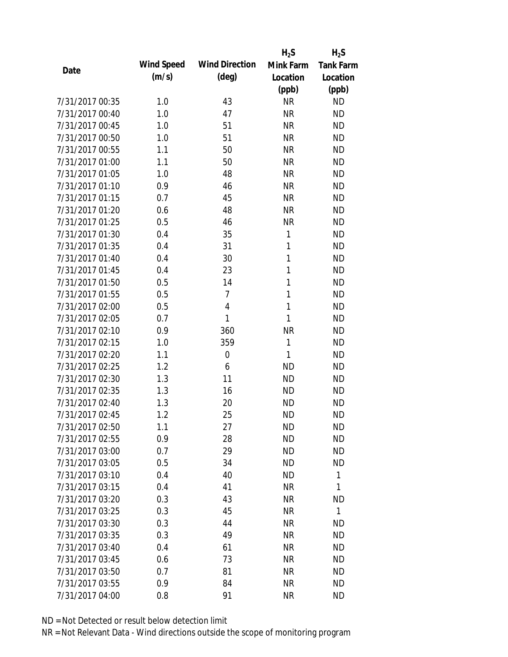|                 |            |                       | $H_2S$    | $H_2S$           |
|-----------------|------------|-----------------------|-----------|------------------|
| Date            | Wind Speed | <b>Wind Direction</b> | Mink Farm | <b>Tank Farm</b> |
|                 | (m/s)      | $(\text{deg})$        | Location  | Location         |
|                 |            |                       | (ppb)     | (ppb)            |
| 7/31/2017 00:35 | 1.0        | 43                    | <b>NR</b> | <b>ND</b>        |
| 7/31/2017 00:40 | 1.0        | 47                    | <b>NR</b> | <b>ND</b>        |
| 7/31/2017 00:45 | 1.0        | 51                    | <b>NR</b> | <b>ND</b>        |
| 7/31/2017 00:50 | 1.0        | 51                    | <b>NR</b> | <b>ND</b>        |
| 7/31/2017 00:55 | 1.1        | 50                    | <b>NR</b> | <b>ND</b>        |
| 7/31/2017 01:00 | 1.1        | 50                    | <b>NR</b> | <b>ND</b>        |
| 7/31/2017 01:05 | 1.0        | 48                    | <b>NR</b> | <b>ND</b>        |
| 7/31/2017 01:10 | 0.9        | 46                    | <b>NR</b> | <b>ND</b>        |
| 7/31/2017 01:15 | 0.7        | 45                    | <b>NR</b> | <b>ND</b>        |
| 7/31/2017 01:20 | 0.6        | 48                    | <b>NR</b> | <b>ND</b>        |
| 7/31/2017 01:25 | 0.5        | 46                    | <b>NR</b> | <b>ND</b>        |
| 7/31/2017 01:30 | 0.4        | 35                    | 1         | <b>ND</b>        |
| 7/31/2017 01:35 | 0.4        | 31                    | 1         | <b>ND</b>        |
| 7/31/2017 01:40 | 0.4        | 30                    | 1         | <b>ND</b>        |
| 7/31/2017 01:45 | 0.4        | 23                    | 1         | <b>ND</b>        |
| 7/31/2017 01:50 | 0.5        | 14                    | 1         | <b>ND</b>        |
| 7/31/2017 01:55 | 0.5        | 7                     | 1         | <b>ND</b>        |
| 7/31/2017 02:00 | 0.5        | 4                     | 1         | <b>ND</b>        |
| 7/31/2017 02:05 | 0.7        | 1                     | 1         | <b>ND</b>        |
| 7/31/2017 02:10 | 0.9        | 360                   | <b>NR</b> | <b>ND</b>        |
| 7/31/2017 02:15 | 1.0        | 359                   | 1         | <b>ND</b>        |
| 7/31/2017 02:20 | 1.1        | $\mathbf 0$           | 1         | <b>ND</b>        |
| 7/31/2017 02:25 | 1.2        | 6                     | <b>ND</b> | <b>ND</b>        |
| 7/31/2017 02:30 | 1.3        | 11                    | <b>ND</b> | <b>ND</b>        |
| 7/31/2017 02:35 | 1.3        | 16                    | <b>ND</b> | <b>ND</b>        |
| 7/31/2017 02:40 | 1.3        | 20                    | <b>ND</b> | <b>ND</b>        |
| 7/31/2017 02:45 | 1.2        | 25                    | <b>ND</b> | <b>ND</b>        |
| 7/31/2017 02:50 | 1.1        | 27                    | <b>ND</b> | <b>ND</b>        |
| 7/31/2017 02:55 | 0.9        | 28                    | <b>ND</b> | <b>ND</b>        |
| 7/31/2017 03:00 | 0.7        | 29                    | ND.       | <b>ND</b>        |
| 7/31/2017 03:05 | 0.5        | 34                    | <b>ND</b> | <b>ND</b>        |
| 7/31/2017 03:10 | 0.4        | 40                    | <b>ND</b> | 1                |
| 7/31/2017 03:15 | 0.4        | 41                    | <b>NR</b> | 1                |
| 7/31/2017 03:20 | 0.3        | 43                    | <b>NR</b> | <b>ND</b>        |
| 7/31/2017 03:25 | 0.3        | 45                    | <b>NR</b> | 1                |
| 7/31/2017 03:30 | 0.3        | 44                    | <b>NR</b> | <b>ND</b>        |
| 7/31/2017 03:35 | 0.3        | 49                    | <b>NR</b> | <b>ND</b>        |
| 7/31/2017 03:40 | 0.4        | 61                    | NR        | <b>ND</b>        |
| 7/31/2017 03:45 | 0.6        | 73                    | <b>NR</b> | <b>ND</b>        |
| 7/31/2017 03:50 | 0.7        | 81                    | <b>NR</b> | <b>ND</b>        |
| 7/31/2017 03:55 | 0.9        | 84                    | <b>NR</b> | <b>ND</b>        |
| 7/31/2017 04:00 | 0.8        | 91                    | <b>NR</b> | <b>ND</b>        |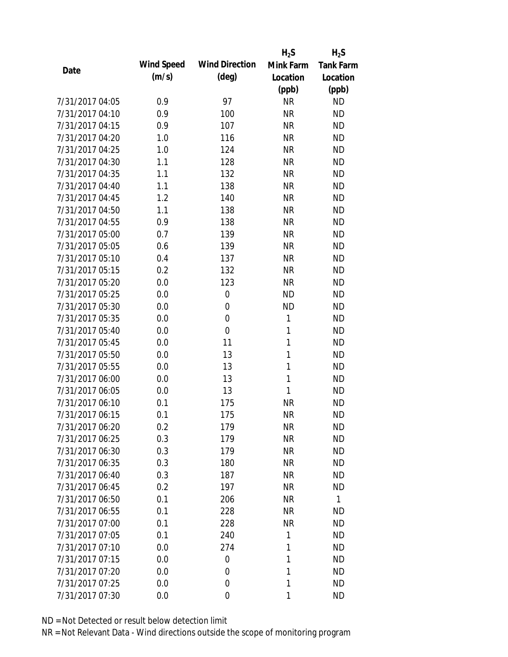|                 |                   |                       | $H_2S$    | $H_2S$           |
|-----------------|-------------------|-----------------------|-----------|------------------|
| Date            | <b>Wind Speed</b> | <b>Wind Direction</b> | Mink Farm | <b>Tank Farm</b> |
|                 | (m/s)             | $(\text{deg})$        | Location  | Location         |
|                 |                   |                       | (ppb)     | (ppb)            |
| 7/31/2017 04:05 | 0.9               | 97                    | <b>NR</b> | <b>ND</b>        |
| 7/31/2017 04:10 | 0.9               | 100                   | <b>NR</b> | <b>ND</b>        |
| 7/31/2017 04:15 | 0.9               | 107                   | <b>NR</b> | <b>ND</b>        |
| 7/31/2017 04:20 | 1.0               | 116                   | <b>NR</b> | <b>ND</b>        |
| 7/31/2017 04:25 | 1.0               | 124                   | <b>NR</b> | <b>ND</b>        |
| 7/31/2017 04:30 | 1.1               | 128                   | <b>NR</b> | <b>ND</b>        |
| 7/31/2017 04:35 | 1.1               | 132                   | <b>NR</b> | <b>ND</b>        |
| 7/31/2017 04:40 | 1.1               | 138                   | <b>NR</b> | <b>ND</b>        |
| 7/31/2017 04:45 | 1.2               | 140                   | <b>NR</b> | <b>ND</b>        |
| 7/31/2017 04:50 | 1.1               | 138                   | <b>NR</b> | <b>ND</b>        |
| 7/31/2017 04:55 | 0.9               | 138                   | <b>NR</b> | <b>ND</b>        |
| 7/31/2017 05:00 | 0.7               | 139                   | <b>NR</b> | <b>ND</b>        |
| 7/31/2017 05:05 | 0.6               | 139                   | <b>NR</b> | <b>ND</b>        |
| 7/31/2017 05:10 | 0.4               | 137                   | <b>NR</b> | <b>ND</b>        |
| 7/31/2017 05:15 | 0.2               | 132                   | <b>NR</b> | <b>ND</b>        |
| 7/31/2017 05:20 | 0.0               | 123                   | <b>NR</b> | <b>ND</b>        |
| 7/31/2017 05:25 | 0.0               | 0                     | <b>ND</b> | <b>ND</b>        |
| 7/31/2017 05:30 | 0.0               | $\mathbf 0$           | <b>ND</b> | <b>ND</b>        |
| 7/31/2017 05:35 | 0.0               | $\mathbf 0$           | 1         | <b>ND</b>        |
| 7/31/2017 05:40 | 0.0               | $\mathbf 0$           | 1         | <b>ND</b>        |
| 7/31/2017 05:45 | 0.0               | 11                    | 1         | <b>ND</b>        |
| 7/31/2017 05:50 | 0.0               | 13                    | 1         | <b>ND</b>        |
| 7/31/2017 05:55 | 0.0               | 13                    | 1         | <b>ND</b>        |
| 7/31/2017 06:00 | 0.0               | 13                    | 1         | <b>ND</b>        |
| 7/31/2017 06:05 | 0.0               | 13                    | 1         | <b>ND</b>        |
| 7/31/2017 06:10 | 0.1               | 175                   | <b>NR</b> | <b>ND</b>        |
| 7/31/2017 06:15 | 0.1               | 175                   | <b>NR</b> | <b>ND</b>        |
| 7/31/2017 06:20 | 0.2               | 179                   | <b>NR</b> | ND               |
| 7/31/2017 06:25 | 0.3               | 179                   | <b>NR</b> | <b>ND</b>        |
| 7/31/2017 06:30 | 0.3               | 179                   | <b>NR</b> | ND               |
| 7/31/2017 06:35 | 0.3               | 180                   | <b>NR</b> | <b>ND</b>        |
| 7/31/2017 06:40 | 0.3               | 187                   | <b>NR</b> | ND               |
| 7/31/2017 06:45 | 0.2               | 197                   | <b>NR</b> | <b>ND</b>        |
| 7/31/2017 06:50 | 0.1               | 206                   | <b>NR</b> | $\mathbf{1}$     |
| 7/31/2017 06:55 | 0.1               | 228                   | <b>NR</b> | <b>ND</b>        |
| 7/31/2017 07:00 | 0.1               | 228                   | <b>NR</b> | <b>ND</b>        |
| 7/31/2017 07:05 | 0.1               | 240                   | 1         | ND               |
| 7/31/2017 07:10 | 0.0               | 274                   | 1         | <b>ND</b>        |
| 7/31/2017 07:15 | 0.0               | 0                     | 1         | <b>ND</b>        |
| 7/31/2017 07:20 | 0.0               | 0                     | 1         | ND               |
| 7/31/2017 07:25 | 0.0               | 0                     | 1         | <b>ND</b>        |
| 7/31/2017 07:30 | 0.0               | $\mathbf 0$           | 1         | <b>ND</b>        |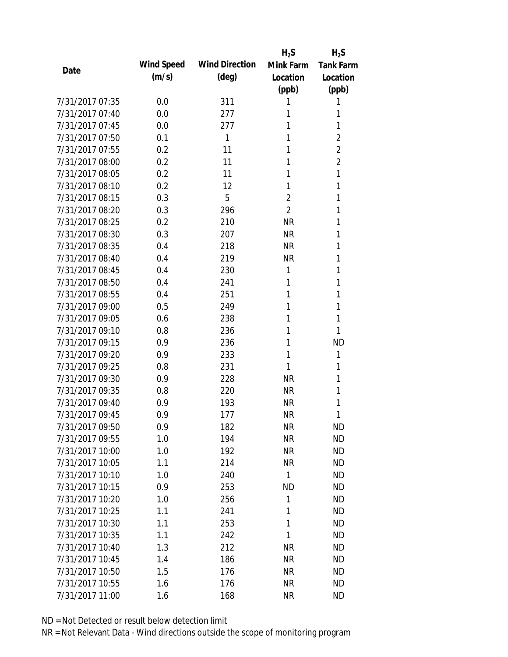|                 |            |                       | $H_2S$         | $H_2S$           |
|-----------------|------------|-----------------------|----------------|------------------|
| Date            | Wind Speed | <b>Wind Direction</b> | Mink Farm      | <b>Tank Farm</b> |
|                 | (m/s)      | $(\text{deg})$        | Location       | Location         |
|                 |            |                       | (ppb)          | (ppb)            |
| 7/31/2017 07:35 | 0.0        | 311                   | 1              | 1                |
| 7/31/2017 07:40 | 0.0        | 277                   | 1              | 1                |
| 7/31/2017 07:45 | 0.0        | 277                   | 1              | 1                |
| 7/31/2017 07:50 | 0.1        | 1                     | 1              | $\overline{2}$   |
| 7/31/2017 07:55 | 0.2        | 11                    | 1              | $\overline{2}$   |
| 7/31/2017 08:00 | 0.2        | 11                    | 1              | $\overline{2}$   |
| 7/31/2017 08:05 | 0.2        | 11                    | 1              | 1                |
| 7/31/2017 08:10 | 0.2        | 12                    | 1              | 1                |
| 7/31/2017 08:15 | 0.3        | 5                     | $\overline{2}$ | 1                |
| 7/31/2017 08:20 | 0.3        | 296                   | $\overline{2}$ | 1                |
| 7/31/2017 08:25 | 0.2        | 210                   | <b>NR</b>      | 1                |
| 7/31/2017 08:30 | 0.3        | 207                   | <b>NR</b>      | 1                |
| 7/31/2017 08:35 | 0.4        | 218                   | <b>NR</b>      | 1                |
| 7/31/2017 08:40 | 0.4        | 219                   | <b>NR</b>      | 1                |
| 7/31/2017 08:45 | 0.4        | 230                   | 1              | 1                |
| 7/31/2017 08:50 | 0.4        | 241                   | 1              | 1                |
| 7/31/2017 08:55 | 0.4        | 251                   | 1              | 1                |
| 7/31/2017 09:00 | 0.5        | 249                   | 1              | 1                |
| 7/31/2017 09:05 | 0.6        | 238                   | 1              | 1                |
| 7/31/2017 09:10 | 0.8        | 236                   | 1              | 1                |
| 7/31/2017 09:15 | 0.9        | 236                   | 1              | <b>ND</b>        |
| 7/31/2017 09:20 | 0.9        | 233                   | 1              | 1                |
| 7/31/2017 09:25 | 0.8        | 231                   | 1              | 1                |
| 7/31/2017 09:30 | 0.9        | 228                   | <b>NR</b>      | 1                |
| 7/31/2017 09:35 | 0.8        | 220                   | <b>NR</b>      | 1                |
| 7/31/2017 09:40 | 0.9        | 193                   | <b>NR</b>      | 1                |
| 7/31/2017 09:45 | 0.9        | 177                   | <b>NR</b>      | 1                |
| 7/31/2017 09:50 | 0.9        | 182                   | <b>NR</b>      | <b>ND</b>        |
| 7/31/2017 09:55 | 1.0        | 194                   | <b>NR</b>      | <b>ND</b>        |
| 7/31/2017 10:00 | 1.0        | 192                   | <b>NR</b>      | <b>ND</b>        |
| 7/31/2017 10:05 | 1.1        | 214                   | <b>NR</b>      | <b>ND</b>        |
| 7/31/2017 10:10 | 1.0        | 240                   | 1              | <b>ND</b>        |
| 7/31/2017 10:15 | 0.9        | 253                   | <b>ND</b>      | <b>ND</b>        |
| 7/31/2017 10:20 | 1.0        | 256                   | 1              | <b>ND</b>        |
| 7/31/2017 10:25 | 1.1        | 241                   | 1              | <b>ND</b>        |
| 7/31/2017 10:30 | 1.1        | 253                   | 1              | <b>ND</b>        |
| 7/31/2017 10:35 | 1.1        | 242                   | 1              | <b>ND</b>        |
| 7/31/2017 10:40 | 1.3        | 212                   | <b>NR</b>      | <b>ND</b>        |
| 7/31/2017 10:45 | 1.4        | 186                   | <b>NR</b>      | <b>ND</b>        |
| 7/31/2017 10:50 | 1.5        | 176                   | NR             | <b>ND</b>        |
| 7/31/2017 10:55 | 1.6        | 176                   | <b>NR</b>      | <b>ND</b>        |
| 7/31/2017 11:00 | 1.6        | 168                   | <b>NR</b>      | <b>ND</b>        |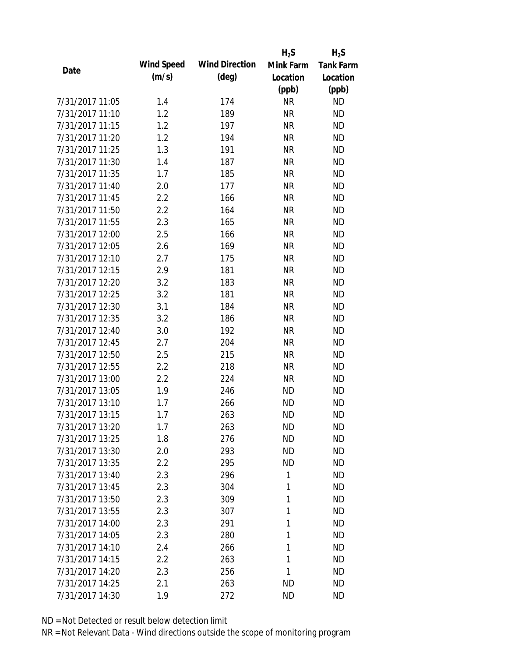|                 |            |                       | $H_2S$    | $H_2S$           |
|-----------------|------------|-----------------------|-----------|------------------|
| Date            | Wind Speed | <b>Wind Direction</b> | Mink Farm | <b>Tank Farm</b> |
|                 | (m/s)      | $(\text{deg})$        | Location  | Location         |
|                 |            |                       | (ppb)     | (ppb)            |
| 7/31/2017 11:05 | 1.4        | 174                   | <b>NR</b> | <b>ND</b>        |
| 7/31/2017 11:10 | 1.2        | 189                   | <b>NR</b> | <b>ND</b>        |
| 7/31/2017 11:15 | 1.2        | 197                   | <b>NR</b> | <b>ND</b>        |
| 7/31/2017 11:20 | 1.2        | 194                   | <b>NR</b> | <b>ND</b>        |
| 7/31/2017 11:25 | 1.3        | 191                   | <b>NR</b> | <b>ND</b>        |
| 7/31/2017 11:30 | 1.4        | 187                   | <b>NR</b> | <b>ND</b>        |
| 7/31/2017 11:35 | 1.7        | 185                   | <b>NR</b> | <b>ND</b>        |
| 7/31/2017 11:40 | 2.0        | 177                   | <b>NR</b> | <b>ND</b>        |
| 7/31/2017 11:45 | 2.2        | 166                   | <b>NR</b> | <b>ND</b>        |
| 7/31/2017 11:50 | 2.2        | 164                   | <b>NR</b> | <b>ND</b>        |
| 7/31/2017 11:55 | 2.3        | 165                   | <b>NR</b> | <b>ND</b>        |
| 7/31/2017 12:00 | 2.5        | 166                   | <b>NR</b> | <b>ND</b>        |
| 7/31/2017 12:05 | 2.6        | 169                   | <b>NR</b> | <b>ND</b>        |
| 7/31/2017 12:10 | 2.7        | 175                   | <b>NR</b> | <b>ND</b>        |
| 7/31/2017 12:15 | 2.9        | 181                   | <b>NR</b> | <b>ND</b>        |
| 7/31/2017 12:20 | 3.2        | 183                   | <b>NR</b> | <b>ND</b>        |
| 7/31/2017 12:25 | 3.2        | 181                   | <b>NR</b> | <b>ND</b>        |
| 7/31/2017 12:30 | 3.1        | 184                   | <b>NR</b> | <b>ND</b>        |
| 7/31/2017 12:35 | 3.2        | 186                   | <b>NR</b> | <b>ND</b>        |
| 7/31/2017 12:40 | 3.0        | 192                   | <b>NR</b> | <b>ND</b>        |
| 7/31/2017 12:45 | 2.7        | 204                   | <b>NR</b> | <b>ND</b>        |
| 7/31/2017 12:50 | 2.5        | 215                   | <b>NR</b> | <b>ND</b>        |
| 7/31/2017 12:55 | 2.2        | 218                   | <b>NR</b> | <b>ND</b>        |
| 7/31/2017 13:00 | 2.2        | 224                   | <b>NR</b> | <b>ND</b>        |
| 7/31/2017 13:05 | 1.9        | 246                   | <b>ND</b> | <b>ND</b>        |
| 7/31/2017 13:10 | 1.7        | 266                   | <b>ND</b> | <b>ND</b>        |
| 7/31/2017 13:15 | 1.7        | 263                   | <b>ND</b> | <b>ND</b>        |
| 7/31/2017 13:20 | 1.7        | 263                   | <b>ND</b> | <b>ND</b>        |
| 7/31/2017 13:25 | 1.8        | 276                   | <b>ND</b> | <b>ND</b>        |
| 7/31/2017 13:30 | 2.0        | 293                   | <b>ND</b> | <b>ND</b>        |
| 7/31/2017 13:35 | 2.2        | 295                   | <b>ND</b> | <b>ND</b>        |
| 7/31/2017 13:40 | 2.3        | 296                   | 1         | <b>ND</b>        |
| 7/31/2017 13:45 | 2.3        | 304                   | 1         | <b>ND</b>        |
| 7/31/2017 13:50 | 2.3        | 309                   | 1         | <b>ND</b>        |
| 7/31/2017 13:55 | 2.3        | 307                   | 1         | <b>ND</b>        |
| 7/31/2017 14:00 | 2.3        | 291                   | 1         | <b>ND</b>        |
| 7/31/2017 14:05 | 2.3        | 280                   | 1         | <b>ND</b>        |
| 7/31/2017 14:10 | 2.4        | 266                   | 1         | <b>ND</b>        |
| 7/31/2017 14:15 | 2.2        | 263                   | 1         | <b>ND</b>        |
| 7/31/2017 14:20 | 2.3        | 256                   | 1         | <b>ND</b>        |
| 7/31/2017 14:25 | 2.1        | 263                   | <b>ND</b> | <b>ND</b>        |
| 7/31/2017 14:30 | 1.9        | 272                   | <b>ND</b> | <b>ND</b>        |
|                 |            |                       |           |                  |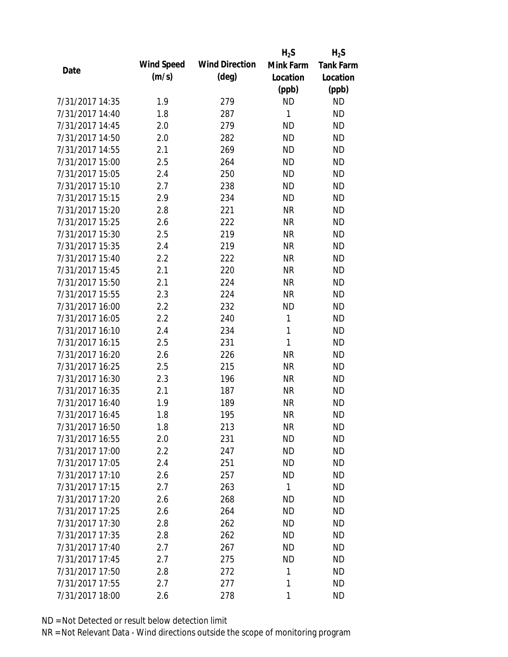|                 |            |                       | $H_2S$    | $H_2S$           |
|-----------------|------------|-----------------------|-----------|------------------|
| Date            | Wind Speed | <b>Wind Direction</b> | Mink Farm | <b>Tank Farm</b> |
|                 | (m/s)      | $(\text{deg})$        | Location  | Location         |
|                 |            |                       | (ppb)     | (ppb)            |
| 7/31/2017 14:35 | 1.9        | 279                   | <b>ND</b> | <b>ND</b>        |
| 7/31/2017 14:40 | 1.8        | 287                   | 1         | <b>ND</b>        |
| 7/31/2017 14:45 | 2.0        | 279                   | <b>ND</b> | <b>ND</b>        |
| 7/31/2017 14:50 | 2.0        | 282                   | <b>ND</b> | <b>ND</b>        |
| 7/31/2017 14:55 | 2.1        | 269                   | <b>ND</b> | <b>ND</b>        |
| 7/31/2017 15:00 | 2.5        | 264                   | <b>ND</b> | <b>ND</b>        |
| 7/31/2017 15:05 | 2.4        | 250                   | <b>ND</b> | <b>ND</b>        |
| 7/31/2017 15:10 | 2.7        | 238                   | <b>ND</b> | <b>ND</b>        |
| 7/31/2017 15:15 | 2.9        | 234                   | <b>ND</b> | <b>ND</b>        |
| 7/31/2017 15:20 | 2.8        | 221                   | <b>NR</b> | <b>ND</b>        |
| 7/31/2017 15:25 | 2.6        | 222                   | <b>NR</b> | <b>ND</b>        |
| 7/31/2017 15:30 | 2.5        | 219                   | <b>NR</b> | <b>ND</b>        |
| 7/31/2017 15:35 | 2.4        | 219                   | <b>NR</b> | <b>ND</b>        |
| 7/31/2017 15:40 | 2.2        | 222                   | <b>NR</b> | <b>ND</b>        |
| 7/31/2017 15:45 | 2.1        | 220                   | <b>NR</b> | <b>ND</b>        |
| 7/31/2017 15:50 | 2.1        | 224                   | <b>NR</b> | <b>ND</b>        |
| 7/31/2017 15:55 | 2.3        | 224                   | <b>NR</b> | <b>ND</b>        |
| 7/31/2017 16:00 | 2.2        | 232                   | <b>ND</b> | <b>ND</b>        |
| 7/31/2017 16:05 | 2.2        | 240                   | 1         | <b>ND</b>        |
| 7/31/2017 16:10 | 2.4        | 234                   | 1         | <b>ND</b>        |
| 7/31/2017 16:15 | 2.5        | 231                   | 1         | <b>ND</b>        |
| 7/31/2017 16:20 | 2.6        | 226                   | <b>NR</b> | <b>ND</b>        |
| 7/31/2017 16:25 | 2.5        | 215                   | <b>NR</b> | <b>ND</b>        |
| 7/31/2017 16:30 | 2.3        | 196                   | <b>NR</b> | <b>ND</b>        |
| 7/31/2017 16:35 | 2.1        | 187                   | <b>NR</b> | <b>ND</b>        |
| 7/31/2017 16:40 | 1.9        | 189                   | <b>NR</b> | <b>ND</b>        |
| 7/31/2017 16:45 | 1.8        | 195                   | <b>NR</b> | <b>ND</b>        |
| 7/31/2017 16:50 | 1.8        | 213                   | <b>NR</b> | <b>ND</b>        |
| 7/31/2017 16:55 | 2.0        | 231                   | <b>ND</b> | <b>ND</b>        |
| 7/31/2017 17:00 | 2.2        | 247                   | ND.       | <b>ND</b>        |
| 7/31/2017 17:05 | 2.4        | 251                   | <b>ND</b> | <b>ND</b>        |
| 7/31/2017 17:10 | 2.6        | 257                   | <b>ND</b> | <b>ND</b>        |
| 7/31/2017 17:15 | 2.7        | 263                   | 1         | <b>ND</b>        |
| 7/31/2017 17:20 | 2.6        | 268                   | <b>ND</b> | <b>ND</b>        |
| 7/31/2017 17:25 | 2.6        | 264                   | <b>ND</b> | <b>ND</b>        |
| 7/31/2017 17:30 | 2.8        | 262                   | <b>ND</b> | <b>ND</b>        |
| 7/31/2017 17:35 | 2.8        | 262                   | <b>ND</b> | <b>ND</b>        |
| 7/31/2017 17:40 | 2.7        | 267                   | <b>ND</b> | <b>ND</b>        |
| 7/31/2017 17:45 | 2.7        | 275                   | <b>ND</b> | <b>ND</b>        |
| 7/31/2017 17:50 | 2.8        | 272                   | 1         | <b>ND</b>        |
| 7/31/2017 17:55 | 2.7        | 277                   | 1         | <b>ND</b>        |
| 7/31/2017 18:00 | 2.6        | 278                   | 1         | <b>ND</b>        |
|                 |            |                       |           |                  |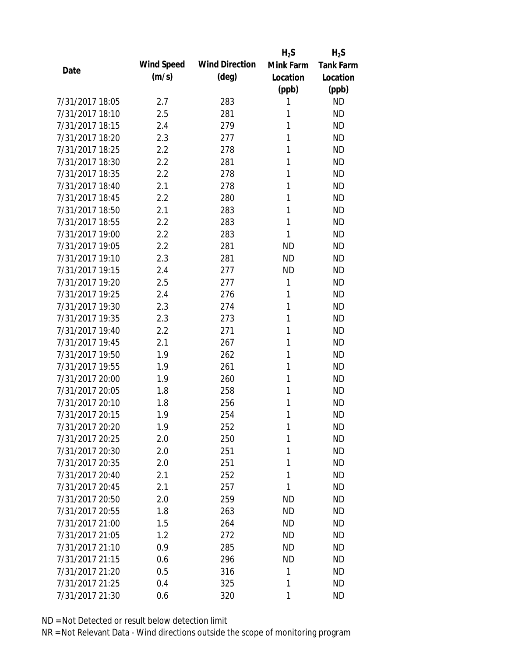|                 |            |                       | $H_2S$    | $H_2S$           |
|-----------------|------------|-----------------------|-----------|------------------|
| Date            | Wind Speed | <b>Wind Direction</b> | Mink Farm | <b>Tank Farm</b> |
|                 | (m/s)      | $(\text{deg})$        | Location  | Location         |
|                 |            |                       | (ppb)     | (ppb)            |
| 7/31/2017 18:05 | 2.7        | 283                   | 1         | <b>ND</b>        |
| 7/31/2017 18:10 | 2.5        | 281                   | 1         | <b>ND</b>        |
| 7/31/2017 18:15 | 2.4        | 279                   | 1         | <b>ND</b>        |
| 7/31/2017 18:20 | 2.3        | 277                   | 1         | <b>ND</b>        |
| 7/31/2017 18:25 | 2.2        | 278                   | 1         | <b>ND</b>        |
| 7/31/2017 18:30 | 2.2        | 281                   | 1         | <b>ND</b>        |
| 7/31/2017 18:35 | 2.2        | 278                   | 1         | <b>ND</b>        |
| 7/31/2017 18:40 | 2.1        | 278                   | 1         | <b>ND</b>        |
| 7/31/2017 18:45 | 2.2        | 280                   | 1         | <b>ND</b>        |
| 7/31/2017 18:50 | 2.1        | 283                   | 1         | <b>ND</b>        |
| 7/31/2017 18:55 | 2.2        | 283                   | 1         | <b>ND</b>        |
| 7/31/2017 19:00 | 2.2        | 283                   | 1         | <b>ND</b>        |
| 7/31/2017 19:05 | 2.2        | 281                   | <b>ND</b> | <b>ND</b>        |
| 7/31/2017 19:10 | 2.3        | 281                   | <b>ND</b> | <b>ND</b>        |
| 7/31/2017 19:15 | 2.4        | 277                   | <b>ND</b> | <b>ND</b>        |
| 7/31/2017 19:20 | 2.5        | 277                   | 1         | <b>ND</b>        |
| 7/31/2017 19:25 | 2.4        | 276                   | 1         | <b>ND</b>        |
| 7/31/2017 19:30 | 2.3        | 274                   | 1         | <b>ND</b>        |
| 7/31/2017 19:35 | 2.3        | 273                   | 1         | <b>ND</b>        |
| 7/31/2017 19:40 | 2.2        | 271                   | 1         | <b>ND</b>        |
| 7/31/2017 19:45 | 2.1        | 267                   | 1         | <b>ND</b>        |
| 7/31/2017 19:50 | 1.9        | 262                   | 1         | <b>ND</b>        |
| 7/31/2017 19:55 | 1.9        | 261                   | 1         | <b>ND</b>        |
| 7/31/2017 20:00 | 1.9        | 260                   | 1         | <b>ND</b>        |
| 7/31/2017 20:05 | 1.8        | 258                   | 1         | <b>ND</b>        |
| 7/31/2017 20:10 | 1.8        | 256                   | 1         | <b>ND</b>        |
| 7/31/2017 20:15 | 1.9        | 254                   | 1         | <b>ND</b>        |
| 7/31/2017 20:20 | 1.9        | 252                   | 1         | <b>ND</b>        |
| 7/31/2017 20:25 | 2.0        | 250                   | 1         | <b>ND</b>        |
| 7/31/2017 20:30 | 2.0        | 251                   | 1         | <b>ND</b>        |
| 7/31/2017 20:35 | 2.0        | 251                   | 1         | <b>ND</b>        |
| 7/31/2017 20:40 | 2.1        | 252                   | 1         | <b>ND</b>        |
| 7/31/2017 20:45 | 2.1        | 257                   | 1         | <b>ND</b>        |
| 7/31/2017 20:50 | 2.0        | 259                   | <b>ND</b> | <b>ND</b>        |
| 7/31/2017 20:55 | 1.8        | 263                   | <b>ND</b> | <b>ND</b>        |
| 7/31/2017 21:00 | 1.5        | 264                   | <b>ND</b> | <b>ND</b>        |
| 7/31/2017 21:05 | 1.2        | 272                   | <b>ND</b> | <b>ND</b>        |
| 7/31/2017 21:10 | 0.9        | 285                   | <b>ND</b> | <b>ND</b>        |
| 7/31/2017 21:15 | 0.6        | 296                   | <b>ND</b> | <b>ND</b>        |
| 7/31/2017 21:20 | 0.5        | 316                   | 1         | <b>ND</b>        |
| 7/31/2017 21:25 | 0.4        | 325                   | 1         | <b>ND</b>        |
| 7/31/2017 21:30 | 0.6        | 320                   | 1         | <b>ND</b>        |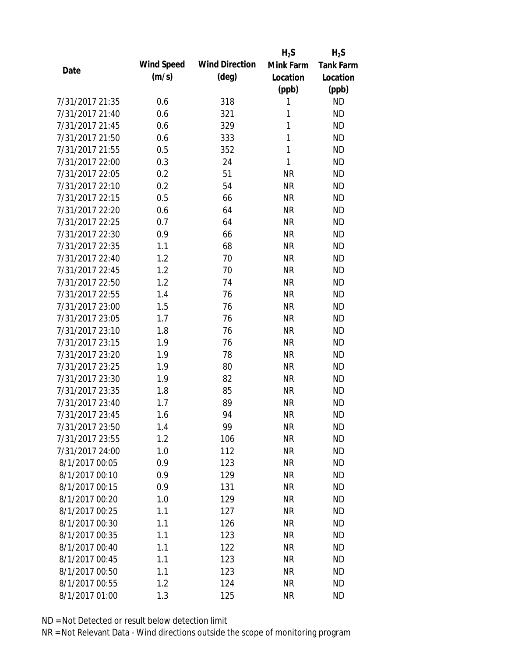|                 |            |                       | $H_2S$    | $H_2S$           |
|-----------------|------------|-----------------------|-----------|------------------|
| Date            | Wind Speed | <b>Wind Direction</b> | Mink Farm | <b>Tank Farm</b> |
|                 | (m/s)      | $(\text{deg})$        | Location  | Location         |
|                 |            |                       | (ppb)     | (ppb)            |
| 7/31/2017 21:35 | 0.6        | 318                   | 1         | <b>ND</b>        |
| 7/31/2017 21:40 | 0.6        | 321                   | 1         | <b>ND</b>        |
| 7/31/2017 21:45 | 0.6        | 329                   | 1         | <b>ND</b>        |
| 7/31/2017 21:50 | 0.6        | 333                   | 1         | <b>ND</b>        |
| 7/31/2017 21:55 | 0.5        | 352                   | 1         | <b>ND</b>        |
| 7/31/2017 22:00 | 0.3        | 24                    | 1         | <b>ND</b>        |
| 7/31/2017 22:05 | 0.2        | 51                    | <b>NR</b> | <b>ND</b>        |
| 7/31/2017 22:10 | 0.2        | 54                    | <b>NR</b> | <b>ND</b>        |
| 7/31/2017 22:15 | 0.5        | 66                    | <b>NR</b> | <b>ND</b>        |
| 7/31/2017 22:20 | 0.6        | 64                    | <b>NR</b> | <b>ND</b>        |
| 7/31/2017 22:25 | 0.7        | 64                    | <b>NR</b> | <b>ND</b>        |
| 7/31/2017 22:30 | 0.9        | 66                    | <b>NR</b> | <b>ND</b>        |
| 7/31/2017 22:35 | 1.1        | 68                    | <b>NR</b> | <b>ND</b>        |
| 7/31/2017 22:40 | 1.2        | 70                    | <b>NR</b> | <b>ND</b>        |
| 7/31/2017 22:45 | 1.2        | 70                    | <b>NR</b> | <b>ND</b>        |
| 7/31/2017 22:50 | 1.2        | 74                    | <b>NR</b> | <b>ND</b>        |
| 7/31/2017 22:55 | 1.4        | 76                    | <b>NR</b> | <b>ND</b>        |
| 7/31/2017 23:00 | 1.5        | 76                    | <b>NR</b> | <b>ND</b>        |
| 7/31/2017 23:05 | 1.7        | 76                    | <b>NR</b> | <b>ND</b>        |
| 7/31/2017 23:10 | 1.8        | 76                    | <b>NR</b> | <b>ND</b>        |
| 7/31/2017 23:15 | 1.9        | 76                    | <b>NR</b> | <b>ND</b>        |
| 7/31/2017 23:20 | 1.9        | 78                    | <b>NR</b> | <b>ND</b>        |
| 7/31/2017 23:25 | 1.9        | 80                    | <b>NR</b> | <b>ND</b>        |
| 7/31/2017 23:30 | 1.9        | 82                    | <b>NR</b> | <b>ND</b>        |
| 7/31/2017 23:35 | 1.8        | 85                    | <b>NR</b> | <b>ND</b>        |
| 7/31/2017 23:40 | 1.7        | 89                    | <b>NR</b> | <b>ND</b>        |
| 7/31/2017 23:45 | 1.6        | 94                    | <b>NR</b> | <b>ND</b>        |
| 7/31/2017 23:50 | 1.4        | 99                    | <b>NR</b> | <b>ND</b>        |
| 7/31/2017 23:55 | 1.2        | 106                   | <b>NR</b> | <b>ND</b>        |
| 7/31/2017 24:00 | 1.0        | 112                   | <b>NR</b> | <b>ND</b>        |
| 8/1/2017 00:05  | 0.9        | 123                   | <b>NR</b> | <b>ND</b>        |
| 8/1/2017 00:10  | 0.9        | 129                   | <b>NR</b> | <b>ND</b>        |
| 8/1/2017 00:15  | 0.9        | 131                   | <b>NR</b> | <b>ND</b>        |
| 8/1/2017 00:20  | 1.0        | 129                   | <b>NR</b> | <b>ND</b>        |
| 8/1/2017 00:25  | 1.1        | 127                   | <b>NR</b> | <b>ND</b>        |
| 8/1/2017 00:30  | 1.1        | 126                   | <b>NR</b> | <b>ND</b>        |
| 8/1/2017 00:35  | 1.1        | 123                   | <b>NR</b> | <b>ND</b>        |
| 8/1/2017 00:40  | 1.1        | 122                   | <b>NR</b> | <b>ND</b>        |
| 8/1/2017 00:45  | 1.1        | 123                   | <b>NR</b> | <b>ND</b>        |
| 8/1/2017 00:50  | 1.1        | 123                   | <b>NR</b> | <b>ND</b>        |
| 8/1/2017 00:55  | 1.2        | 124                   | <b>NR</b> | <b>ND</b>        |
| 8/1/2017 01:00  | 1.3        | 125                   | <b>NR</b> | <b>ND</b>        |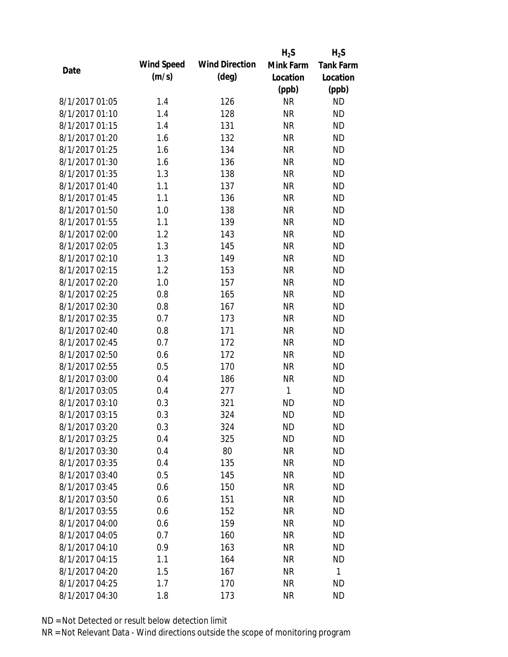|                |            |                       | $H_2S$    | $H_2S$           |
|----------------|------------|-----------------------|-----------|------------------|
|                | Wind Speed | <b>Wind Direction</b> | Mink Farm | <b>Tank Farm</b> |
| Date           | (m/s)      | $(\text{deg})$        | Location  | Location         |
|                |            |                       | (ppb)     | (ppb)            |
| 8/1/2017 01:05 | 1.4        | 126                   | <b>NR</b> | <b>ND</b>        |
| 8/1/2017 01:10 | 1.4        | 128                   | <b>NR</b> | <b>ND</b>        |
| 8/1/2017 01:15 | 1.4        | 131                   | <b>NR</b> | <b>ND</b>        |
| 8/1/2017 01:20 | 1.6        | 132                   | <b>NR</b> | <b>ND</b>        |
| 8/1/2017 01:25 | 1.6        | 134                   | <b>NR</b> | <b>ND</b>        |
| 8/1/2017 01:30 | 1.6        | 136                   | <b>NR</b> | <b>ND</b>        |
| 8/1/2017 01:35 | 1.3        | 138                   | <b>NR</b> | <b>ND</b>        |
| 8/1/2017 01:40 | 1.1        | 137                   | <b>NR</b> | <b>ND</b>        |
| 8/1/2017 01:45 | 1.1        | 136                   | <b>NR</b> | <b>ND</b>        |
| 8/1/2017 01:50 | 1.0        | 138                   | <b>NR</b> | <b>ND</b>        |
| 8/1/2017 01:55 | 1.1        | 139                   | <b>NR</b> | <b>ND</b>        |
| 8/1/2017 02:00 | 1.2        | 143                   | <b>NR</b> | <b>ND</b>        |
| 8/1/2017 02:05 | 1.3        | 145                   | <b>NR</b> | <b>ND</b>        |
| 8/1/2017 02:10 | 1.3        | 149                   | <b>NR</b> | <b>ND</b>        |
| 8/1/2017 02:15 | 1.2        | 153                   | <b>NR</b> | <b>ND</b>        |
| 8/1/2017 02:20 | 1.0        | 157                   | <b>NR</b> | <b>ND</b>        |
| 8/1/2017 02:25 | 0.8        | 165                   | <b>NR</b> | <b>ND</b>        |
| 8/1/2017 02:30 | 0.8        | 167                   | <b>NR</b> | <b>ND</b>        |
| 8/1/2017 02:35 | 0.7        | 173                   | <b>NR</b> | <b>ND</b>        |
| 8/1/2017 02:40 | 0.8        | 171                   | <b>NR</b> | <b>ND</b>        |
| 8/1/2017 02:45 | 0.7        | 172                   | <b>NR</b> | <b>ND</b>        |
| 8/1/2017 02:50 | 0.6        | 172                   | <b>NR</b> | <b>ND</b>        |
| 8/1/2017 02:55 | 0.5        | 170                   | <b>NR</b> | <b>ND</b>        |
| 8/1/2017 03:00 | 0.4        | 186                   | <b>NR</b> | <b>ND</b>        |
| 8/1/2017 03:05 | 0.4        | 277                   | 1         | <b>ND</b>        |
| 8/1/2017 03:10 | 0.3        | 321                   | <b>ND</b> | <b>ND</b>        |
| 8/1/2017 03:15 | 0.3        | 324                   | <b>ND</b> | <b>ND</b>        |
| 8/1/2017 03:20 | 0.3        | 324                   | <b>ND</b> | <b>ND</b>        |
| 8/1/2017 03:25 | 0.4        | 325                   | <b>ND</b> | <b>ND</b>        |
| 8/1/2017 03:30 | 0.4        | 80                    | <b>NR</b> | <b>ND</b>        |
| 8/1/2017 03:35 | 0.4        | 135                   | <b>NR</b> | <b>ND</b>        |
| 8/1/2017 03:40 | 0.5        | 145                   | <b>NR</b> | <b>ND</b>        |
| 8/1/2017 03:45 | 0.6        | 150                   | <b>NR</b> | <b>ND</b>        |
| 8/1/2017 03:50 | 0.6        | 151                   | <b>NR</b> | <b>ND</b>        |
| 8/1/2017 03:55 | 0.6        | 152                   | <b>NR</b> | <b>ND</b>        |
| 8/1/2017 04:00 | 0.6        | 159                   | <b>NR</b> | <b>ND</b>        |
| 8/1/2017 04:05 | 0.7        | 160                   | <b>NR</b> | <b>ND</b>        |
| 8/1/2017 04:10 | 0.9        | 163                   | <b>NR</b> | <b>ND</b>        |
| 8/1/2017 04:15 | 1.1        | 164                   | <b>NR</b> | <b>ND</b>        |
| 8/1/2017 04:20 | 1.5        | 167                   | <b>NR</b> | 1                |
| 8/1/2017 04:25 | 1.7        | 170                   | <b>NR</b> | <b>ND</b>        |
| 8/1/2017 04:30 | 1.8        | 173                   | <b>NR</b> | <b>ND</b>        |
|                |            |                       |           |                  |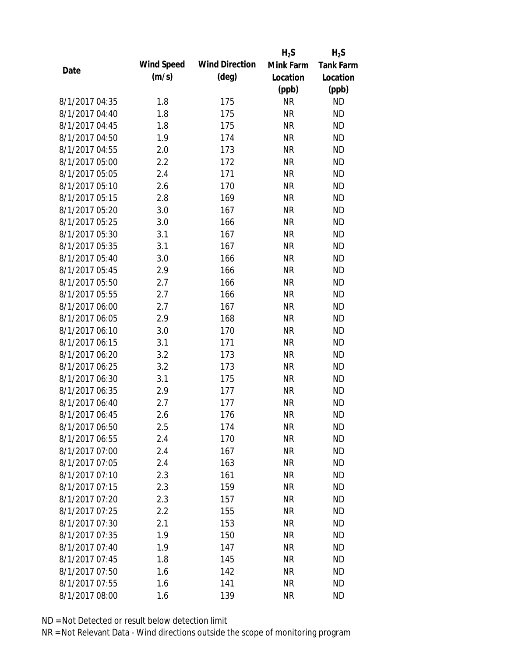|                |            |                       | $H_2S$    | $H_2S$           |
|----------------|------------|-----------------------|-----------|------------------|
|                | Wind Speed | <b>Wind Direction</b> | Mink Farm | <b>Tank Farm</b> |
| Date           | (m/s)      | $(\text{deg})$        | Location  | Location         |
|                |            |                       | (ppb)     | (ppb)            |
| 8/1/2017 04:35 | 1.8        | 175                   | <b>NR</b> | <b>ND</b>        |
| 8/1/2017 04:40 | 1.8        | 175                   | <b>NR</b> | <b>ND</b>        |
| 8/1/2017 04:45 | 1.8        | 175                   | <b>NR</b> | <b>ND</b>        |
| 8/1/2017 04:50 | 1.9        | 174                   | <b>NR</b> | <b>ND</b>        |
| 8/1/2017 04:55 | 2.0        | 173                   | <b>NR</b> | <b>ND</b>        |
| 8/1/2017 05:00 | 2.2        | 172                   | <b>NR</b> | <b>ND</b>        |
| 8/1/2017 05:05 | 2.4        | 171                   | <b>NR</b> | <b>ND</b>        |
| 8/1/2017 05:10 | 2.6        | 170                   | <b>NR</b> | <b>ND</b>        |
| 8/1/2017 05:15 | 2.8        | 169                   | <b>NR</b> | <b>ND</b>        |
| 8/1/2017 05:20 | 3.0        | 167                   | <b>NR</b> | <b>ND</b>        |
| 8/1/2017 05:25 | 3.0        | 166                   | <b>NR</b> | <b>ND</b>        |
| 8/1/2017 05:30 | 3.1        | 167                   | <b>NR</b> | <b>ND</b>        |
| 8/1/2017 05:35 | 3.1        | 167                   | <b>NR</b> | <b>ND</b>        |
| 8/1/2017 05:40 | 3.0        | 166                   | <b>NR</b> | <b>ND</b>        |
| 8/1/2017 05:45 | 2.9        | 166                   | <b>NR</b> | <b>ND</b>        |
| 8/1/2017 05:50 | 2.7        | 166                   | <b>NR</b> | <b>ND</b>        |
| 8/1/2017 05:55 | 2.7        | 166                   | <b>NR</b> | <b>ND</b>        |
| 8/1/2017 06:00 | 2.7        | 167                   | <b>NR</b> | <b>ND</b>        |
| 8/1/2017 06:05 | 2.9        | 168                   | <b>NR</b> | <b>ND</b>        |
| 8/1/2017 06:10 | 3.0        | 170                   | <b>NR</b> | <b>ND</b>        |
| 8/1/2017 06:15 | 3.1        | 171                   | <b>NR</b> | <b>ND</b>        |
| 8/1/2017 06:20 | 3.2        | 173                   | <b>NR</b> | <b>ND</b>        |
| 8/1/2017 06:25 | 3.2        | 173                   | <b>NR</b> | <b>ND</b>        |
| 8/1/2017 06:30 | 3.1        | 175                   | <b>NR</b> | <b>ND</b>        |
| 8/1/2017 06:35 | 2.9        | 177                   | <b>NR</b> | <b>ND</b>        |
| 8/1/2017 06:40 | 2.7        | 177                   | <b>NR</b> | <b>ND</b>        |
| 8/1/2017 06:45 | 2.6        | 176                   | <b>NR</b> | <b>ND</b>        |
| 8/1/2017 06:50 | 2.5        | 174                   | <b>NR</b> | <b>ND</b>        |
| 8/1/2017 06:55 | 2.4        | 170                   | <b>NR</b> | <b>ND</b>        |
| 8/1/2017 07:00 | 2.4        | 167                   | <b>NR</b> | <b>ND</b>        |
| 8/1/2017 07:05 | 2.4        | 163                   | <b>NR</b> | <b>ND</b>        |
| 8/1/2017 07:10 | 2.3        | 161                   | <b>NR</b> | <b>ND</b>        |
| 8/1/2017 07:15 | 2.3        | 159                   | <b>NR</b> | <b>ND</b>        |
| 8/1/2017 07:20 | 2.3        | 157                   | <b>NR</b> | <b>ND</b>        |
| 8/1/2017 07:25 | 2.2        | 155                   | <b>NR</b> | <b>ND</b>        |
| 8/1/2017 07:30 | 2.1        | 153                   | <b>NR</b> | <b>ND</b>        |
| 8/1/2017 07:35 | 1.9        | 150                   | <b>NR</b> | <b>ND</b>        |
| 8/1/2017 07:40 | 1.9        | 147                   | <b>NR</b> | <b>ND</b>        |
| 8/1/2017 07:45 | 1.8        | 145                   | <b>NR</b> | <b>ND</b>        |
| 8/1/2017 07:50 | 1.6        | 142                   | <b>NR</b> | <b>ND</b>        |
| 8/1/2017 07:55 | 1.6        | 141                   | <b>NR</b> | <b>ND</b>        |
| 8/1/2017 08:00 | 1.6        | 139                   | <b>NR</b> | <b>ND</b>        |
|                |            |                       |           |                  |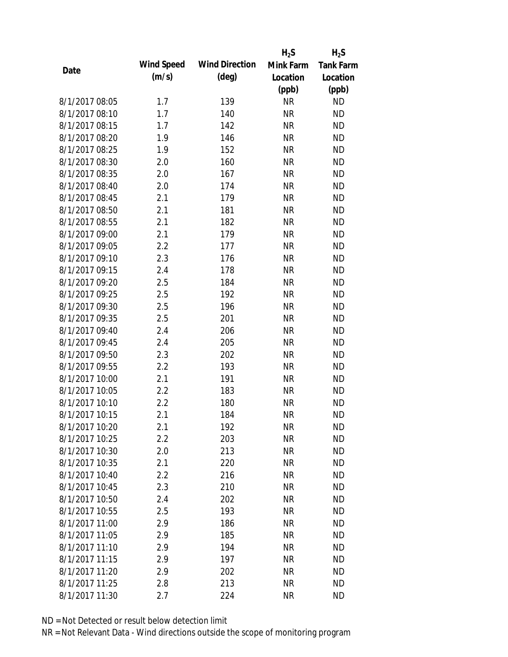|                |            |                       | $H_2S$    | $H_2S$           |
|----------------|------------|-----------------------|-----------|------------------|
|                | Wind Speed | <b>Wind Direction</b> | Mink Farm | <b>Tank Farm</b> |
| Date           | (m/s)      | $(\text{deg})$        | Location  | Location         |
|                |            |                       | (ppb)     | (ppb)            |
| 8/1/2017 08:05 | 1.7        | 139                   | <b>NR</b> | <b>ND</b>        |
| 8/1/2017 08:10 | 1.7        | 140                   | <b>NR</b> | <b>ND</b>        |
| 8/1/2017 08:15 | 1.7        | 142                   | <b>NR</b> | <b>ND</b>        |
| 8/1/2017 08:20 | 1.9        | 146                   | <b>NR</b> | <b>ND</b>        |
| 8/1/2017 08:25 | 1.9        | 152                   | <b>NR</b> | <b>ND</b>        |
| 8/1/2017 08:30 | 2.0        | 160                   | <b>NR</b> | <b>ND</b>        |
| 8/1/2017 08:35 | 2.0        | 167                   | <b>NR</b> | <b>ND</b>        |
| 8/1/2017 08:40 | 2.0        | 174                   | <b>NR</b> | <b>ND</b>        |
| 8/1/2017 08:45 | 2.1        | 179                   | <b>NR</b> | <b>ND</b>        |
| 8/1/2017 08:50 | 2.1        | 181                   | <b>NR</b> | <b>ND</b>        |
| 8/1/2017 08:55 | 2.1        | 182                   | <b>NR</b> | <b>ND</b>        |
| 8/1/2017 09:00 | 2.1        | 179                   | <b>NR</b> | <b>ND</b>        |
| 8/1/2017 09:05 | 2.2        | 177                   | <b>NR</b> | <b>ND</b>        |
| 8/1/2017 09:10 | 2.3        | 176                   | <b>NR</b> | <b>ND</b>        |
| 8/1/2017 09:15 | 2.4        | 178                   | <b>NR</b> | <b>ND</b>        |
| 8/1/2017 09:20 | 2.5        | 184                   | <b>NR</b> | <b>ND</b>        |
| 8/1/2017 09:25 | 2.5        | 192                   | <b>NR</b> | <b>ND</b>        |
| 8/1/2017 09:30 | 2.5        | 196                   | <b>NR</b> | <b>ND</b>        |
| 8/1/2017 09:35 | 2.5        | 201                   | <b>NR</b> | <b>ND</b>        |
| 8/1/2017 09:40 | 2.4        | 206                   | <b>NR</b> | <b>ND</b>        |
| 8/1/2017 09:45 | 2.4        | 205                   | <b>NR</b> | <b>ND</b>        |
| 8/1/2017 09:50 | 2.3        | 202                   | <b>NR</b> | <b>ND</b>        |
| 8/1/2017 09:55 | 2.2        | 193                   | <b>NR</b> | <b>ND</b>        |
| 8/1/2017 10:00 | 2.1        | 191                   | <b>NR</b> | <b>ND</b>        |
| 8/1/2017 10:05 | 2.2        | 183                   | <b>NR</b> | <b>ND</b>        |
| 8/1/2017 10:10 | 2.2        | 180                   | <b>NR</b> | <b>ND</b>        |
| 8/1/2017 10:15 | 2.1        | 184                   | <b>NR</b> | <b>ND</b>        |
| 8/1/2017 10:20 | 2.1        | 192                   | <b>NR</b> | <b>ND</b>        |
| 8/1/2017 10:25 | 2.2        | 203                   | <b>NR</b> | <b>ND</b>        |
| 8/1/2017 10:30 | 2.0        | 213                   | <b>NR</b> | <b>ND</b>        |
| 8/1/2017 10:35 | 2.1        | 220                   | <b>NR</b> | <b>ND</b>        |
| 8/1/2017 10:40 | 2.2        | 216                   | <b>NR</b> | <b>ND</b>        |
| 8/1/2017 10:45 | 2.3        | 210                   | <b>NR</b> | <b>ND</b>        |
| 8/1/2017 10:50 | 2.4        | 202                   | <b>NR</b> | <b>ND</b>        |
| 8/1/2017 10:55 | 2.5        | 193                   | <b>NR</b> | <b>ND</b>        |
| 8/1/2017 11:00 | 2.9        | 186                   | <b>NR</b> | <b>ND</b>        |
| 8/1/2017 11:05 | 2.9        | 185                   | <b>NR</b> | <b>ND</b>        |
| 8/1/2017 11:10 | 2.9        | 194                   | <b>NR</b> | <b>ND</b>        |
| 8/1/2017 11:15 | 2.9        | 197                   | <b>NR</b> | <b>ND</b>        |
| 8/1/2017 11:20 | 2.9        | 202                   | <b>NR</b> | <b>ND</b>        |
| 8/1/2017 11:25 | 2.8        | 213                   | <b>NR</b> | <b>ND</b>        |
|                |            |                       |           |                  |
| 8/1/2017 11:30 | 2.7        | 224                   | <b>NR</b> | <b>ND</b>        |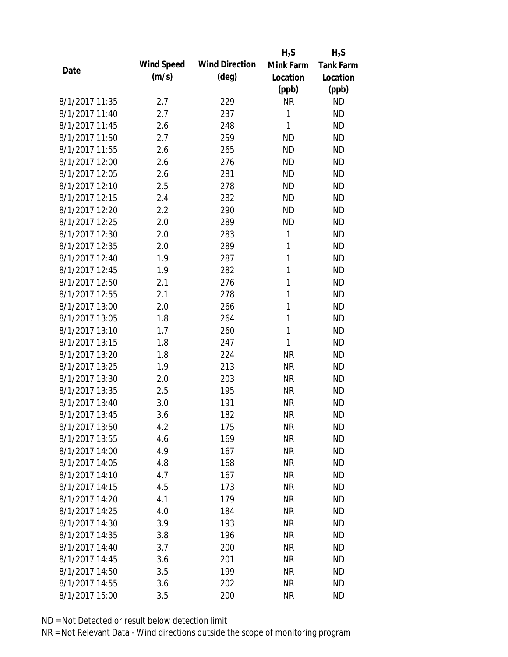|                |            |                       | $H_2S$    | $H_2S$           |
|----------------|------------|-----------------------|-----------|------------------|
| Date           | Wind Speed | <b>Wind Direction</b> | Mink Farm | <b>Tank Farm</b> |
|                | (m/s)      | $(\text{deg})$        | Location  | Location         |
|                |            |                       | (ppb)     | (ppb)            |
| 8/1/2017 11:35 | 2.7        | 229                   | <b>NR</b> | <b>ND</b>        |
| 8/1/2017 11:40 | 2.7        | 237                   | 1         | <b>ND</b>        |
| 8/1/2017 11:45 | 2.6        | 248                   | 1         | <b>ND</b>        |
| 8/1/2017 11:50 | 2.7        | 259                   | <b>ND</b> | <b>ND</b>        |
| 8/1/2017 11:55 | 2.6        | 265                   | <b>ND</b> | <b>ND</b>        |
| 8/1/2017 12:00 | 2.6        | 276                   | <b>ND</b> | <b>ND</b>        |
| 8/1/2017 12:05 | 2.6        | 281                   | <b>ND</b> | <b>ND</b>        |
| 8/1/2017 12:10 | 2.5        | 278                   | <b>ND</b> | <b>ND</b>        |
| 8/1/2017 12:15 | 2.4        | 282                   | <b>ND</b> | <b>ND</b>        |
| 8/1/2017 12:20 | 2.2        | 290                   | <b>ND</b> | <b>ND</b>        |
| 8/1/2017 12:25 | 2.0        | 289                   | <b>ND</b> | <b>ND</b>        |
| 8/1/2017 12:30 | 2.0        | 283                   | 1         | <b>ND</b>        |
| 8/1/2017 12:35 | 2.0        | 289                   | 1         | <b>ND</b>        |
| 8/1/2017 12:40 | 1.9        | 287                   | 1         | <b>ND</b>        |
| 8/1/2017 12:45 | 1.9        | 282                   | 1         | <b>ND</b>        |
| 8/1/2017 12:50 | 2.1        | 276                   | 1         | <b>ND</b>        |
| 8/1/2017 12:55 | 2.1        | 278                   | 1         | <b>ND</b>        |
| 8/1/2017 13:00 | 2.0        | 266                   | 1         | <b>ND</b>        |
| 8/1/2017 13:05 | 1.8        | 264                   | 1         | <b>ND</b>        |
| 8/1/2017 13:10 | 1.7        | 260                   | 1         | <b>ND</b>        |
| 8/1/2017 13:15 | 1.8        | 247                   | 1         | <b>ND</b>        |
| 8/1/2017 13:20 | 1.8        | 224                   | <b>NR</b> | <b>ND</b>        |
| 8/1/2017 13:25 | 1.9        | 213                   | <b>NR</b> | <b>ND</b>        |
| 8/1/2017 13:30 | 2.0        | 203                   | <b>NR</b> | <b>ND</b>        |
| 8/1/2017 13:35 | 2.5        | 195                   | <b>NR</b> | <b>ND</b>        |
| 8/1/2017 13:40 | 3.0        | 191                   | <b>NR</b> | <b>ND</b>        |
| 8/1/2017 13:45 | 3.6        | 182                   | <b>NR</b> | <b>ND</b>        |
| 8/1/2017 13:50 | 4.2        | 175                   | <b>NR</b> | <b>ND</b>        |
| 8/1/2017 13:55 | 4.6        | 169                   | <b>NR</b> | <b>ND</b>        |
| 8/1/2017 14:00 | 4.9        | 167                   | <b>NR</b> | <b>ND</b>        |
| 8/1/2017 14:05 | 4.8        | 168                   | <b>NR</b> | <b>ND</b>        |
| 8/1/2017 14:10 | 4.7        | 167                   | <b>NR</b> | <b>ND</b>        |
| 8/1/2017 14:15 | 4.5        | 173                   | <b>NR</b> | <b>ND</b>        |
| 8/1/2017 14:20 | 4.1        | 179                   | <b>NR</b> | <b>ND</b>        |
| 8/1/2017 14:25 | 4.0        | 184                   | <b>NR</b> | <b>ND</b>        |
| 8/1/2017 14:30 | 3.9        | 193                   | <b>NR</b> | <b>ND</b>        |
| 8/1/2017 14:35 | 3.8        | 196                   | <b>NR</b> | <b>ND</b>        |
| 8/1/2017 14:40 | 3.7        | 200                   | <b>NR</b> | <b>ND</b>        |
| 8/1/2017 14:45 | 3.6        | 201                   | <b>NR</b> | <b>ND</b>        |
| 8/1/2017 14:50 | 3.5        | 199                   | <b>NR</b> | <b>ND</b>        |
| 8/1/2017 14:55 | 3.6        | 202                   | <b>NR</b> | <b>ND</b>        |
| 8/1/2017 15:00 | 3.5        | 200                   | <b>NR</b> | <b>ND</b>        |
|                |            |                       |           |                  |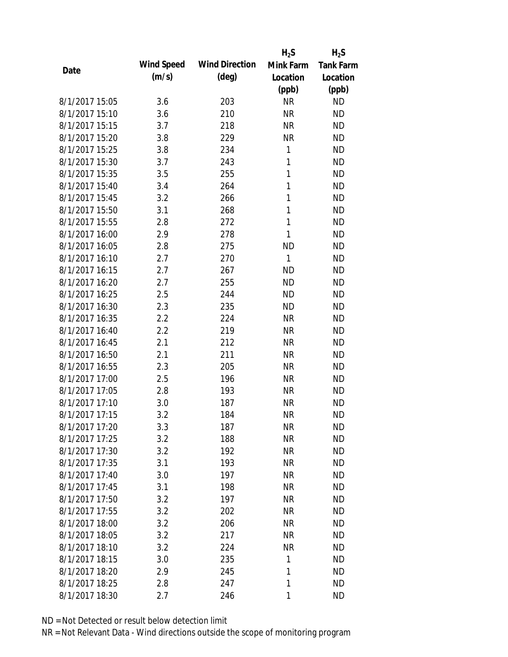|                |            |                       | $H_2S$    | $H_2S$           |
|----------------|------------|-----------------------|-----------|------------------|
|                | Wind Speed | <b>Wind Direction</b> | Mink Farm | <b>Tank Farm</b> |
| Date           | (m/s)      | $(\text{deg})$        | Location  | Location         |
|                |            |                       | (ppb)     | (ppb)            |
| 8/1/2017 15:05 | 3.6        | 203                   | <b>NR</b> | <b>ND</b>        |
| 8/1/2017 15:10 | 3.6        | 210                   | <b>NR</b> | <b>ND</b>        |
| 8/1/2017 15:15 | 3.7        | 218                   | <b>NR</b> | <b>ND</b>        |
| 8/1/2017 15:20 | 3.8        | 229                   | <b>NR</b> | <b>ND</b>        |
| 8/1/2017 15:25 | 3.8        | 234                   | 1         | <b>ND</b>        |
| 8/1/2017 15:30 | 3.7        | 243                   | 1         | <b>ND</b>        |
| 8/1/2017 15:35 | 3.5        | 255                   | 1         | <b>ND</b>        |
| 8/1/2017 15:40 | 3.4        | 264                   | 1         | <b>ND</b>        |
| 8/1/2017 15:45 | 3.2        | 266                   | 1         | <b>ND</b>        |
| 8/1/2017 15:50 | 3.1        | 268                   | 1         | <b>ND</b>        |
| 8/1/2017 15:55 | 2.8        | 272                   | 1         | <b>ND</b>        |
| 8/1/2017 16:00 | 2.9        | 278                   | 1         | <b>ND</b>        |
| 8/1/2017 16:05 | 2.8        | 275                   | <b>ND</b> | <b>ND</b>        |
| 8/1/2017 16:10 | 2.7        | 270                   | 1         | <b>ND</b>        |
| 8/1/2017 16:15 | 2.7        | 267                   | <b>ND</b> | <b>ND</b>        |
| 8/1/2017 16:20 | 2.7        | 255                   | <b>ND</b> | <b>ND</b>        |
| 8/1/2017 16:25 | 2.5        | 244                   | <b>ND</b> | <b>ND</b>        |
| 8/1/2017 16:30 | 2.3        | 235                   | <b>ND</b> | <b>ND</b>        |
| 8/1/2017 16:35 | 2.2        | 224                   | <b>NR</b> | <b>ND</b>        |
| 8/1/2017 16:40 | 2.2        | 219                   | <b>NR</b> | <b>ND</b>        |
| 8/1/2017 16:45 | 2.1        | 212                   | <b>NR</b> | <b>ND</b>        |
| 8/1/2017 16:50 | 2.1        | 211                   | <b>NR</b> | <b>ND</b>        |
| 8/1/2017 16:55 | 2.3        | 205                   | <b>NR</b> | <b>ND</b>        |
| 8/1/2017 17:00 | 2.5        | 196                   | <b>NR</b> | <b>ND</b>        |
| 8/1/2017 17:05 | 2.8        | 193                   | <b>NR</b> | <b>ND</b>        |
| 8/1/2017 17:10 | 3.0        | 187                   | <b>NR</b> | <b>ND</b>        |
| 8/1/2017 17:15 | 3.2        | 184                   | <b>NR</b> | <b>ND</b>        |
| 8/1/2017 17:20 | 3.3        | 187                   | <b>NR</b> | <b>ND</b>        |
| 8/1/2017 17:25 | 3.2        | 188                   | <b>NR</b> | <b>ND</b>        |
| 8/1/2017 17:30 | 3.2        | 192                   | <b>NR</b> | <b>ND</b>        |
| 8/1/2017 17:35 | 3.1        | 193                   | <b>NR</b> | <b>ND</b>        |
| 8/1/2017 17:40 | 3.0        | 197                   | <b>NR</b> | <b>ND</b>        |
| 8/1/2017 17:45 | 3.1        | 198                   | <b>NR</b> | <b>ND</b>        |
| 8/1/2017 17:50 | 3.2        | 197                   | <b>NR</b> | <b>ND</b>        |
| 8/1/2017 17:55 | 3.2        | 202                   | <b>NR</b> | <b>ND</b>        |
| 8/1/2017 18:00 | 3.2        | 206                   | <b>NR</b> | <b>ND</b>        |
| 8/1/2017 18:05 | 3.2        | 217                   | <b>NR</b> | <b>ND</b>        |
| 8/1/2017 18:10 | 3.2        | 224                   | <b>NR</b> | <b>ND</b>        |
| 8/1/2017 18:15 | 3.0        | 235                   | 1         | <b>ND</b>        |
| 8/1/2017 18:20 | 2.9        | 245                   | 1         | <b>ND</b>        |
| 8/1/2017 18:25 | 2.8        | 247                   | 1         | <b>ND</b>        |
| 8/1/2017 18:30 | 2.7        | 246                   | 1         | <b>ND</b>        |
|                |            |                       |           |                  |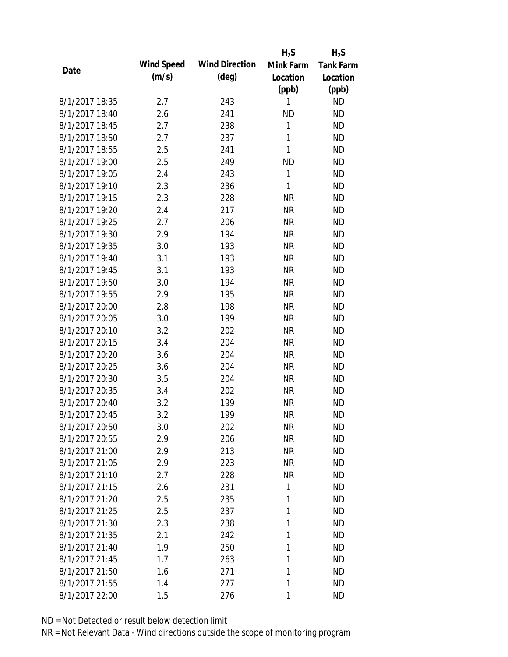|                |            |                       | $H_2S$       | $H_2S$           |
|----------------|------------|-----------------------|--------------|------------------|
| Date           | Wind Speed | <b>Wind Direction</b> | Mink Farm    | <b>Tank Farm</b> |
|                | (m/s)      | $(\text{deg})$        | Location     | Location         |
|                |            |                       | (ppb)        | (ppb)            |
| 8/1/2017 18:35 | 2.7        | 243                   | 1            | <b>ND</b>        |
| 8/1/2017 18:40 | 2.6        | 241                   | <b>ND</b>    | <b>ND</b>        |
| 8/1/2017 18:45 | 2.7        | 238                   | 1            | <b>ND</b>        |
| 8/1/2017 18:50 | 2.7        | 237                   | $\mathbf{1}$ | <b>ND</b>        |
| 8/1/2017 18:55 | 2.5        | 241                   | 1            | <b>ND</b>        |
| 8/1/2017 19:00 | 2.5        | 249                   | <b>ND</b>    | <b>ND</b>        |
| 8/1/2017 19:05 | 2.4        | 243                   | 1            | <b>ND</b>        |
| 8/1/2017 19:10 | 2.3        | 236                   | 1            | <b>ND</b>        |
| 8/1/2017 19:15 | 2.3        | 228                   | <b>NR</b>    | <b>ND</b>        |
| 8/1/2017 19:20 | 2.4        | 217                   | <b>NR</b>    | <b>ND</b>        |
| 8/1/2017 19:25 | 2.7        | 206                   | <b>NR</b>    | <b>ND</b>        |
| 8/1/2017 19:30 | 2.9        | 194                   | <b>NR</b>    | <b>ND</b>        |
| 8/1/2017 19:35 | 3.0        | 193                   | <b>NR</b>    | <b>ND</b>        |
| 8/1/2017 19:40 | 3.1        | 193                   | <b>NR</b>    | <b>ND</b>        |
| 8/1/2017 19:45 | 3.1        | 193                   | <b>NR</b>    | <b>ND</b>        |
| 8/1/2017 19:50 | 3.0        | 194                   | <b>NR</b>    | <b>ND</b>        |
| 8/1/2017 19:55 | 2.9        | 195                   | <b>NR</b>    | <b>ND</b>        |
| 8/1/2017 20:00 | 2.8        | 198                   | <b>NR</b>    | <b>ND</b>        |
| 8/1/2017 20:05 | 3.0        | 199                   | <b>NR</b>    | <b>ND</b>        |
| 8/1/2017 20:10 | 3.2        | 202                   | <b>NR</b>    | <b>ND</b>        |
| 8/1/2017 20:15 | 3.4        | 204                   | <b>NR</b>    | <b>ND</b>        |
| 8/1/2017 20:20 | 3.6        | 204                   | <b>NR</b>    | <b>ND</b>        |
| 8/1/2017 20:25 | 3.6        | 204                   | <b>NR</b>    | <b>ND</b>        |
| 8/1/2017 20:30 | 3.5        | 204                   | <b>NR</b>    | <b>ND</b>        |
| 8/1/2017 20:35 | 3.4        | 202                   | <b>NR</b>    | <b>ND</b>        |
| 8/1/2017 20:40 | 3.2        | 199                   | <b>NR</b>    | <b>ND</b>        |
| 8/1/2017 20:45 | 3.2        | 199                   | <b>NR</b>    | <b>ND</b>        |
| 8/1/2017 20:50 | 3.0        | 202                   | <b>NR</b>    | <b>ND</b>        |
| 8/1/2017 20:55 | 2.9        | 206                   | <b>NR</b>    | <b>ND</b>        |
| 8/1/2017 21:00 | 2.9        | 213                   | <b>NR</b>    | <b>ND</b>        |
| 8/1/2017 21:05 | 2.9        | 223                   | <b>NR</b>    | <b>ND</b>        |
| 8/1/2017 21:10 | 2.7        | 228                   | <b>NR</b>    | <b>ND</b>        |
| 8/1/2017 21:15 | 2.6        | 231                   | 1            | <b>ND</b>        |
| 8/1/2017 21:20 | 2.5        | 235                   | 1            | <b>ND</b>        |
| 8/1/2017 21:25 | 2.5        | 237                   | 1            | <b>ND</b>        |
| 8/1/2017 21:30 | 2.3        | 238                   | 1            | <b>ND</b>        |
| 8/1/2017 21:35 | 2.1        | 242                   | 1            | <b>ND</b>        |
| 8/1/2017 21:40 | 1.9        | 250                   | 1            | <b>ND</b>        |
| 8/1/2017 21:45 | 1.7        | 263                   | 1            | <b>ND</b>        |
| 8/1/2017 21:50 | 1.6        | 271                   | 1            | <b>ND</b>        |
| 8/1/2017 21:55 | 1.4        | 277                   | 1            | <b>ND</b>        |
| 8/1/2017 22:00 | 1.5        | 276                   | 1            | <b>ND</b>        |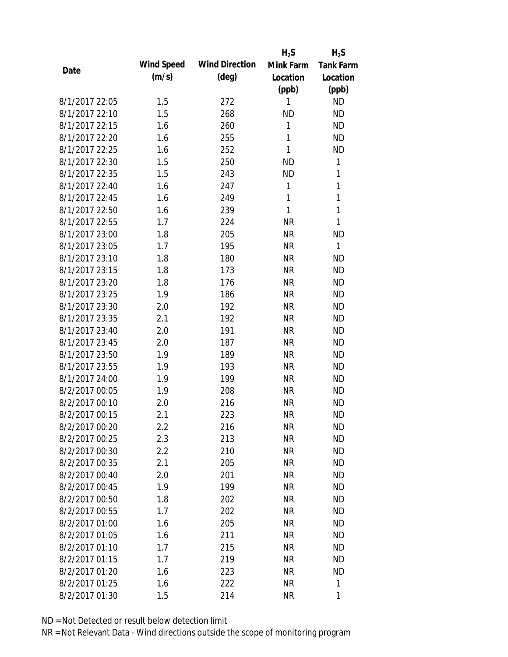|                |            |                       | $H_2S$       | $H_2S$           |
|----------------|------------|-----------------------|--------------|------------------|
| Date           | Wind Speed | <b>Wind Direction</b> | Mink Farm    | <b>Tank Farm</b> |
|                | (m/s)      | $(\text{deg})$        | Location     | Location         |
|                |            |                       | (ppb)        | (ppb)            |
| 8/1/2017 22:05 | 1.5        | 272                   | 1            | <b>ND</b>        |
| 8/1/2017 22:10 | 1.5        | 268                   | <b>ND</b>    | <b>ND</b>        |
| 8/1/2017 22:15 | 1.6        | 260                   | $\mathbf{1}$ | <b>ND</b>        |
| 8/1/2017 22:20 | 1.6        | 255                   | 1            | <b>ND</b>        |
| 8/1/2017 22:25 | 1.6        | 252                   | 1            | <b>ND</b>        |
| 8/1/2017 22:30 | 1.5        | 250                   | <b>ND</b>    | 1                |
| 8/1/2017 22:35 | 1.5        | 243                   | <b>ND</b>    | 1                |
| 8/1/2017 22:40 | 1.6        | 247                   | 1            | 1                |
| 8/1/2017 22:45 | 1.6        | 249                   | 1            | 1                |
| 8/1/2017 22:50 | 1.6        | 239                   | 1            | 1                |
| 8/1/2017 22:55 | 1.7        | 224                   | <b>NR</b>    | 1                |
| 8/1/2017 23:00 | 1.8        | 205                   | <b>NR</b>    | <b>ND</b>        |
| 8/1/2017 23:05 | 1.7        | 195                   | <b>NR</b>    | $\mathbf{1}$     |
| 8/1/2017 23:10 | 1.8        | 180                   | <b>NR</b>    | <b>ND</b>        |
| 8/1/2017 23:15 | 1.8        | 173                   | <b>NR</b>    | <b>ND</b>        |
| 8/1/2017 23:20 | 1.8        | 176                   | <b>NR</b>    | <b>ND</b>        |
| 8/1/2017 23:25 | 1.9        | 186                   | <b>NR</b>    | <b>ND</b>        |
| 8/1/2017 23:30 | 2.0        | 192                   | <b>NR</b>    | <b>ND</b>        |
| 8/1/2017 23:35 | 2.1        | 192                   | <b>NR</b>    | <b>ND</b>        |
| 8/1/2017 23:40 | 2.0        | 191                   | <b>NR</b>    | <b>ND</b>        |
| 8/1/2017 23:45 | 2.0        | 187                   | <b>NR</b>    | <b>ND</b>        |
| 8/1/2017 23:50 | 1.9        | 189                   | <b>NR</b>    | <b>ND</b>        |
| 8/1/2017 23:55 | 1.9        | 193                   | <b>NR</b>    | <b>ND</b>        |
| 8/1/2017 24:00 | 1.9        | 199                   | <b>NR</b>    | <b>ND</b>        |
| 8/2/2017 00:05 | 1.9        | 208                   | <b>NR</b>    | <b>ND</b>        |
| 8/2/2017 00:10 | 2.0        | 216                   | <b>NR</b>    | <b>ND</b>        |
| 8/2/2017 00:15 | 2.1        | 223                   | <b>NR</b>    | <b>ND</b>        |
| 8/2/2017 00:20 | $2.2\,$    | 216                   | <b>NR</b>    | <b>ND</b>        |
| 8/2/2017 00:25 | 2.3        | 213                   | <b>NR</b>    | <b>ND</b>        |
| 8/2/2017 00:30 | 2.2        | 210                   | <b>NR</b>    | <b>ND</b>        |
| 8/2/2017 00:35 | 2.1        | 205                   | <b>NR</b>    | <b>ND</b>        |
| 8/2/2017 00:40 | 2.0        | 201                   | <b>NR</b>    | <b>ND</b>        |
| 8/2/2017 00:45 | 1.9        | 199                   | <b>NR</b>    | <b>ND</b>        |
| 8/2/2017 00:50 | 1.8        | 202                   | <b>NR</b>    | <b>ND</b>        |
| 8/2/2017 00:55 | 1.7        | 202                   | <b>NR</b>    | <b>ND</b>        |
| 8/2/2017 01:00 | 1.6        | 205                   | <b>NR</b>    | <b>ND</b>        |
| 8/2/2017 01:05 | 1.6        | 211                   | <b>NR</b>    | <b>ND</b>        |
| 8/2/2017 01:10 | 1.7        | 215                   | <b>NR</b>    | <b>ND</b>        |
| 8/2/2017 01:15 | 1.7        | 219                   | <b>NR</b>    | <b>ND</b>        |
| 8/2/2017 01:20 | 1.6        | 223                   | <b>NR</b>    | <b>ND</b>        |
| 8/2/2017 01:25 | 1.6        | 222                   | <b>NR</b>    | 1                |
| 8/2/2017 01:30 | 1.5        | 214                   | <b>NR</b>    | 1                |
|                |            |                       |              |                  |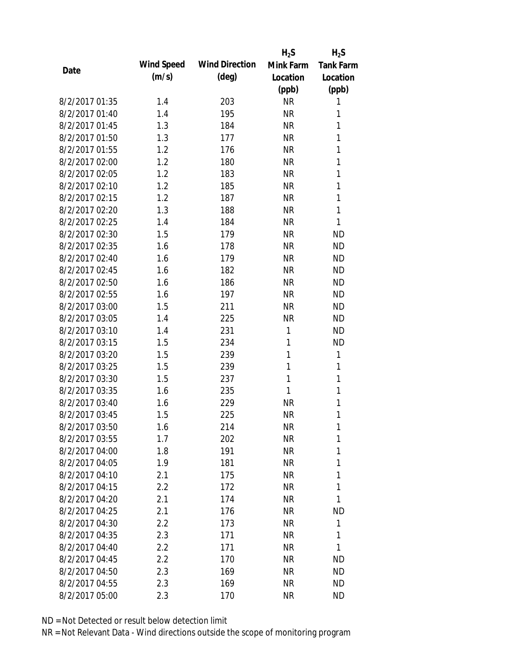|                |            |                       | $H_2S$    | $H_2S$           |
|----------------|------------|-----------------------|-----------|------------------|
| Date           | Wind Speed | <b>Wind Direction</b> | Mink Farm | <b>Tank Farm</b> |
|                | (m/s)      | $(\text{deg})$        | Location  | Location         |
|                |            |                       | (ppb)     | (ppb)            |
| 8/2/2017 01:35 | 1.4        | 203                   | <b>NR</b> | 1                |
| 8/2/2017 01:40 | 1.4        | 195                   | <b>NR</b> | 1                |
| 8/2/2017 01:45 | 1.3        | 184                   | <b>NR</b> | 1                |
| 8/2/2017 01:50 | 1.3        | 177                   | <b>NR</b> | 1                |
| 8/2/2017 01:55 | 1.2        | 176                   | <b>NR</b> | 1                |
| 8/2/2017 02:00 | 1.2        | 180                   | <b>NR</b> | 1                |
| 8/2/2017 02:05 | 1.2        | 183                   | <b>NR</b> | 1                |
| 8/2/2017 02:10 | 1.2        | 185                   | <b>NR</b> | 1                |
| 8/2/2017 02:15 | 1.2        | 187                   | <b>NR</b> | 1                |
| 8/2/2017 02:20 | 1.3        | 188                   | <b>NR</b> | 1                |
| 8/2/2017 02:25 | 1.4        | 184                   | <b>NR</b> | 1                |
| 8/2/2017 02:30 | 1.5        | 179                   | <b>NR</b> | <b>ND</b>        |
| 8/2/2017 02:35 | 1.6        | 178                   | <b>NR</b> | <b>ND</b>        |
| 8/2/2017 02:40 | 1.6        | 179                   | <b>NR</b> | <b>ND</b>        |
| 8/2/2017 02:45 | 1.6        | 182                   | <b>NR</b> | <b>ND</b>        |
| 8/2/2017 02:50 | 1.6        | 186                   | <b>NR</b> | <b>ND</b>        |
| 8/2/2017 02:55 | 1.6        | 197                   | <b>NR</b> | <b>ND</b>        |
| 8/2/2017 03:00 | 1.5        | 211                   | <b>NR</b> | <b>ND</b>        |
| 8/2/2017 03:05 | 1.4        | 225                   | <b>NR</b> | <b>ND</b>        |
| 8/2/2017 03:10 | 1.4        | 231                   | 1         | <b>ND</b>        |
| 8/2/2017 03:15 | 1.5        | 234                   | 1         | <b>ND</b>        |
| 8/2/2017 03:20 | 1.5        | 239                   | 1         | 1                |
| 8/2/2017 03:25 | 1.5        | 239                   | 1         | 1                |
| 8/2/2017 03:30 | 1.5        | 237                   | 1         | 1                |
| 8/2/2017 03:35 | 1.6        | 235                   | 1         | 1                |
| 8/2/2017 03:40 | 1.6        | 229                   | <b>NR</b> | 1                |
| 8/2/2017 03:45 | 1.5        | 225                   | <b>NR</b> | 1                |
| 8/2/2017 03:50 | 1.6        | 214                   | <b>NR</b> | 1                |
| 8/2/2017 03:55 | 1.7        | 202                   | <b>NR</b> | 1                |
| 8/2/2017 04:00 | 1.8        | 191                   | <b>NR</b> | 1                |
| 8/2/2017 04:05 | 1.9        | 181                   | <b>NR</b> | 1                |
| 8/2/2017 04:10 | 2.1        | 175                   | <b>NR</b> | 1                |
| 8/2/2017 04:15 | 2.2        | 172                   | <b>NR</b> | 1                |
| 8/2/2017 04:20 | 2.1        | 174                   | <b>NR</b> | 1                |
| 8/2/2017 04:25 | 2.1        | 176                   | <b>NR</b> | <b>ND</b>        |
| 8/2/2017 04:30 | 2.2        | 173                   | <b>NR</b> | 1                |
| 8/2/2017 04:35 | 2.3        | 171                   | <b>NR</b> | 1                |
| 8/2/2017 04:40 | 2.2        | 171                   | <b>NR</b> | 1                |
| 8/2/2017 04:45 | 2.2        | 170                   | <b>NR</b> | <b>ND</b>        |
| 8/2/2017 04:50 | 2.3        | 169                   | NR        | <b>ND</b>        |
| 8/2/2017 04:55 | 2.3        | 169                   | <b>NR</b> | <b>ND</b>        |
| 8/2/2017 05:00 | 2.3        | 170                   | <b>NR</b> | <b>ND</b>        |
|                |            |                       |           |                  |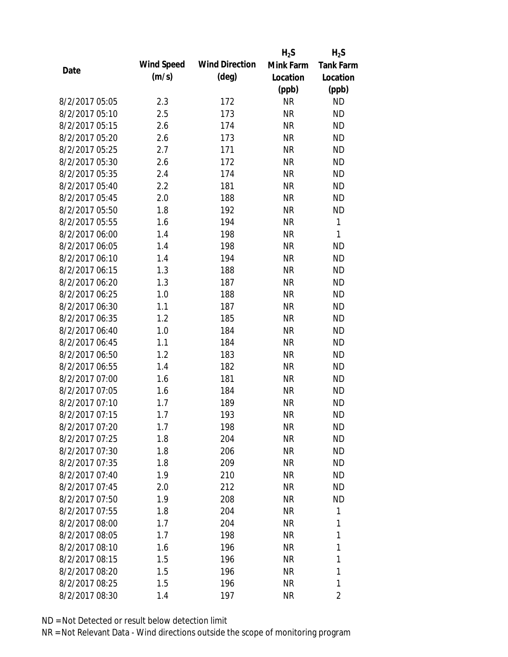|      |                |            |                       | $H_2S$    | $H_2S$           |
|------|----------------|------------|-----------------------|-----------|------------------|
|      |                | Wind Speed | <b>Wind Direction</b> | Mink Farm | <b>Tank Farm</b> |
| Date |                | (m/s)      | $(\text{deg})$        | Location  | Location         |
|      |                |            |                       | (ppb)     | (ppb)            |
|      | 8/2/2017 05:05 | 2.3        | 172                   | <b>NR</b> | <b>ND</b>        |
|      | 8/2/2017 05:10 | 2.5        | 173                   | <b>NR</b> | <b>ND</b>        |
|      | 8/2/2017 05:15 | 2.6        | 174                   | <b>NR</b> | <b>ND</b>        |
|      | 8/2/2017 05:20 | 2.6        | 173                   | <b>NR</b> | <b>ND</b>        |
|      | 8/2/2017 05:25 | 2.7        | 171                   | <b>NR</b> | <b>ND</b>        |
|      | 8/2/2017 05:30 | 2.6        | 172                   | <b>NR</b> | <b>ND</b>        |
|      | 8/2/2017 05:35 | 2.4        | 174                   | <b>NR</b> | <b>ND</b>        |
|      | 8/2/2017 05:40 | 2.2        | 181                   | <b>NR</b> | <b>ND</b>        |
|      | 8/2/2017 05:45 | 2.0        | 188                   | <b>NR</b> | <b>ND</b>        |
|      | 8/2/2017 05:50 | 1.8        | 192                   | <b>NR</b> | <b>ND</b>        |
|      | 8/2/2017 05:55 | 1.6        | 194                   | <b>NR</b> | $\mathbf{1}$     |
|      | 8/2/2017 06:00 | 1.4        | 198                   | <b>NR</b> | 1                |
|      | 8/2/2017 06:05 | 1.4        | 198                   | <b>NR</b> | <b>ND</b>        |
|      | 8/2/2017 06:10 | 1.4        | 194                   | <b>NR</b> | <b>ND</b>        |
|      | 8/2/2017 06:15 | 1.3        | 188                   | <b>NR</b> | <b>ND</b>        |
|      | 8/2/2017 06:20 | 1.3        | 187                   | <b>NR</b> | <b>ND</b>        |
|      | 8/2/2017 06:25 | 1.0        | 188                   | <b>NR</b> | <b>ND</b>        |
|      | 8/2/2017 06:30 | 1.1        | 187                   | <b>NR</b> | <b>ND</b>        |
|      | 8/2/2017 06:35 | 1.2        | 185                   | <b>NR</b> | <b>ND</b>        |
|      | 8/2/2017 06:40 | 1.0        | 184                   | <b>NR</b> | <b>ND</b>        |
|      | 8/2/2017 06:45 | 1.1        | 184                   | <b>NR</b> | <b>ND</b>        |
|      | 8/2/2017 06:50 | 1.2        | 183                   | <b>NR</b> | <b>ND</b>        |
|      | 8/2/2017 06:55 | 1.4        | 182                   | <b>NR</b> | <b>ND</b>        |
|      | 8/2/2017 07:00 | 1.6        | 181                   | <b>NR</b> | <b>ND</b>        |
|      | 8/2/2017 07:05 | 1.6        | 184                   | <b>NR</b> | <b>ND</b>        |
|      | 8/2/2017 07:10 | 1.7        | 189                   | <b>NR</b> | <b>ND</b>        |
|      | 8/2/2017 07:15 | 1.7        | 193                   | <b>NR</b> | <b>ND</b>        |
|      | 8/2/2017 07:20 | 1.7        | 198                   | <b>NR</b> | <b>ND</b>        |
|      | 8/2/2017 07:25 | 1.8        | 204                   | <b>NR</b> | <b>ND</b>        |
|      | 8/2/2017 07:30 | 1.8        | 206                   | <b>NR</b> | ND               |
|      | 8/2/2017 07:35 | 1.8        | 209                   | <b>NR</b> | <b>ND</b>        |
|      | 8/2/2017 07:40 | 1.9        | 210                   | <b>NR</b> | <b>ND</b>        |
|      | 8/2/2017 07:45 | 2.0        | 212                   | <b>NR</b> | ND               |
|      | 8/2/2017 07:50 | 1.9        | 208                   | <b>NR</b> | <b>ND</b>        |
|      | 8/2/2017 07:55 | 1.8        | 204                   | <b>NR</b> | 1                |
|      | 8/2/2017 08:00 | 1.7        | 204                   | <b>NR</b> | 1                |
|      | 8/2/2017 08:05 | 1.7        | 198                   | <b>NR</b> | 1                |
|      | 8/2/2017 08:10 | 1.6        | 196                   | <b>NR</b> | 1                |
|      | 8/2/2017 08:15 | 1.5        | 196                   | <b>NR</b> | 1                |
|      | 8/2/2017 08:20 | 1.5        | 196                   | <b>NR</b> | 1                |
|      | 8/2/2017 08:25 | 1.5        | 196                   | <b>NR</b> | 1                |
|      | 8/2/2017 08:30 | 1.4        | 197                   | <b>NR</b> | $\overline{2}$   |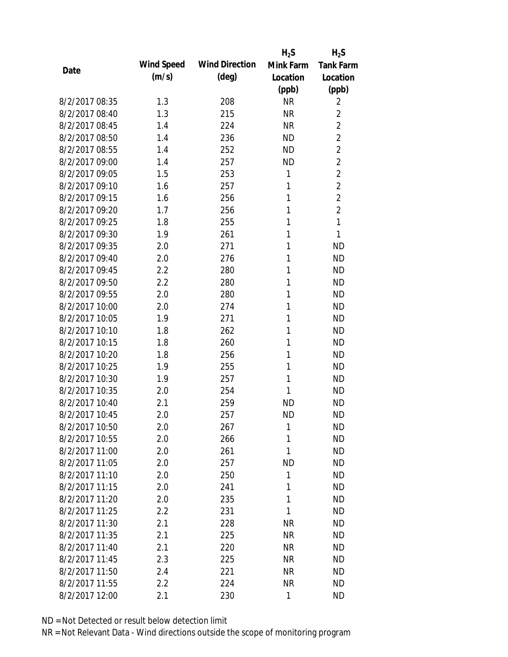|                |            |                       | $H_2S$    | $H_2S$           |
|----------------|------------|-----------------------|-----------|------------------|
| Date           | Wind Speed | <b>Wind Direction</b> | Mink Farm | <b>Tank Farm</b> |
|                | (m/s)      | $(\text{deg})$        | Location  | Location         |
|                |            |                       | (ppb)     | (ppb)            |
| 8/2/2017 08:35 | 1.3        | 208                   | <b>NR</b> | 2                |
| 8/2/2017 08:40 | 1.3        | 215                   | <b>NR</b> | $\overline{2}$   |
| 8/2/2017 08:45 | 1.4        | 224                   | <b>NR</b> | $\overline{2}$   |
| 8/2/2017 08:50 | 1.4        | 236                   | <b>ND</b> | $\overline{2}$   |
| 8/2/2017 08:55 | 1.4        | 252                   | <b>ND</b> | $\overline{2}$   |
| 8/2/2017 09:00 | 1.4        | 257                   | <b>ND</b> | $\overline{2}$   |
| 8/2/2017 09:05 | 1.5        | 253                   | 1         | $\overline{2}$   |
| 8/2/2017 09:10 | 1.6        | 257                   | 1         | $\overline{2}$   |
| 8/2/2017 09:15 | 1.6        | 256                   | 1         | $\overline{2}$   |
| 8/2/2017 09:20 | 1.7        | 256                   | 1         | $\overline{2}$   |
| 8/2/2017 09:25 | 1.8        | 255                   | 1         | 1                |
| 8/2/2017 09:30 | 1.9        | 261                   | 1         | 1                |
| 8/2/2017 09:35 | 2.0        | 271                   | 1         | <b>ND</b>        |
| 8/2/2017 09:40 | 2.0        | 276                   | 1         | <b>ND</b>        |
| 8/2/2017 09:45 | 2.2        | 280                   | 1         | <b>ND</b>        |
| 8/2/2017 09:50 | 2.2        | 280                   | 1         | <b>ND</b>        |
| 8/2/2017 09:55 | 2.0        | 280                   | 1         | <b>ND</b>        |
| 8/2/2017 10:00 | 2.0        | 274                   | 1         | <b>ND</b>        |
| 8/2/2017 10:05 | 1.9        | 271                   | 1         | <b>ND</b>        |
| 8/2/2017 10:10 | 1.8        | 262                   | 1         | <b>ND</b>        |
| 8/2/2017 10:15 | 1.8        | 260                   | 1         | <b>ND</b>        |
| 8/2/2017 10:20 | 1.8        | 256                   | 1         | <b>ND</b>        |
| 8/2/2017 10:25 | 1.9        | 255                   | 1         | <b>ND</b>        |
| 8/2/2017 10:30 | 1.9        | 257                   | 1         | <b>ND</b>        |
| 8/2/2017 10:35 | 2.0        | 254                   | 1         | <b>ND</b>        |
| 8/2/2017 10:40 | 2.1        | 259                   | <b>ND</b> | <b>ND</b>        |
| 8/2/2017 10:45 | 2.0        | 257                   | <b>ND</b> | <b>ND</b>        |
| 8/2/2017 10:50 | 2.0        | 267                   | 1         | <b>ND</b>        |
| 8/2/2017 10:55 | 2.0        | 266                   | 1         | <b>ND</b>        |
| 8/2/2017 11:00 | 2.0        | 261                   | 1         | <b>ND</b>        |
| 8/2/2017 11:05 | 2.0        | 257                   | <b>ND</b> | <b>ND</b>        |
| 8/2/2017 11:10 | 2.0        | 250                   | 1         | <b>ND</b>        |
| 8/2/2017 11:15 | 2.0        | 241                   | 1         | <b>ND</b>        |
| 8/2/2017 11:20 | 2.0        | 235                   | 1         | <b>ND</b>        |
| 8/2/2017 11:25 | 2.2        | 231                   | 1         | <b>ND</b>        |
| 8/2/2017 11:30 | 2.1        | 228                   | <b>NR</b> | <b>ND</b>        |
| 8/2/2017 11:35 | 2.1        | 225                   | <b>NR</b> | <b>ND</b>        |
| 8/2/2017 11:40 | 2.1        | 220                   | <b>NR</b> | <b>ND</b>        |
| 8/2/2017 11:45 | 2.3        | 225                   | <b>NR</b> | <b>ND</b>        |
| 8/2/2017 11:50 | 2.4        | 221                   | <b>NR</b> | <b>ND</b>        |
| 8/2/2017 11:55 | 2.2        | 224                   | <b>NR</b> | <b>ND</b>        |
| 8/2/2017 12:00 | 2.1        | 230                   | 1         | <b>ND</b>        |
|                |            |                       |           |                  |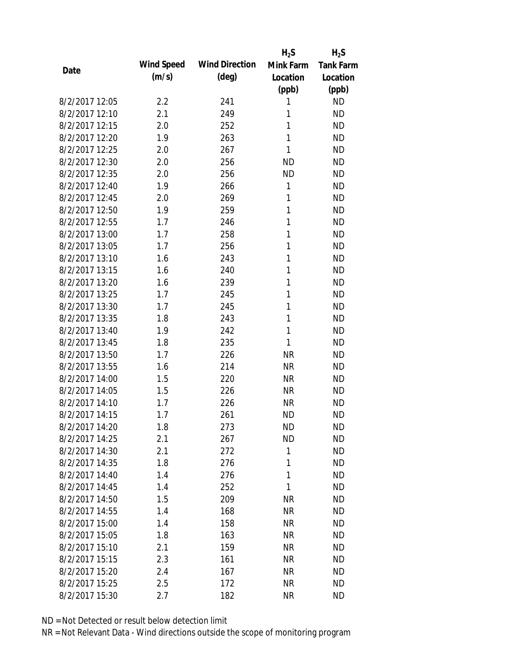|                |            |                       | $H_2S$    | $H_2S$           |
|----------------|------------|-----------------------|-----------|------------------|
| Date           | Wind Speed | <b>Wind Direction</b> | Mink Farm | <b>Tank Farm</b> |
|                | (m/s)      | $(\text{deg})$        | Location  | Location         |
|                |            |                       | (ppb)     | (ppb)            |
| 8/2/2017 12:05 | 2.2        | 241                   | 1         | <b>ND</b>        |
| 8/2/2017 12:10 | 2.1        | 249                   | 1         | <b>ND</b>        |
| 8/2/2017 12:15 | 2.0        | 252                   | 1         | <b>ND</b>        |
| 8/2/2017 12:20 | 1.9        | 263                   | 1         | <b>ND</b>        |
| 8/2/2017 12:25 | 2.0        | 267                   | 1         | <b>ND</b>        |
| 8/2/2017 12:30 | 2.0        | 256                   | <b>ND</b> | <b>ND</b>        |
| 8/2/2017 12:35 | 2.0        | 256                   | <b>ND</b> | <b>ND</b>        |
| 8/2/2017 12:40 | 1.9        | 266                   | 1         | <b>ND</b>        |
| 8/2/2017 12:45 | 2.0        | 269                   | 1         | <b>ND</b>        |
| 8/2/2017 12:50 | 1.9        | 259                   | 1         | <b>ND</b>        |
| 8/2/2017 12:55 | 1.7        | 246                   | 1         | <b>ND</b>        |
| 8/2/2017 13:00 | 1.7        | 258                   | 1         | <b>ND</b>        |
| 8/2/2017 13:05 | 1.7        | 256                   | 1         | <b>ND</b>        |
| 8/2/2017 13:10 | 1.6        | 243                   | 1         | <b>ND</b>        |
| 8/2/2017 13:15 | 1.6        | 240                   | 1         | <b>ND</b>        |
| 8/2/2017 13:20 | 1.6        | 239                   | 1         | <b>ND</b>        |
| 8/2/2017 13:25 | 1.7        | 245                   | 1         | <b>ND</b>        |
| 8/2/2017 13:30 | 1.7        | 245                   | 1         | <b>ND</b>        |
| 8/2/2017 13:35 | 1.8        | 243                   | 1         | <b>ND</b>        |
| 8/2/2017 13:40 | 1.9        | 242                   | 1         | <b>ND</b>        |
| 8/2/2017 13:45 | 1.8        | 235                   | 1         | <b>ND</b>        |
| 8/2/2017 13:50 | 1.7        | 226                   | <b>NR</b> | <b>ND</b>        |
| 8/2/2017 13:55 | 1.6        | 214                   | <b>NR</b> | <b>ND</b>        |
| 8/2/2017 14:00 | 1.5        | 220                   | <b>NR</b> | <b>ND</b>        |
| 8/2/2017 14:05 | 1.5        | 226                   | <b>NR</b> | <b>ND</b>        |
| 8/2/2017 14:10 | 1.7        | 226                   | <b>NR</b> | <b>ND</b>        |
| 8/2/2017 14:15 | 1.7        | 261                   | <b>ND</b> | <b>ND</b>        |
| 8/2/2017 14:20 | 1.8        | 273                   | <b>ND</b> | <b>ND</b>        |
| 8/2/2017 14:25 | 2.1        | 267                   | <b>ND</b> | <b>ND</b>        |
| 8/2/2017 14:30 | 2.1        | 272                   | 1         | <b>ND</b>        |
| 8/2/2017 14:35 | 1.8        | 276                   | 1         | <b>ND</b>        |
| 8/2/2017 14:40 | 1.4        | 276                   | 1         | <b>ND</b>        |
| 8/2/2017 14:45 | 1.4        | 252                   | 1         | <b>ND</b>        |
| 8/2/2017 14:50 | 1.5        | 209                   | <b>NR</b> | <b>ND</b>        |
| 8/2/2017 14:55 | 1.4        | 168                   | <b>NR</b> | <b>ND</b>        |
| 8/2/2017 15:00 | 1.4        | 158                   | <b>NR</b> | <b>ND</b>        |
| 8/2/2017 15:05 | 1.8        | 163                   | <b>NR</b> | <b>ND</b>        |
| 8/2/2017 15:10 | 2.1        | 159                   | NR        | <b>ND</b>        |
| 8/2/2017 15:15 | 2.3        | 161                   | <b>NR</b> | <b>ND</b>        |
| 8/2/2017 15:20 | 2.4        | 167                   | <b>NR</b> | <b>ND</b>        |
| 8/2/2017 15:25 | 2.5        | 172                   | <b>NR</b> | <b>ND</b>        |
| 8/2/2017 15:30 | 2.7        | 182                   | <b>NR</b> | <b>ND</b>        |
|                |            |                       |           |                  |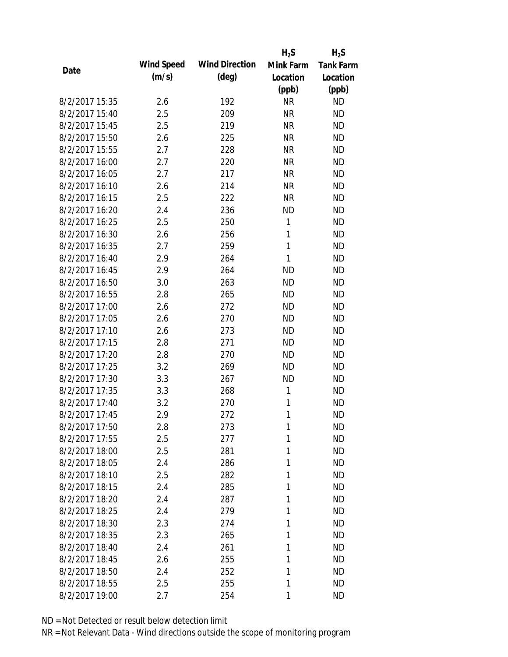|                |            |                       | $H_2S$    | $H_2S$           |
|----------------|------------|-----------------------|-----------|------------------|
| Date           | Wind Speed | <b>Wind Direction</b> | Mink Farm | <b>Tank Farm</b> |
|                | (m/s)      | $(\text{deg})$        | Location  | Location         |
|                |            |                       | (ppb)     | (ppb)            |
| 8/2/2017 15:35 | 2.6        | 192                   | <b>NR</b> | <b>ND</b>        |
| 8/2/2017 15:40 | 2.5        | 209                   | <b>NR</b> | <b>ND</b>        |
| 8/2/2017 15:45 | 2.5        | 219                   | <b>NR</b> | <b>ND</b>        |
| 8/2/2017 15:50 | 2.6        | 225                   | <b>NR</b> | <b>ND</b>        |
| 8/2/2017 15:55 | 2.7        | 228                   | <b>NR</b> | <b>ND</b>        |
| 8/2/2017 16:00 | 2.7        | 220                   | <b>NR</b> | <b>ND</b>        |
| 8/2/2017 16:05 | 2.7        | 217                   | <b>NR</b> | <b>ND</b>        |
| 8/2/2017 16:10 | 2.6        | 214                   | <b>NR</b> | <b>ND</b>        |
| 8/2/2017 16:15 | 2.5        | 222                   | <b>NR</b> | <b>ND</b>        |
| 8/2/2017 16:20 | 2.4        | 236                   | <b>ND</b> | <b>ND</b>        |
| 8/2/2017 16:25 | 2.5        | 250                   | 1         | <b>ND</b>        |
| 8/2/2017 16:30 | 2.6        | 256                   | 1         | <b>ND</b>        |
| 8/2/2017 16:35 | 2.7        | 259                   | 1         | <b>ND</b>        |
| 8/2/2017 16:40 | 2.9        | 264                   | 1         | <b>ND</b>        |
| 8/2/2017 16:45 | 2.9        | 264                   | <b>ND</b> | <b>ND</b>        |
| 8/2/2017 16:50 | 3.0        | 263                   | <b>ND</b> | <b>ND</b>        |
| 8/2/2017 16:55 | 2.8        | 265                   | <b>ND</b> | <b>ND</b>        |
| 8/2/2017 17:00 | 2.6        | 272                   | <b>ND</b> | <b>ND</b>        |
| 8/2/2017 17:05 | 2.6        | 270                   | <b>ND</b> | <b>ND</b>        |
| 8/2/2017 17:10 | 2.6        | 273                   | <b>ND</b> | <b>ND</b>        |
| 8/2/2017 17:15 | 2.8        | 271                   | <b>ND</b> | <b>ND</b>        |
| 8/2/2017 17:20 | 2.8        | 270                   | <b>ND</b> | <b>ND</b>        |
| 8/2/2017 17:25 | 3.2        | 269                   | <b>ND</b> | <b>ND</b>        |
| 8/2/2017 17:30 | 3.3        | 267                   | <b>ND</b> | <b>ND</b>        |
| 8/2/2017 17:35 | 3.3        | 268                   | 1         | <b>ND</b>        |
| 8/2/2017 17:40 | 3.2        | 270                   | 1         | <b>ND</b>        |
| 8/2/2017 17:45 | 2.9        | 272                   | 1         | <b>ND</b>        |
| 8/2/2017 17:50 | 2.8        | 273                   | 1         | <b>ND</b>        |
| 8/2/2017 17:55 | 2.5        | 277                   | 1         | <b>ND</b>        |
| 8/2/2017 18:00 | 2.5        | 281                   | 1         | <b>ND</b>        |
| 8/2/2017 18:05 | 2.4        | 286                   | 1         | <b>ND</b>        |
| 8/2/2017 18:10 | 2.5        | 282                   | 1         | <b>ND</b>        |
| 8/2/2017 18:15 | 2.4        | 285                   | 1         | <b>ND</b>        |
| 8/2/2017 18:20 | 2.4        | 287                   | 1         | <b>ND</b>        |
| 8/2/2017 18:25 | 2.4        | 279                   | 1         | <b>ND</b>        |
| 8/2/2017 18:30 | 2.3        | 274                   | 1         | <b>ND</b>        |
| 8/2/2017 18:35 | 2.3        | 265                   | 1         | <b>ND</b>        |
| 8/2/2017 18:40 | 2.4        | 261                   | 1         | <b>ND</b>        |
| 8/2/2017 18:45 | 2.6        | 255                   | 1         | <b>ND</b>        |
| 8/2/2017 18:50 | 2.4        | 252                   | 1         | <b>ND</b>        |
| 8/2/2017 18:55 |            |                       | 1         | <b>ND</b>        |
|                | 2.5        | 255                   |           |                  |
| 8/2/2017 19:00 | 2.7        | 254                   | 1         | <b>ND</b>        |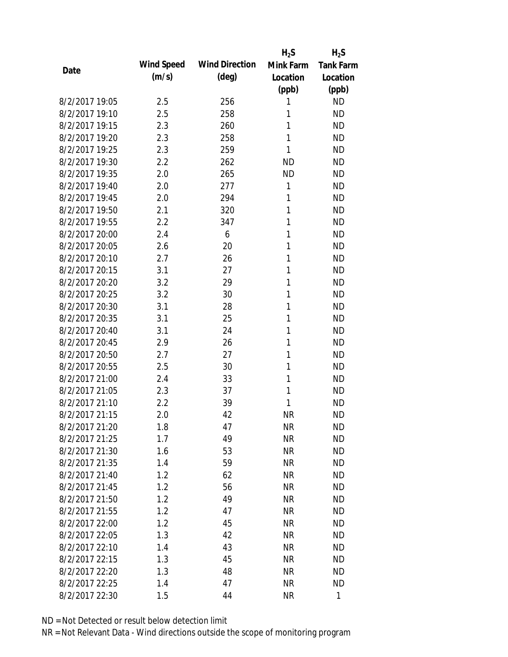|                |            |                       | $H_2S$    | $H_2S$           |
|----------------|------------|-----------------------|-----------|------------------|
| Date           | Wind Speed | <b>Wind Direction</b> | Mink Farm | <b>Tank Farm</b> |
|                | (m/s)      | $(\text{deg})$        | Location  | Location         |
|                |            |                       | (ppb)     | (ppb)            |
| 8/2/2017 19:05 | 2.5        | 256                   | 1         | <b>ND</b>        |
| 8/2/2017 19:10 | 2.5        | 258                   | 1         | <b>ND</b>        |
| 8/2/2017 19:15 | 2.3        | 260                   | 1         | <b>ND</b>        |
| 8/2/2017 19:20 | 2.3        | 258                   | 1         | <b>ND</b>        |
| 8/2/2017 19:25 | 2.3        | 259                   | 1         | <b>ND</b>        |
| 8/2/2017 19:30 | 2.2        | 262                   | <b>ND</b> | <b>ND</b>        |
| 8/2/2017 19:35 | 2.0        | 265                   | <b>ND</b> | <b>ND</b>        |
| 8/2/2017 19:40 | 2.0        | 277                   | 1         | <b>ND</b>        |
| 8/2/2017 19:45 | 2.0        | 294                   | 1         | <b>ND</b>        |
| 8/2/2017 19:50 | 2.1        | 320                   | 1         | <b>ND</b>        |
| 8/2/2017 19:55 | 2.2        | 347                   | 1         | <b>ND</b>        |
| 8/2/2017 20:00 | 2.4        | 6                     | 1         | <b>ND</b>        |
| 8/2/2017 20:05 | 2.6        | 20                    | 1         | <b>ND</b>        |
| 8/2/2017 20:10 | 2.7        | 26                    | 1         | <b>ND</b>        |
| 8/2/2017 20:15 | 3.1        | 27                    | 1         | <b>ND</b>        |
| 8/2/2017 20:20 | 3.2        | 29                    | 1         | <b>ND</b>        |
| 8/2/2017 20:25 | 3.2        | 30                    | 1         | <b>ND</b>        |
| 8/2/2017 20:30 | 3.1        | 28                    | 1         | <b>ND</b>        |
| 8/2/2017 20:35 | 3.1        | 25                    | 1         | <b>ND</b>        |
| 8/2/2017 20:40 | 3.1        | 24                    | 1         | <b>ND</b>        |
| 8/2/2017 20:45 | 2.9        | 26                    | 1         | <b>ND</b>        |
| 8/2/2017 20:50 | 2.7        | 27                    | 1         | <b>ND</b>        |
| 8/2/2017 20:55 | 2.5        | 30                    | 1         | <b>ND</b>        |
| 8/2/2017 21:00 | 2.4        | 33                    | 1         | <b>ND</b>        |
| 8/2/2017 21:05 | 2.3        | 37                    | 1         | <b>ND</b>        |
| 8/2/2017 21:10 | 2.2        | 39                    | 1         | <b>ND</b>        |
| 8/2/2017 21:15 | 2.0        | 42                    | <b>NR</b> | <b>ND</b>        |
| 8/2/2017 21:20 | 1.8        | 47                    | <b>NR</b> | <b>ND</b>        |
| 8/2/2017 21:25 | 1.7        | 49                    | <b>NR</b> | <b>ND</b>        |
| 8/2/2017 21:30 | 1.6        | 53                    | <b>NR</b> | <b>ND</b>        |
| 8/2/2017 21:35 | 1.4        | 59                    | <b>NR</b> | <b>ND</b>        |
| 8/2/2017 21:40 | 1.2        | 62                    | <b>NR</b> | <b>ND</b>        |
| 8/2/2017 21:45 | 1.2        | 56                    | <b>NR</b> | <b>ND</b>        |
| 8/2/2017 21:50 | 1.2        | 49                    | <b>NR</b> | <b>ND</b>        |
| 8/2/2017 21:55 | 1.2        | 47                    | <b>NR</b> | <b>ND</b>        |
| 8/2/2017 22:00 | 1.2        | 45                    | <b>NR</b> | <b>ND</b>        |
| 8/2/2017 22:05 | 1.3        | 42                    | <b>NR</b> | <b>ND</b>        |
| 8/2/2017 22:10 | 1.4        | 43                    | NR        | <b>ND</b>        |
| 8/2/2017 22:15 | 1.3        | 45                    | <b>NR</b> | <b>ND</b>        |
| 8/2/2017 22:20 | 1.3        | 48                    | <b>NR</b> | <b>ND</b>        |
| 8/2/2017 22:25 | 1.4        | 47                    | <b>NR</b> | <b>ND</b>        |
| 8/2/2017 22:30 | 1.5        | 44                    | <b>NR</b> | 1                |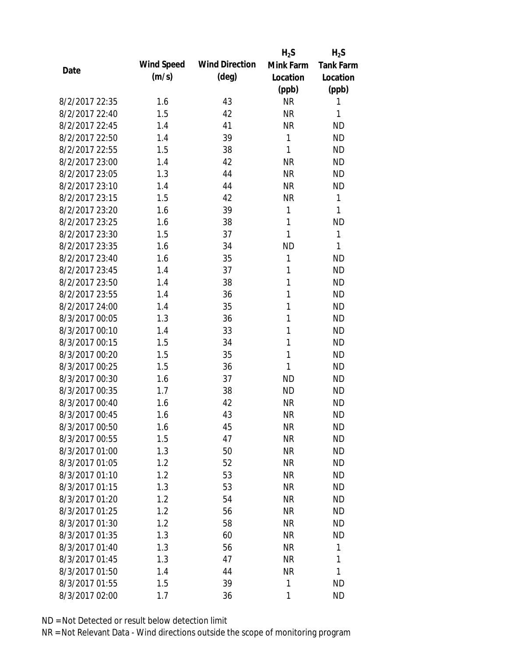|                |            |                       | $H_2S$       | $H_2S$           |
|----------------|------------|-----------------------|--------------|------------------|
| Date           | Wind Speed | <b>Wind Direction</b> | Mink Farm    | <b>Tank Farm</b> |
|                | (m/s)      | $(\text{deg})$        | Location     | Location         |
|                |            |                       | (ppb)        | (ppb)            |
| 8/2/2017 22:35 | 1.6        | 43                    | <b>NR</b>    | 1                |
| 8/2/2017 22:40 | 1.5        | 42                    | <b>NR</b>    | 1                |
| 8/2/2017 22:45 | 1.4        | 41                    | <b>NR</b>    | <b>ND</b>        |
| 8/2/2017 22:50 | 1.4        | 39                    | 1            | <b>ND</b>        |
| 8/2/2017 22:55 | 1.5        | 38                    | $\mathbf{1}$ | <b>ND</b>        |
| 8/2/2017 23:00 | 1.4        | 42                    | <b>NR</b>    | <b>ND</b>        |
| 8/2/2017 23:05 | 1.3        | 44                    | <b>NR</b>    | <b>ND</b>        |
| 8/2/2017 23:10 | 1.4        | 44                    | <b>NR</b>    | <b>ND</b>        |
| 8/2/2017 23:15 | 1.5        | 42                    | <b>NR</b>    | 1                |
| 8/2/2017 23:20 | 1.6        | 39                    | 1            | 1                |
| 8/2/2017 23:25 | 1.6        | 38                    | 1            | <b>ND</b>        |
| 8/2/2017 23:30 | 1.5        | 37                    | 1            | 1                |
| 8/2/2017 23:35 | 1.6        | 34                    | <b>ND</b>    | 1                |
| 8/2/2017 23:40 | 1.6        | 35                    | 1            | <b>ND</b>        |
| 8/2/2017 23:45 | 1.4        | 37                    | 1            | <b>ND</b>        |
| 8/2/2017 23:50 | 1.4        | 38                    | 1            | <b>ND</b>        |
| 8/2/2017 23:55 | 1.4        | 36                    | 1            | <b>ND</b>        |
| 8/2/2017 24:00 | 1.4        | 35                    | 1            | <b>ND</b>        |
| 8/3/2017 00:05 | 1.3        | 36                    | 1            | <b>ND</b>        |
| 8/3/2017 00:10 | 1.4        | 33                    | 1            | <b>ND</b>        |
| 8/3/2017 00:15 | 1.5        | 34                    | 1            | <b>ND</b>        |
| 8/3/2017 00:20 | 1.5        | 35                    | 1            | <b>ND</b>        |
| 8/3/2017 00:25 | 1.5        | 36                    | 1            | <b>ND</b>        |
| 8/3/2017 00:30 | 1.6        | 37                    | <b>ND</b>    | <b>ND</b>        |
| 8/3/2017 00:35 | 1.7        | 38                    | <b>ND</b>    | <b>ND</b>        |
| 8/3/2017 00:40 | 1.6        | 42                    | <b>NR</b>    | <b>ND</b>        |
| 8/3/2017 00:45 | 1.6        | 43                    | <b>NR</b>    | <b>ND</b>        |
| 8/3/2017 00:50 | 1.6        | 45                    | <b>NR</b>    | <b>ND</b>        |
| 8/3/2017 00:55 | 1.5        | 47                    | <b>NR</b>    | <b>ND</b>        |
| 8/3/2017 01:00 | 1.3        | 50                    | <b>NR</b>    | <b>ND</b>        |
| 8/3/2017 01:05 | 1.2        | 52                    | <b>NR</b>    | <b>ND</b>        |
| 8/3/2017 01:10 | 1.2        | 53                    | <b>NR</b>    | <b>ND</b>        |
| 8/3/2017 01:15 | 1.3        | 53                    | <b>NR</b>    | <b>ND</b>        |
| 8/3/2017 01:20 | 1.2        | 54                    | <b>NR</b>    | <b>ND</b>        |
| 8/3/2017 01:25 | 1.2        | 56                    | <b>NR</b>    | <b>ND</b>        |
| 8/3/2017 01:30 | 1.2        | 58                    | <b>NR</b>    | <b>ND</b>        |
| 8/3/2017 01:35 | 1.3        | 60                    | <b>NR</b>    | <b>ND</b>        |
| 8/3/2017 01:40 | 1.3        | 56                    | <b>NR</b>    | 1                |
| 8/3/2017 01:45 | 1.3        | 47                    | <b>NR</b>    | 1                |
| 8/3/2017 01:50 | 1.4        | 44                    | <b>NR</b>    | 1                |
| 8/3/2017 01:55 | 1.5        | 39                    | 1            | <b>ND</b>        |
| 8/3/2017 02:00 | 1.7        | 36                    | 1            | <b>ND</b>        |
|                |            |                       |              |                  |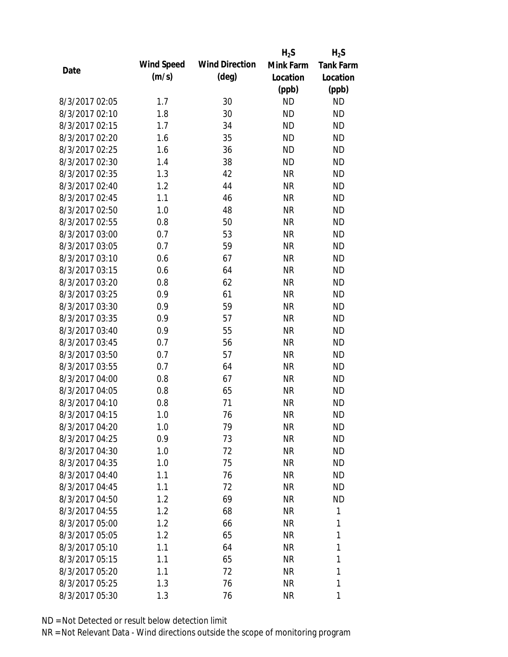|                |            |                       | $H_2S$    | $H_2S$           |
|----------------|------------|-----------------------|-----------|------------------|
| Date           | Wind Speed | <b>Wind Direction</b> | Mink Farm | <b>Tank Farm</b> |
|                | (m/s)      | $(\text{deg})$        | Location  | Location         |
|                |            |                       | (ppb)     | (ppb)            |
| 8/3/2017 02:05 | 1.7        | 30                    | <b>ND</b> | <b>ND</b>        |
| 8/3/2017 02:10 | 1.8        | 30                    | <b>ND</b> | <b>ND</b>        |
| 8/3/2017 02:15 | 1.7        | 34                    | <b>ND</b> | <b>ND</b>        |
| 8/3/2017 02:20 | 1.6        | 35                    | <b>ND</b> | <b>ND</b>        |
| 8/3/2017 02:25 | 1.6        | 36                    | <b>ND</b> | <b>ND</b>        |
| 8/3/2017 02:30 | 1.4        | 38                    | <b>ND</b> | <b>ND</b>        |
| 8/3/2017 02:35 | 1.3        | 42                    | <b>NR</b> | <b>ND</b>        |
| 8/3/2017 02:40 | 1.2        | 44                    | <b>NR</b> | <b>ND</b>        |
| 8/3/2017 02:45 | 1.1        | 46                    | <b>NR</b> | <b>ND</b>        |
| 8/3/2017 02:50 | 1.0        | 48                    | <b>NR</b> | <b>ND</b>        |
| 8/3/2017 02:55 | 0.8        | 50                    | <b>NR</b> | <b>ND</b>        |
| 8/3/2017 03:00 | 0.7        | 53                    | <b>NR</b> | <b>ND</b>        |
| 8/3/2017 03:05 | 0.7        | 59                    | <b>NR</b> | <b>ND</b>        |
| 8/3/2017 03:10 | 0.6        | 67                    | <b>NR</b> | <b>ND</b>        |
| 8/3/2017 03:15 | 0.6        | 64                    | <b>NR</b> | <b>ND</b>        |
| 8/3/2017 03:20 | 0.8        | 62                    | <b>NR</b> | <b>ND</b>        |
| 8/3/2017 03:25 | 0.9        | 61                    | <b>NR</b> | <b>ND</b>        |
| 8/3/2017 03:30 | 0.9        | 59                    | <b>NR</b> | <b>ND</b>        |
| 8/3/2017 03:35 | 0.9        | 57                    | <b>NR</b> | <b>ND</b>        |
| 8/3/2017 03:40 | 0.9        | 55                    | <b>NR</b> | <b>ND</b>        |
| 8/3/2017 03:45 | 0.7        | 56                    | <b>NR</b> | <b>ND</b>        |
| 8/3/2017 03:50 | 0.7        | 57                    | <b>NR</b> | <b>ND</b>        |
| 8/3/2017 03:55 | 0.7        | 64                    | <b>NR</b> | <b>ND</b>        |
| 8/3/2017 04:00 | 0.8        | 67                    | <b>NR</b> | <b>ND</b>        |
| 8/3/2017 04:05 | 0.8        | 65                    | <b>NR</b> | <b>ND</b>        |
| 8/3/2017 04:10 | 0.8        | 71                    | <b>NR</b> | <b>ND</b>        |
| 8/3/2017 04:15 | 1.0        | 76                    | <b>NR</b> | <b>ND</b>        |
| 8/3/2017 04:20 | 1.0        | 79                    | <b>NR</b> | <b>ND</b>        |
| 8/3/2017 04:25 | 0.9        | 73                    | <b>NR</b> | <b>ND</b>        |
| 8/3/2017 04:30 | 1.0        | 72                    | <b>NR</b> | ND               |
| 8/3/2017 04:35 | 1.0        | 75                    | <b>NR</b> | <b>ND</b>        |
| 8/3/2017 04:40 | 1.1        | 76                    | <b>NR</b> | ND               |
| 8/3/2017 04:45 | 1.1        | 72                    | <b>NR</b> | <b>ND</b>        |
| 8/3/2017 04:50 | 1.2        | 69                    | <b>NR</b> | <b>ND</b>        |
| 8/3/2017 04:55 | 1.2        | 68                    | <b>NR</b> | 1                |
| 8/3/2017 05:00 | 1.2        | 66                    | <b>NR</b> | 1                |
| 8/3/2017 05:05 | 1.2        | 65                    | <b>NR</b> | 1                |
| 8/3/2017 05:10 | 1.1        | 64                    | <b>NR</b> | 1                |
| 8/3/2017 05:15 | 1.1        | 65                    | <b>NR</b> | 1                |
| 8/3/2017 05:20 | 1.1        | 72                    | <b>NR</b> | 1                |
| 8/3/2017 05:25 | 1.3        | 76                    | <b>NR</b> | 1                |
| 8/3/2017 05:30 | 1.3        | 76                    | <b>NR</b> | 1                |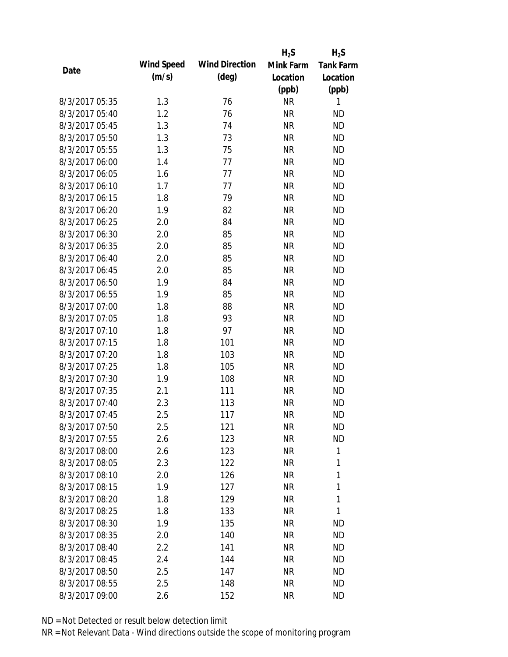|                |            |                       | $H_2S$    | $H_2S$           |
|----------------|------------|-----------------------|-----------|------------------|
| Date           | Wind Speed | <b>Wind Direction</b> | Mink Farm | <b>Tank Farm</b> |
|                | (m/s)      | $(\text{deg})$        | Location  | Location         |
|                |            |                       | (ppb)     | (ppb)            |
| 8/3/2017 05:35 | 1.3        | 76                    | <b>NR</b> | 1                |
| 8/3/2017 05:40 | 1.2        | 76                    | <b>NR</b> | <b>ND</b>        |
| 8/3/2017 05:45 | 1.3        | 74                    | <b>NR</b> | <b>ND</b>        |
| 8/3/2017 05:50 | 1.3        | 73                    | <b>NR</b> | <b>ND</b>        |
| 8/3/2017 05:55 | 1.3        | 75                    | <b>NR</b> | <b>ND</b>        |
| 8/3/2017 06:00 | 1.4        | 77                    | <b>NR</b> | <b>ND</b>        |
| 8/3/2017 06:05 | 1.6        | 77                    | <b>NR</b> | <b>ND</b>        |
| 8/3/2017 06:10 | 1.7        | 77                    | <b>NR</b> | <b>ND</b>        |
| 8/3/2017 06:15 | 1.8        | 79                    | <b>NR</b> | <b>ND</b>        |
| 8/3/2017 06:20 | 1.9        | 82                    | <b>NR</b> | <b>ND</b>        |
| 8/3/2017 06:25 | 2.0        | 84                    | <b>NR</b> | <b>ND</b>        |
| 8/3/2017 06:30 | 2.0        | 85                    | <b>NR</b> | <b>ND</b>        |
| 8/3/2017 06:35 | 2.0        | 85                    | <b>NR</b> | <b>ND</b>        |
| 8/3/2017 06:40 | 2.0        | 85                    | <b>NR</b> | <b>ND</b>        |
| 8/3/2017 06:45 | 2.0        | 85                    | <b>NR</b> | <b>ND</b>        |
| 8/3/2017 06:50 | 1.9        | 84                    | <b>NR</b> | <b>ND</b>        |
| 8/3/2017 06:55 | 1.9        | 85                    | <b>NR</b> | <b>ND</b>        |
| 8/3/2017 07:00 | 1.8        | 88                    | <b>NR</b> | <b>ND</b>        |
| 8/3/2017 07:05 | 1.8        | 93                    | <b>NR</b> | <b>ND</b>        |
| 8/3/2017 07:10 | 1.8        | 97                    | <b>NR</b> | <b>ND</b>        |
| 8/3/2017 07:15 | 1.8        | 101                   | <b>NR</b> | <b>ND</b>        |
| 8/3/2017 07:20 | 1.8        | 103                   | <b>NR</b> | <b>ND</b>        |
| 8/3/2017 07:25 | 1.8        | 105                   | <b>NR</b> | <b>ND</b>        |
| 8/3/2017 07:30 | 1.9        | 108                   | <b>NR</b> | <b>ND</b>        |
| 8/3/2017 07:35 | 2.1        | 111                   | <b>NR</b> | <b>ND</b>        |
| 8/3/2017 07:40 | 2.3        | 113                   | <b>NR</b> | <b>ND</b>        |
| 8/3/2017 07:45 | 2.5        | 117                   | <b>NR</b> | <b>ND</b>        |
| 8/3/2017 07:50 | 2.5        | 121                   | <b>NR</b> | <b>ND</b>        |
| 8/3/2017 07:55 | 2.6        | 123                   | <b>NR</b> | <b>ND</b>        |
| 8/3/2017 08:00 | 2.6        | 123                   | <b>NR</b> | 1                |
| 8/3/2017 08:05 | 2.3        | 122                   | <b>NR</b> | 1                |
| 8/3/2017 08:10 | 2.0        | 126                   | <b>NR</b> | 1                |
| 8/3/2017 08:15 | 1.9        | 127                   | <b>NR</b> | 1                |
| 8/3/2017 08:20 | 1.8        | 129                   | <b>NR</b> | 1                |
| 8/3/2017 08:25 | 1.8        | 133                   | <b>NR</b> | 1                |
| 8/3/2017 08:30 | 1.9        | 135                   | <b>NR</b> | <b>ND</b>        |
| 8/3/2017 08:35 | 2.0        | 140                   | <b>NR</b> | <b>ND</b>        |
| 8/3/2017 08:40 | 2.2        | 141                   | NR        | <b>ND</b>        |
| 8/3/2017 08:45 | 2.4        | 144                   | <b>NR</b> | <b>ND</b>        |
| 8/3/2017 08:50 | 2.5        | 147                   | NR        | <b>ND</b>        |
| 8/3/2017 08:55 | 2.5        | 148                   | <b>NR</b> | <b>ND</b>        |
| 8/3/2017 09:00 | 2.6        | 152                   | <b>NR</b> | <b>ND</b>        |
|                |            |                       |           |                  |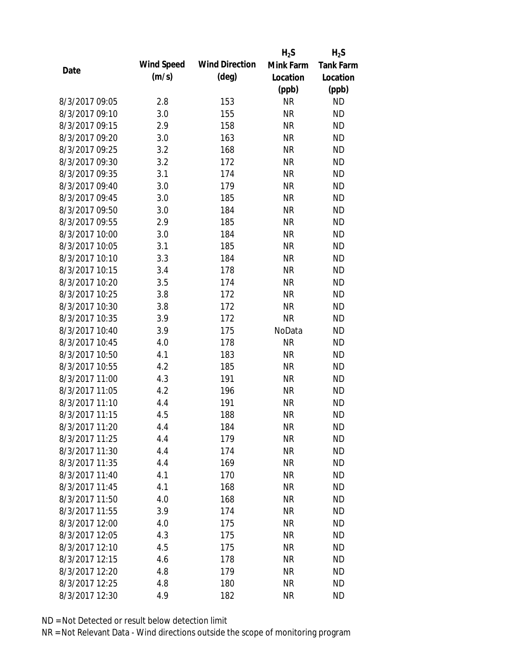|                |            |                       | $H_2S$    | $H_2S$           |
|----------------|------------|-----------------------|-----------|------------------|
|                | Wind Speed | <b>Wind Direction</b> | Mink Farm | <b>Tank Farm</b> |
| Date           | (m/s)      | $(\text{deg})$        | Location  | Location         |
|                |            |                       | (ppb)     | (ppb)            |
| 8/3/2017 09:05 | 2.8        | 153                   | <b>NR</b> | <b>ND</b>        |
| 8/3/2017 09:10 | 3.0        | 155                   | <b>NR</b> | <b>ND</b>        |
| 8/3/2017 09:15 | 2.9        | 158                   | <b>NR</b> | <b>ND</b>        |
| 8/3/2017 09:20 | 3.0        | 163                   | <b>NR</b> | <b>ND</b>        |
| 8/3/2017 09:25 | 3.2        | 168                   | <b>NR</b> | <b>ND</b>        |
| 8/3/2017 09:30 | 3.2        | 172                   | <b>NR</b> | <b>ND</b>        |
| 8/3/2017 09:35 | 3.1        | 174                   | <b>NR</b> | <b>ND</b>        |
| 8/3/2017 09:40 | 3.0        | 179                   | <b>NR</b> | <b>ND</b>        |
| 8/3/2017 09:45 | 3.0        | 185                   | <b>NR</b> | <b>ND</b>        |
| 8/3/2017 09:50 | 3.0        | 184                   | <b>NR</b> | <b>ND</b>        |
| 8/3/2017 09:55 | 2.9        | 185                   | <b>NR</b> | <b>ND</b>        |
| 8/3/2017 10:00 | 3.0        | 184                   | <b>NR</b> | <b>ND</b>        |
| 8/3/2017 10:05 | 3.1        | 185                   | <b>NR</b> | <b>ND</b>        |
| 8/3/2017 10:10 | 3.3        | 184                   | <b>NR</b> | <b>ND</b>        |
| 8/3/2017 10:15 | 3.4        | 178                   | <b>NR</b> | <b>ND</b>        |
| 8/3/2017 10:20 | 3.5        | 174                   | <b>NR</b> | <b>ND</b>        |
| 8/3/2017 10:25 | 3.8        | 172                   | <b>NR</b> | <b>ND</b>        |
| 8/3/2017 10:30 | 3.8        | 172                   | <b>NR</b> | <b>ND</b>        |
| 8/3/2017 10:35 | 3.9        | 172                   | <b>NR</b> | <b>ND</b>        |
| 8/3/2017 10:40 | 3.9        | 175                   | NoData    | <b>ND</b>        |
| 8/3/2017 10:45 | 4.0        | 178                   | <b>NR</b> | <b>ND</b>        |
| 8/3/2017 10:50 | 4.1        | 183                   | <b>NR</b> | <b>ND</b>        |
| 8/3/2017 10:55 | 4.2        | 185                   | <b>NR</b> | <b>ND</b>        |
| 8/3/2017 11:00 | 4.3        | 191                   | <b>NR</b> | <b>ND</b>        |
| 8/3/2017 11:05 | 4.2        | 196                   | <b>NR</b> | <b>ND</b>        |
| 8/3/2017 11:10 | 4.4        | 191                   | <b>NR</b> | <b>ND</b>        |
| 8/3/2017 11:15 | 4.5        | 188                   | <b>NR</b> | <b>ND</b>        |
| 8/3/2017 11:20 | 4.4        | 184                   | <b>NR</b> | <b>ND</b>        |
| 8/3/2017 11:25 | 4.4        | 179                   | <b>NR</b> | <b>ND</b>        |
| 8/3/2017 11:30 | 4.4        | 174                   | <b>NR</b> | <b>ND</b>        |
| 8/3/2017 11:35 | 4.4        | 169                   | <b>NR</b> | <b>ND</b>        |
| 8/3/2017 11:40 | 4.1        | 170                   | <b>NR</b> | <b>ND</b>        |
| 8/3/2017 11:45 | 4.1        | 168                   | <b>NR</b> | <b>ND</b>        |
| 8/3/2017 11:50 | 4.0        | 168                   | <b>NR</b> | <b>ND</b>        |
| 8/3/2017 11:55 | 3.9        | 174                   | <b>NR</b> | <b>ND</b>        |
| 8/3/2017 12:00 | 4.0        | 175                   | <b>NR</b> | <b>ND</b>        |
| 8/3/2017 12:05 | 4.3        | 175                   | <b>NR</b> | <b>ND</b>        |
| 8/3/2017 12:10 | 4.5        | 175                   | <b>NR</b> | <b>ND</b>        |
| 8/3/2017 12:15 | 4.6        | 178                   | <b>NR</b> | <b>ND</b>        |
| 8/3/2017 12:20 | 4.8        | 179                   | <b>NR</b> | <b>ND</b>        |
| 8/3/2017 12:25 | 4.8        | 180                   | <b>NR</b> | <b>ND</b>        |
| 8/3/2017 12:30 | 4.9        | 182                   | <b>NR</b> | <b>ND</b>        |
|                |            |                       |           |                  |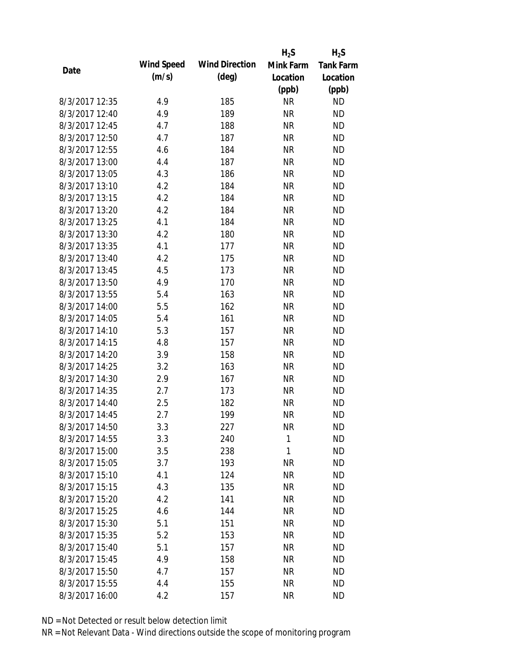|                |            |                       | $H_2S$       | $H_2S$           |
|----------------|------------|-----------------------|--------------|------------------|
| Date           | Wind Speed | <b>Wind Direction</b> | Mink Farm    | <b>Tank Farm</b> |
|                | (m/s)      | $(\text{deg})$        | Location     | Location         |
|                |            |                       | (ppb)        | (ppb)            |
| 8/3/2017 12:35 | 4.9        | 185                   | <b>NR</b>    | <b>ND</b>        |
| 8/3/2017 12:40 | 4.9        | 189                   | <b>NR</b>    | <b>ND</b>        |
| 8/3/2017 12:45 | 4.7        | 188                   | <b>NR</b>    | <b>ND</b>        |
| 8/3/2017 12:50 | 4.7        | 187                   | <b>NR</b>    | <b>ND</b>        |
| 8/3/2017 12:55 | 4.6        | 184                   | <b>NR</b>    | <b>ND</b>        |
| 8/3/2017 13:00 | 4.4        | 187                   | <b>NR</b>    | <b>ND</b>        |
| 8/3/2017 13:05 | 4.3        | 186                   | <b>NR</b>    | <b>ND</b>        |
| 8/3/2017 13:10 | 4.2        | 184                   | <b>NR</b>    | <b>ND</b>        |
| 8/3/2017 13:15 | 4.2        | 184                   | <b>NR</b>    | <b>ND</b>        |
| 8/3/2017 13:20 | 4.2        | 184                   | <b>NR</b>    | <b>ND</b>        |
| 8/3/2017 13:25 | 4.1        | 184                   | <b>NR</b>    | <b>ND</b>        |
| 8/3/2017 13:30 | 4.2        | 180                   | <b>NR</b>    | <b>ND</b>        |
| 8/3/2017 13:35 | 4.1        | 177                   | <b>NR</b>    | <b>ND</b>        |
| 8/3/2017 13:40 | 4.2        | 175                   | <b>NR</b>    | <b>ND</b>        |
| 8/3/2017 13:45 | 4.5        | 173                   | <b>NR</b>    | <b>ND</b>        |
| 8/3/2017 13:50 | 4.9        | 170                   | <b>NR</b>    | <b>ND</b>        |
| 8/3/2017 13:55 | 5.4        | 163                   | <b>NR</b>    | <b>ND</b>        |
| 8/3/2017 14:00 | 5.5        | 162                   | <b>NR</b>    | <b>ND</b>        |
| 8/3/2017 14:05 | 5.4        | 161                   | <b>NR</b>    | <b>ND</b>        |
| 8/3/2017 14:10 | 5.3        | 157                   | <b>NR</b>    | <b>ND</b>        |
| 8/3/2017 14:15 | 4.8        | 157                   | <b>NR</b>    | <b>ND</b>        |
| 8/3/2017 14:20 | 3.9        | 158                   | <b>NR</b>    | <b>ND</b>        |
| 8/3/2017 14:25 | 3.2        | 163                   | <b>NR</b>    | <b>ND</b>        |
| 8/3/2017 14:30 | 2.9        | 167                   | <b>NR</b>    | <b>ND</b>        |
| 8/3/2017 14:35 | 2.7        | 173                   | <b>NR</b>    | <b>ND</b>        |
| 8/3/2017 14:40 | 2.5        | 182                   | <b>NR</b>    | <b>ND</b>        |
| 8/3/2017 14:45 | 2.7        | 199                   | <b>NR</b>    | <b>ND</b>        |
| 8/3/2017 14:50 | 3.3        | 227                   | NR           | <b>ND</b>        |
| 8/3/2017 14:55 | 3.3        | 240                   | $\mathbf{1}$ | <b>ND</b>        |
| 8/3/2017 15:00 | 3.5        | 238                   | 1            | <b>ND</b>        |
| 8/3/2017 15:05 | 3.7        | 193                   | <b>NR</b>    | <b>ND</b>        |
| 8/3/2017 15:10 | 4.1        | 124                   | <b>NR</b>    | <b>ND</b>        |
| 8/3/2017 15:15 | 4.3        | 135                   | <b>NR</b>    | <b>ND</b>        |
| 8/3/2017 15:20 | 4.2        | 141                   | <b>NR</b>    | <b>ND</b>        |
| 8/3/2017 15:25 | 4.6        | 144                   | <b>NR</b>    | <b>ND</b>        |
| 8/3/2017 15:30 | 5.1        | 151                   | <b>NR</b>    | <b>ND</b>        |
| 8/3/2017 15:35 | 5.2        | 153                   | <b>NR</b>    | <b>ND</b>        |
| 8/3/2017 15:40 | 5.1        | 157                   | <b>NR</b>    | <b>ND</b>        |
| 8/3/2017 15:45 | 4.9        | 158                   | <b>NR</b>    | <b>ND</b>        |
| 8/3/2017 15:50 | 4.7        | 157                   | <b>NR</b>    | <b>ND</b>        |
| 8/3/2017 15:55 | 4.4        | 155                   | <b>NR</b>    | <b>ND</b>        |
| 8/3/2017 16:00 | 4.2        | 157                   | <b>NR</b>    | <b>ND</b>        |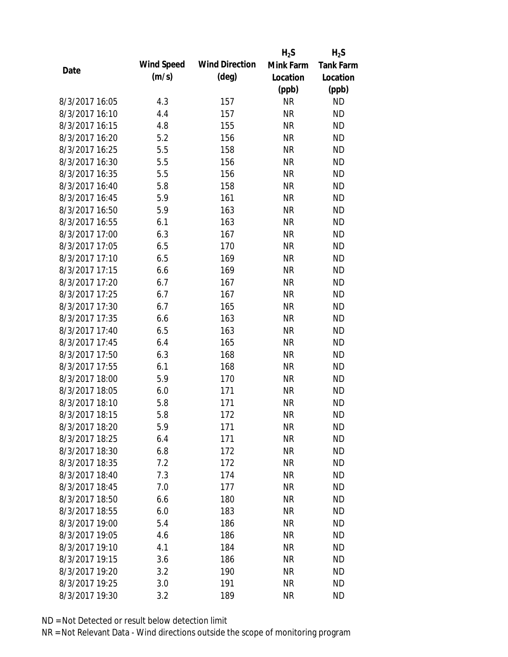|                |            |                       | $H_2S$    | $H_2S$           |
|----------------|------------|-----------------------|-----------|------------------|
|                | Wind Speed | <b>Wind Direction</b> | Mink Farm | <b>Tank Farm</b> |
| Date           | (m/s)      | $(\text{deg})$        | Location  | Location         |
|                |            |                       | (ppb)     | (ppb)            |
| 8/3/2017 16:05 | 4.3        | 157                   | <b>NR</b> | <b>ND</b>        |
| 8/3/2017 16:10 | 4.4        | 157                   | <b>NR</b> | <b>ND</b>        |
| 8/3/2017 16:15 | 4.8        | 155                   | <b>NR</b> | <b>ND</b>        |
| 8/3/2017 16:20 | 5.2        | 156                   | <b>NR</b> | <b>ND</b>        |
| 8/3/2017 16:25 | 5.5        | 158                   | <b>NR</b> | <b>ND</b>        |
| 8/3/2017 16:30 | 5.5        | 156                   | <b>NR</b> | <b>ND</b>        |
| 8/3/2017 16:35 | 5.5        | 156                   | <b>NR</b> | <b>ND</b>        |
| 8/3/2017 16:40 | 5.8        | 158                   | <b>NR</b> | <b>ND</b>        |
| 8/3/2017 16:45 | 5.9        | 161                   | <b>NR</b> | <b>ND</b>        |
| 8/3/2017 16:50 | 5.9        | 163                   | <b>NR</b> | <b>ND</b>        |
| 8/3/2017 16:55 | 6.1        | 163                   | <b>NR</b> | <b>ND</b>        |
| 8/3/2017 17:00 | 6.3        | 167                   | <b>NR</b> | <b>ND</b>        |
| 8/3/2017 17:05 | 6.5        | 170                   | <b>NR</b> | <b>ND</b>        |
| 8/3/2017 17:10 | 6.5        | 169                   | <b>NR</b> | <b>ND</b>        |
| 8/3/2017 17:15 | 6.6        | 169                   | <b>NR</b> | <b>ND</b>        |
| 8/3/2017 17:20 | 6.7        | 167                   | <b>NR</b> | <b>ND</b>        |
| 8/3/2017 17:25 | 6.7        | 167                   | <b>NR</b> | <b>ND</b>        |
| 8/3/2017 17:30 | 6.7        | 165                   | <b>NR</b> | <b>ND</b>        |
| 8/3/2017 17:35 | 6.6        | 163                   | <b>NR</b> | <b>ND</b>        |
| 8/3/2017 17:40 | 6.5        | 163                   | <b>NR</b> | <b>ND</b>        |
| 8/3/2017 17:45 | 6.4        | 165                   | <b>NR</b> | <b>ND</b>        |
| 8/3/2017 17:50 | 6.3        | 168                   | <b>NR</b> | <b>ND</b>        |
| 8/3/2017 17:55 | 6.1        | 168                   | <b>NR</b> | <b>ND</b>        |
| 8/3/2017 18:00 | 5.9        | 170                   | <b>NR</b> | <b>ND</b>        |
| 8/3/2017 18:05 | 6.0        | 171                   | <b>NR</b> | <b>ND</b>        |
| 8/3/2017 18:10 | 5.8        | 171                   | <b>NR</b> | <b>ND</b>        |
| 8/3/2017 18:15 | 5.8        | 172                   | <b>NR</b> | <b>ND</b>        |
| 8/3/2017 18:20 | 5.9        | 171                   | <b>NR</b> | <b>ND</b>        |
| 8/3/2017 18:25 | 6.4        | 171                   | <b>NR</b> | <b>ND</b>        |
| 8/3/2017 18:30 | 6.8        | 172                   | <b>NR</b> | <b>ND</b>        |
| 8/3/2017 18:35 | 7.2        | 172                   | <b>NR</b> | <b>ND</b>        |
| 8/3/2017 18:40 | 7.3        | 174                   | <b>NR</b> | <b>ND</b>        |
| 8/3/2017 18:45 | 7.0        | 177                   | <b>NR</b> | <b>ND</b>        |
| 8/3/2017 18:50 | 6.6        | 180                   | <b>NR</b> | <b>ND</b>        |
| 8/3/2017 18:55 | 6.0        | 183                   | <b>NR</b> | <b>ND</b>        |
| 8/3/2017 19:00 | 5.4        | 186                   | <b>NR</b> | <b>ND</b>        |
| 8/3/2017 19:05 | 4.6        | 186                   | <b>NR</b> | <b>ND</b>        |
| 8/3/2017 19:10 | 4.1        | 184                   | <b>NR</b> | <b>ND</b>        |
| 8/3/2017 19:15 | 3.6        | 186                   | <b>NR</b> | <b>ND</b>        |
| 8/3/2017 19:20 | 3.2        | 190                   | <b>NR</b> | <b>ND</b>        |
| 8/3/2017 19:25 | 3.0        | 191                   | <b>NR</b> | <b>ND</b>        |
| 8/3/2017 19:30 | 3.2        | 189                   | <b>NR</b> | <b>ND</b>        |
|                |            |                       |           |                  |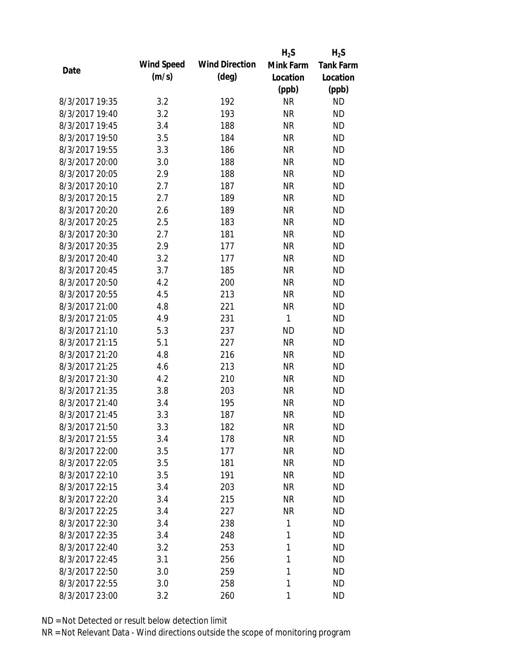|                |            |                       | $H_2S$    | $H_2S$           |
|----------------|------------|-----------------------|-----------|------------------|
|                | Wind Speed | <b>Wind Direction</b> | Mink Farm | <b>Tank Farm</b> |
| Date           | (m/s)      | $(\text{deg})$        | Location  | Location         |
|                |            |                       | (ppb)     | (ppb)            |
| 8/3/2017 19:35 | 3.2        | 192                   | <b>NR</b> | <b>ND</b>        |
| 8/3/2017 19:40 | 3.2        | 193                   | <b>NR</b> | <b>ND</b>        |
| 8/3/2017 19:45 | 3.4        | 188                   | <b>NR</b> | <b>ND</b>        |
| 8/3/2017 19:50 | 3.5        | 184                   | <b>NR</b> | <b>ND</b>        |
| 8/3/2017 19:55 | 3.3        | 186                   | <b>NR</b> | <b>ND</b>        |
| 8/3/2017 20:00 | 3.0        | 188                   | <b>NR</b> | <b>ND</b>        |
| 8/3/2017 20:05 | 2.9        | 188                   | <b>NR</b> | <b>ND</b>        |
| 8/3/2017 20:10 | 2.7        | 187                   | <b>NR</b> | <b>ND</b>        |
| 8/3/2017 20:15 | 2.7        | 189                   | <b>NR</b> | <b>ND</b>        |
| 8/3/2017 20:20 | 2.6        | 189                   | <b>NR</b> | <b>ND</b>        |
| 8/3/2017 20:25 | 2.5        | 183                   | <b>NR</b> | <b>ND</b>        |
| 8/3/2017 20:30 | 2.7        | 181                   | <b>NR</b> | <b>ND</b>        |
| 8/3/2017 20:35 | 2.9        | 177                   | <b>NR</b> | <b>ND</b>        |
| 8/3/2017 20:40 | 3.2        | 177                   | <b>NR</b> | <b>ND</b>        |
| 8/3/2017 20:45 | 3.7        | 185                   | <b>NR</b> | <b>ND</b>        |
| 8/3/2017 20:50 | 4.2        | 200                   | <b>NR</b> | <b>ND</b>        |
| 8/3/2017 20:55 | 4.5        | 213                   | <b>NR</b> | <b>ND</b>        |
| 8/3/2017 21:00 | 4.8        | 221                   | <b>NR</b> | <b>ND</b>        |
| 8/3/2017 21:05 | 4.9        | 231                   | 1         | <b>ND</b>        |
| 8/3/2017 21:10 | 5.3        | 237                   | <b>ND</b> | <b>ND</b>        |
| 8/3/2017 21:15 | 5.1        | 227                   | <b>NR</b> | <b>ND</b>        |
| 8/3/2017 21:20 | 4.8        | 216                   | <b>NR</b> | <b>ND</b>        |
| 8/3/2017 21:25 | 4.6        | 213                   | <b>NR</b> | <b>ND</b>        |
| 8/3/2017 21:30 | 4.2        | 210                   | <b>NR</b> | <b>ND</b>        |
| 8/3/2017 21:35 | 3.8        | 203                   | <b>NR</b> | <b>ND</b>        |
| 8/3/2017 21:40 | 3.4        | 195                   | <b>NR</b> | <b>ND</b>        |
| 8/3/2017 21:45 | 3.3        | 187                   | <b>NR</b> | <b>ND</b>        |
| 8/3/2017 21:50 | 3.3        | 182                   | <b>NR</b> | <b>ND</b>        |
| 8/3/2017 21:55 | 3.4        | 178                   | <b>NR</b> | <b>ND</b>        |
| 8/3/2017 22:00 | 3.5        | 177                   | <b>NR</b> | <b>ND</b>        |
| 8/3/2017 22:05 | 3.5        | 181                   | <b>NR</b> | <b>ND</b>        |
| 8/3/2017 22:10 | 3.5        | 191                   | <b>NR</b> | <b>ND</b>        |
| 8/3/2017 22:15 | 3.4        | 203                   | <b>NR</b> | <b>ND</b>        |
| 8/3/2017 22:20 | 3.4        | 215                   | <b>NR</b> | <b>ND</b>        |
| 8/3/2017 22:25 | 3.4        | 227                   | <b>NR</b> | <b>ND</b>        |
| 8/3/2017 22:30 | 3.4        | 238                   | 1         | <b>ND</b>        |
| 8/3/2017 22:35 | 3.4        | 248                   | 1         | <b>ND</b>        |
| 8/3/2017 22:40 | 3.2        | 253                   | 1         | <b>ND</b>        |
| 8/3/2017 22:45 | 3.1        | 256                   | 1         | <b>ND</b>        |
| 8/3/2017 22:50 | 3.0        | 259                   | 1         | <b>ND</b>        |
| 8/3/2017 22:55 | 3.0        | 258                   | 1         | <b>ND</b>        |
| 8/3/2017 23:00 | 3.2        | 260                   | 1         | <b>ND</b>        |
|                |            |                       |           |                  |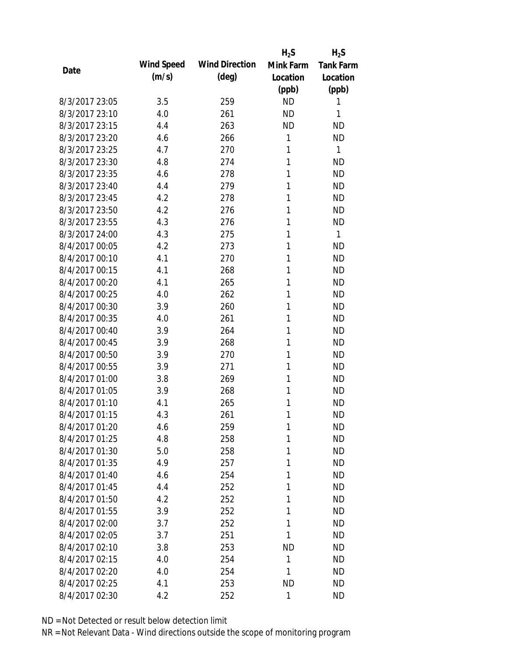|                |            |                       | $H_2S$    | $H_2S$           |
|----------------|------------|-----------------------|-----------|------------------|
| Date           | Wind Speed | <b>Wind Direction</b> | Mink Farm | <b>Tank Farm</b> |
|                | (m/s)      | $(\text{deg})$        | Location  | Location         |
|                |            |                       | (ppb)     | (ppb)            |
| 8/3/2017 23:05 | 3.5        | 259                   | <b>ND</b> | 1                |
| 8/3/2017 23:10 | 4.0        | 261                   | <b>ND</b> | 1                |
| 8/3/2017 23:15 | 4.4        | 263                   | <b>ND</b> | <b>ND</b>        |
| 8/3/2017 23:20 | 4.6        | 266                   | 1         | <b>ND</b>        |
| 8/3/2017 23:25 | 4.7        | 270                   | 1         | 1                |
| 8/3/2017 23:30 | 4.8        | 274                   | 1         | <b>ND</b>        |
| 8/3/2017 23:35 | 4.6        | 278                   | 1         | <b>ND</b>        |
| 8/3/2017 23:40 | 4.4        | 279                   | 1         | <b>ND</b>        |
| 8/3/2017 23:45 | 4.2        | 278                   | 1         | <b>ND</b>        |
| 8/3/2017 23:50 | 4.2        | 276                   | 1         | <b>ND</b>        |
| 8/3/2017 23:55 | 4.3        | 276                   | 1         | <b>ND</b>        |
| 8/3/2017 24:00 | 4.3        | 275                   | 1         | $\mathbf{1}$     |
| 8/4/2017 00:05 | 4.2        | 273                   | 1         | <b>ND</b>        |
| 8/4/2017 00:10 | 4.1        | 270                   | 1         | <b>ND</b>        |
| 8/4/2017 00:15 | 4.1        | 268                   | 1         | <b>ND</b>        |
| 8/4/2017 00:20 | 4.1        | 265                   | 1         | <b>ND</b>        |
| 8/4/2017 00:25 | 4.0        | 262                   | 1         | <b>ND</b>        |
| 8/4/2017 00:30 | 3.9        | 260                   | 1         | <b>ND</b>        |
| 8/4/2017 00:35 | 4.0        | 261                   | 1         | <b>ND</b>        |
| 8/4/2017 00:40 | 3.9        | 264                   | 1         | <b>ND</b>        |
| 8/4/2017 00:45 | 3.9        | 268                   | 1         | <b>ND</b>        |
| 8/4/2017 00:50 | 3.9        | 270                   | 1         | <b>ND</b>        |
| 8/4/2017 00:55 | 3.9        | 271                   | 1         | <b>ND</b>        |
| 8/4/2017 01:00 | 3.8        | 269                   | 1         | <b>ND</b>        |
| 8/4/2017 01:05 | 3.9        | 268                   | 1         | <b>ND</b>        |
| 8/4/2017 01:10 | 4.1        | 265                   | 1         | <b>ND</b>        |
| 8/4/2017 01:15 | 4.3        | 261                   | 1         | <b>ND</b>        |
| 8/4/2017 01:20 | 4.6        | 259                   | 1         | <b>ND</b>        |
| 8/4/2017 01:25 | 4.8        | 258                   | 1         | <b>ND</b>        |
| 8/4/2017 01:30 | 5.0        | 258                   | 1         | <b>ND</b>        |
| 8/4/2017 01:35 | 4.9        | 257                   | 1         | <b>ND</b>        |
| 8/4/2017 01:40 | 4.6        | 254                   | 1         | <b>ND</b>        |
| 8/4/2017 01:45 | 4.4        | 252                   | 1         | <b>ND</b>        |
| 8/4/2017 01:50 | 4.2        | 252                   | 1         | <b>ND</b>        |
| 8/4/2017 01:55 | 3.9        | 252                   | 1         | <b>ND</b>        |
| 8/4/2017 02:00 | 3.7        | 252                   | 1         | <b>ND</b>        |
| 8/4/2017 02:05 | 3.7        | 251                   | 1         | <b>ND</b>        |
| 8/4/2017 02:10 | 3.8        | 253                   | <b>ND</b> | <b>ND</b>        |
| 8/4/2017 02:15 | 4.0        | 254                   | 1         | <b>ND</b>        |
| 8/4/2017 02:20 | 4.0        | 254                   | 1         | <b>ND</b>        |
| 8/4/2017 02:25 | 4.1        | 253                   | <b>ND</b> | <b>ND</b>        |
| 8/4/2017 02:30 | 4.2        | 252                   | 1         | <b>ND</b>        |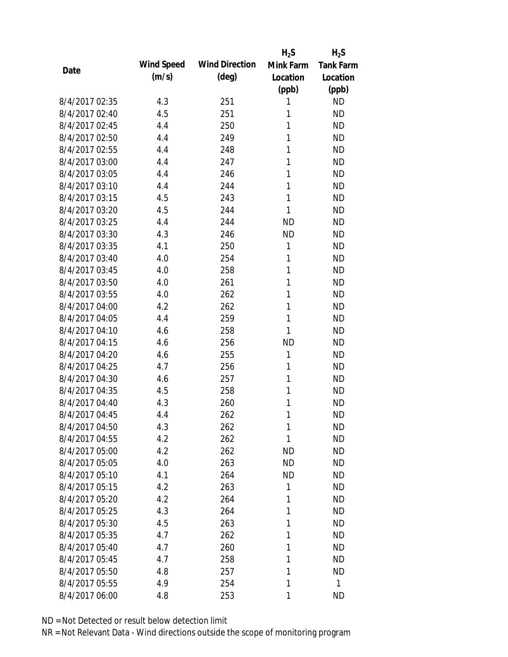|                |            |                       | $H_2S$       | $H_2S$           |
|----------------|------------|-----------------------|--------------|------------------|
| Date           | Wind Speed | <b>Wind Direction</b> | Mink Farm    | <b>Tank Farm</b> |
|                | (m/s)      | $(\text{deg})$        | Location     | Location         |
|                |            |                       | (ppb)        | (ppb)            |
| 8/4/2017 02:35 | 4.3        | 251                   | 1            | <b>ND</b>        |
| 8/4/2017 02:40 | 4.5        | 251                   | 1            | <b>ND</b>        |
| 8/4/2017 02:45 | 4.4        | 250                   | 1            | <b>ND</b>        |
| 8/4/2017 02:50 | 4.4        | 249                   | 1            | <b>ND</b>        |
| 8/4/2017 02:55 | 4.4        | 248                   | 1            | <b>ND</b>        |
| 8/4/2017 03:00 | 4.4        | 247                   | 1            | <b>ND</b>        |
| 8/4/2017 03:05 | 4.4        | 246                   | 1            | <b>ND</b>        |
| 8/4/2017 03:10 | 4.4        | 244                   | 1            | <b>ND</b>        |
| 8/4/2017 03:15 | 4.5        | 243                   | 1            | <b>ND</b>        |
| 8/4/2017 03:20 | 4.5        | 244                   | 1            | <b>ND</b>        |
| 8/4/2017 03:25 | 4.4        | 244                   | <b>ND</b>    | <b>ND</b>        |
| 8/4/2017 03:30 | 4.3        | 246                   | <b>ND</b>    | <b>ND</b>        |
| 8/4/2017 03:35 | 4.1        | 250                   | 1            | <b>ND</b>        |
| 8/4/2017 03:40 | 4.0        | 254                   | 1            | <b>ND</b>        |
| 8/4/2017 03:45 | 4.0        | 258                   | 1            | <b>ND</b>        |
| 8/4/2017 03:50 | 4.0        | 261                   | 1            | <b>ND</b>        |
| 8/4/2017 03:55 | 4.0        | 262                   | 1            | <b>ND</b>        |
| 8/4/2017 04:00 | 4.2        | 262                   | 1            | <b>ND</b>        |
| 8/4/2017 04:05 | 4.4        | 259                   | $\mathbf{1}$ | <b>ND</b>        |
| 8/4/2017 04:10 | 4.6        | 258                   | 1            | <b>ND</b>        |
| 8/4/2017 04:15 | 4.6        | 256                   | <b>ND</b>    | <b>ND</b>        |
| 8/4/2017 04:20 | 4.6        | 255                   | 1            | <b>ND</b>        |
| 8/4/2017 04:25 | 4.7        | 256                   | 1            | <b>ND</b>        |
| 8/4/2017 04:30 | 4.6        | 257                   | 1            | <b>ND</b>        |
| 8/4/2017 04:35 | 4.5        | 258                   | 1            | <b>ND</b>        |
| 8/4/2017 04:40 | 4.3        | 260                   | 1            | <b>ND</b>        |
| 8/4/2017 04:45 | 4.4        | 262                   | 1            | <b>ND</b>        |
| 8/4/2017 04:50 | 4.3        | 262                   | 1            | <b>ND</b>        |
| 8/4/2017 04:55 | 4.2        | 262                   | 1            | <b>ND</b>        |
| 8/4/2017 05:00 | 4.2        | 262                   | <b>ND</b>    | <b>ND</b>        |
| 8/4/2017 05:05 | 4.0        | 263                   | <b>ND</b>    | <b>ND</b>        |
| 8/4/2017 05:10 | 4.1        | 264                   | <b>ND</b>    | <b>ND</b>        |
| 8/4/2017 05:15 | 4.2        | 263                   | 1            | <b>ND</b>        |
| 8/4/2017 05:20 | 4.2        | 264                   | 1            | <b>ND</b>        |
| 8/4/2017 05:25 | 4.3        | 264                   | 1            | <b>ND</b>        |
| 8/4/2017 05:30 | 4.5        | 263                   | 1            | <b>ND</b>        |
| 8/4/2017 05:35 | 4.7        | 262                   | 1            | <b>ND</b>        |
| 8/4/2017 05:40 | 4.7        | 260                   | 1            | <b>ND</b>        |
| 8/4/2017 05:45 | 4.7        | 258                   | 1            | <b>ND</b>        |
| 8/4/2017 05:50 | 4.8        | 257                   | 1            | <b>ND</b>        |
| 8/4/2017 05:55 | 4.9        | 254                   | 1            | 1                |
| 8/4/2017 06:00 | 4.8        | 253                   | 1            | <b>ND</b>        |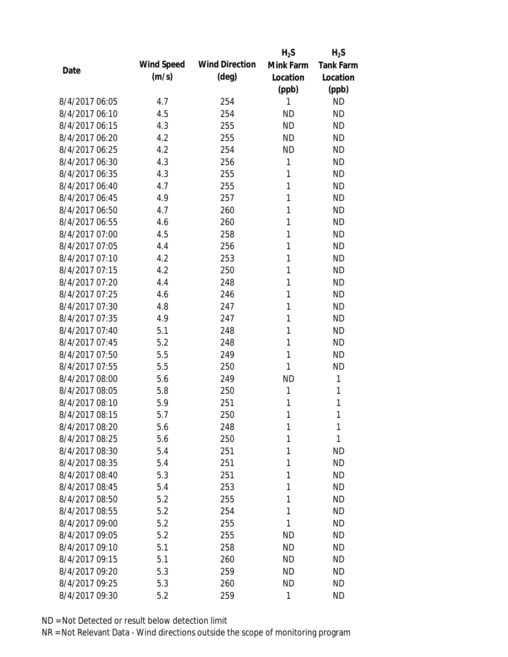|                |            |                       | $H_2S$    | $H_2S$           |
|----------------|------------|-----------------------|-----------|------------------|
| Date           | Wind Speed | <b>Wind Direction</b> | Mink Farm | <b>Tank Farm</b> |
|                | (m/s)      | $(\text{deg})$        | Location  | Location         |
|                |            |                       | (ppb)     | (ppb)            |
| 8/4/2017 06:05 | 4.7        | 254                   | 1         | <b>ND</b>        |
| 8/4/2017 06:10 | 4.5        | 254                   | <b>ND</b> | <b>ND</b>        |
| 8/4/2017 06:15 | 4.3        | 255                   | <b>ND</b> | <b>ND</b>        |
| 8/4/2017 06:20 | 4.2        | 255                   | <b>ND</b> | <b>ND</b>        |
| 8/4/2017 06:25 | 4.2        | 254                   | <b>ND</b> | <b>ND</b>        |
| 8/4/2017 06:30 | 4.3        | 256                   | 1         | <b>ND</b>        |
| 8/4/2017 06:35 | 4.3        | 255                   | 1         | <b>ND</b>        |
| 8/4/2017 06:40 | 4.7        | 255                   | 1         | <b>ND</b>        |
| 8/4/2017 06:45 | 4.9        | 257                   | 1         | <b>ND</b>        |
| 8/4/2017 06:50 | 4.7        | 260                   | 1         | <b>ND</b>        |
| 8/4/2017 06:55 | 4.6        | 260                   | 1         | <b>ND</b>        |
| 8/4/2017 07:00 | 4.5        | 258                   | 1         | <b>ND</b>        |
| 8/4/2017 07:05 | 4.4        | 256                   | 1         | <b>ND</b>        |
| 8/4/2017 07:10 | 4.2        | 253                   | 1         | <b>ND</b>        |
| 8/4/2017 07:15 | 4.2        | 250                   | 1         | <b>ND</b>        |
| 8/4/2017 07:20 | 4.4        | 248                   | 1         | <b>ND</b>        |
| 8/4/2017 07:25 | 4.6        | 246                   | 1         | <b>ND</b>        |
| 8/4/2017 07:30 | 4.8        | 247                   | 1         | <b>ND</b>        |
| 8/4/2017 07:35 | 4.9        | 247                   | 1         | <b>ND</b>        |
| 8/4/2017 07:40 | 5.1        | 248                   | 1         | <b>ND</b>        |
| 8/4/2017 07:45 | 5.2        | 248                   | 1         | <b>ND</b>        |
| 8/4/2017 07:50 | 5.5        | 249                   | 1         | <b>ND</b>        |
| 8/4/2017 07:55 | 5.5        | 250                   | 1         | <b>ND</b>        |
| 8/4/2017 08:00 | 5.6        | 249                   | <b>ND</b> | 1                |
| 8/4/2017 08:05 | 5.8        | 250                   | 1         | 1                |
| 8/4/2017 08:10 | 5.9        | 251                   | 1         | 1                |
| 8/4/2017 08:15 | 5.7        | 250                   | 1         | 1                |
| 8/4/2017 08:20 | 5.6        | 248                   | 1         | 1                |
| 8/4/2017 08:25 | 5.6        | 250                   | 1         | 1                |
| 8/4/2017 08:30 | 5.4        | 251                   | 1         | <b>ND</b>        |
| 8/4/2017 08:35 | 5.4        | 251                   | 1         | <b>ND</b>        |
| 8/4/2017 08:40 | 5.3        | 251                   | 1         | <b>ND</b>        |
| 8/4/2017 08:45 | 5.4        | 253                   | 1         | <b>ND</b>        |
| 8/4/2017 08:50 | 5.2        | 255                   | 1         | <b>ND</b>        |
| 8/4/2017 08:55 | 5.2        | 254                   | 1         | <b>ND</b>        |
| 8/4/2017 09:00 | 5.2        | 255                   | 1         | <b>ND</b>        |
| 8/4/2017 09:05 | 5.2        | 255                   | <b>ND</b> | <b>ND</b>        |
| 8/4/2017 09:10 | 5.1        | 258                   | <b>ND</b> | <b>ND</b>        |
| 8/4/2017 09:15 | 5.1        | 260                   | <b>ND</b> | <b>ND</b>        |
| 8/4/2017 09:20 | 5.3        | 259                   | <b>ND</b> | <b>ND</b>        |
| 8/4/2017 09:25 | 5.3        | 260                   | <b>ND</b> | <b>ND</b>        |
| 8/4/2017 09:30 | 5.2        | 259                   | 1         | <b>ND</b>        |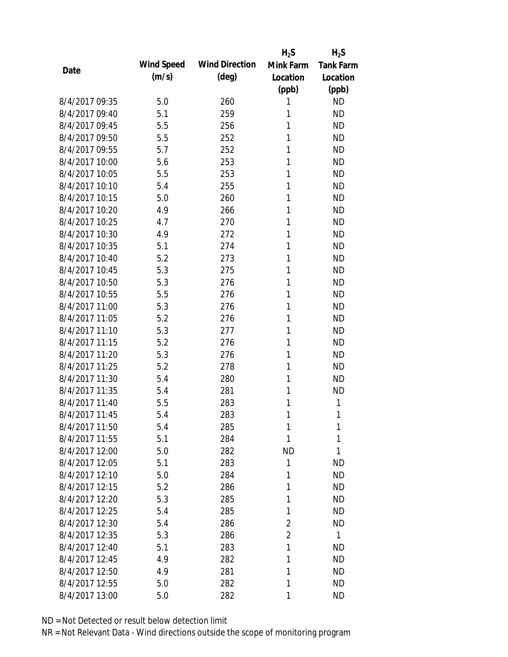|                |            |                       | $H_2S$         | $H_2S$           |
|----------------|------------|-----------------------|----------------|------------------|
| Date           | Wind Speed | <b>Wind Direction</b> | Mink Farm      | <b>Tank Farm</b> |
|                | (m/s)      | $(\text{deg})$        | Location       | Location         |
|                |            |                       | (ppb)          | (ppb)            |
| 8/4/2017 09:35 | 5.0        | 260                   | 1              | <b>ND</b>        |
| 8/4/2017 09:40 | 5.1        | 259                   | 1              | <b>ND</b>        |
| 8/4/2017 09:45 | 5.5        | 256                   | 1              | <b>ND</b>        |
| 8/4/2017 09:50 | 5.5        | 252                   | 1              | <b>ND</b>        |
| 8/4/2017 09:55 | 5.7        | 252                   | 1              | <b>ND</b>        |
| 8/4/2017 10:00 | 5.6        | 253                   | 1              | <b>ND</b>        |
| 8/4/2017 10:05 | 5.5        | 253                   | 1              | <b>ND</b>        |
| 8/4/2017 10:10 | 5.4        | 255                   | 1              | <b>ND</b>        |
| 8/4/2017 10:15 | 5.0        | 260                   | 1              | <b>ND</b>        |
| 8/4/2017 10:20 | 4.9        | 266                   | 1              | <b>ND</b>        |
| 8/4/2017 10:25 | 4.7        | 270                   | 1              | <b>ND</b>        |
| 8/4/2017 10:30 | 4.9        | 272                   | 1              | <b>ND</b>        |
| 8/4/2017 10:35 | 5.1        | 274                   | 1              | <b>ND</b>        |
| 8/4/2017 10:40 | 5.2        | 273                   | 1              | <b>ND</b>        |
| 8/4/2017 10:45 | 5.3        | 275                   | 1              | <b>ND</b>        |
| 8/4/2017 10:50 | 5.3        | 276                   | 1              | <b>ND</b>        |
| 8/4/2017 10:55 | 5.5        | 276                   | 1              | <b>ND</b>        |
| 8/4/2017 11:00 | 5.3        | 276                   | 1              | <b>ND</b>        |
| 8/4/2017 11:05 | 5.2        | 276                   | 1              | <b>ND</b>        |
| 8/4/2017 11:10 | 5.3        | 277                   | 1              | <b>ND</b>        |
| 8/4/2017 11:15 | 5.2        | 276                   | 1              | <b>ND</b>        |
| 8/4/2017 11:20 | 5.3        | 276                   | 1              | <b>ND</b>        |
| 8/4/2017 11:25 | 5.2        | 278                   | 1              | <b>ND</b>        |
| 8/4/2017 11:30 | 5.4        | 280                   | 1              | <b>ND</b>        |
| 8/4/2017 11:35 | 5.4        | 281                   | 1              | <b>ND</b>        |
| 8/4/2017 11:40 | 5.5        | 283                   | 1              | 1                |
| 8/4/2017 11:45 | 5.4        | 283                   | 1              | 1                |
| 8/4/2017 11:50 | 5.4        | 285                   | 1              | 1                |
| 8/4/2017 11:55 | 5.1        | 284                   | 1              | 1                |
| 8/4/2017 12:00 | 5.0        | 282                   | <b>ND</b>      | 1                |
| 8/4/2017 12:05 | 5.1        | 283                   | 1              | <b>ND</b>        |
| 8/4/2017 12:10 | 5.0        | 284                   | 1              | <b>ND</b>        |
| 8/4/2017 12:15 | 5.2        | 286                   | 1              | <b>ND</b>        |
| 8/4/2017 12:20 | 5.3        | 285                   | 1              | <b>ND</b>        |
| 8/4/2017 12:25 | 5.4        | 285                   | 1              | <b>ND</b>        |
| 8/4/2017 12:30 | 5.4        | 286                   | $\overline{2}$ | <b>ND</b>        |
| 8/4/2017 12:35 | 5.3        | 286                   | $\overline{2}$ | $\mathbf{1}$     |
| 8/4/2017 12:40 | 5.1        | 283                   | 1              | <b>ND</b>        |
| 8/4/2017 12:45 | 4.9        | 282                   | 1              | <b>ND</b>        |
| 8/4/2017 12:50 | 4.9        | 281                   | 1              | <b>ND</b>        |
| 8/4/2017 12:55 | 5.0        | 282                   | 1              | <b>ND</b>        |
| 8/4/2017 13:00 | 5.0        | 282                   | 1              | <b>ND</b>        |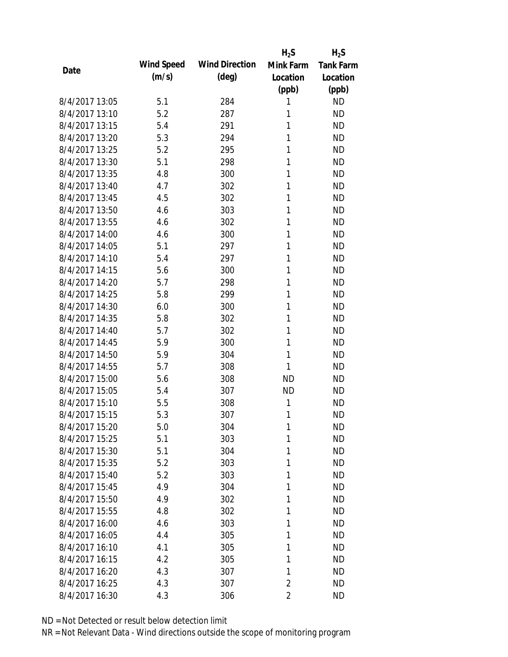|                |            |                       | $H_2S$         | $H_2S$           |
|----------------|------------|-----------------------|----------------|------------------|
| Date           | Wind Speed | <b>Wind Direction</b> | Mink Farm      | <b>Tank Farm</b> |
|                | (m/s)      | $(\text{deg})$        | Location       | Location         |
|                |            |                       | (ppb)          | (ppb)            |
| 8/4/2017 13:05 | 5.1        | 284                   | 1              | <b>ND</b>        |
| 8/4/2017 13:10 | 5.2        | 287                   | 1              | <b>ND</b>        |
| 8/4/2017 13:15 | 5.4        | 291                   | 1              | <b>ND</b>        |
| 8/4/2017 13:20 | 5.3        | 294                   | 1              | <b>ND</b>        |
| 8/4/2017 13:25 | 5.2        | 295                   | 1              | <b>ND</b>        |
| 8/4/2017 13:30 | 5.1        | 298                   | 1              | <b>ND</b>        |
| 8/4/2017 13:35 | 4.8        | 300                   | 1              | <b>ND</b>        |
| 8/4/2017 13:40 | 4.7        | 302                   | 1              | <b>ND</b>        |
| 8/4/2017 13:45 | 4.5        | 302                   | 1              | <b>ND</b>        |
| 8/4/2017 13:50 | 4.6        | 303                   | 1              | <b>ND</b>        |
| 8/4/2017 13:55 | 4.6        | 302                   | 1              | <b>ND</b>        |
| 8/4/2017 14:00 | 4.6        | 300                   | 1              | <b>ND</b>        |
| 8/4/2017 14:05 | 5.1        | 297                   | 1              | <b>ND</b>        |
| 8/4/2017 14:10 | 5.4        | 297                   | 1              | <b>ND</b>        |
| 8/4/2017 14:15 | 5.6        | 300                   | 1              | <b>ND</b>        |
| 8/4/2017 14:20 | 5.7        | 298                   | 1              | <b>ND</b>        |
| 8/4/2017 14:25 | 5.8        | 299                   | 1              | <b>ND</b>        |
| 8/4/2017 14:30 | 6.0        | 300                   | 1              | <b>ND</b>        |
| 8/4/2017 14:35 | 5.8        | 302                   | 1              | <b>ND</b>        |
| 8/4/2017 14:40 | 5.7        | 302                   | 1              | <b>ND</b>        |
| 8/4/2017 14:45 | 5.9        | 300                   | 1              | <b>ND</b>        |
| 8/4/2017 14:50 | 5.9        | 304                   | 1              | <b>ND</b>        |
| 8/4/2017 14:55 | 5.7        | 308                   | 1              | <b>ND</b>        |
| 8/4/2017 15:00 | 5.6        | 308                   | <b>ND</b>      | <b>ND</b>        |
| 8/4/2017 15:05 | 5.4        | 307                   | <b>ND</b>      | <b>ND</b>        |
| 8/4/2017 15:10 | 5.5        | 308                   | 1              | <b>ND</b>        |
| 8/4/2017 15:15 | 5.3        | 307                   | 1              | <b>ND</b>        |
| 8/4/2017 15:20 | 5.0        | 304                   | 1              | <b>ND</b>        |
| 8/4/2017 15:25 | 5.1        | 303                   | 1              | <b>ND</b>        |
| 8/4/2017 15:30 | 5.1        | 304                   | 1              | <b>ND</b>        |
| 8/4/2017 15:35 | 5.2        | 303                   | 1              | <b>ND</b>        |
| 8/4/2017 15:40 | 5.2        | 303                   | 1              | <b>ND</b>        |
| 8/4/2017 15:45 | 4.9        | 304                   | 1              | <b>ND</b>        |
| 8/4/2017 15:50 | 4.9        | 302                   | 1              | <b>ND</b>        |
| 8/4/2017 15:55 | 4.8        | 302                   | 1              | <b>ND</b>        |
| 8/4/2017 16:00 | 4.6        | 303                   | 1              | <b>ND</b>        |
| 8/4/2017 16:05 | 4.4        | 305                   | 1              | <b>ND</b>        |
| 8/4/2017 16:10 | 4.1        | 305                   | 1              | <b>ND</b>        |
| 8/4/2017 16:15 | 4.2        | 305                   | 1              | <b>ND</b>        |
| 8/4/2017 16:20 | 4.3        | 307                   | 1              | <b>ND</b>        |
| 8/4/2017 16:25 | 4.3        | 307                   | $\overline{2}$ | <b>ND</b>        |
| 8/4/2017 16:30 | 4.3        | 306                   | 2              | <b>ND</b>        |
|                |            |                       |                |                  |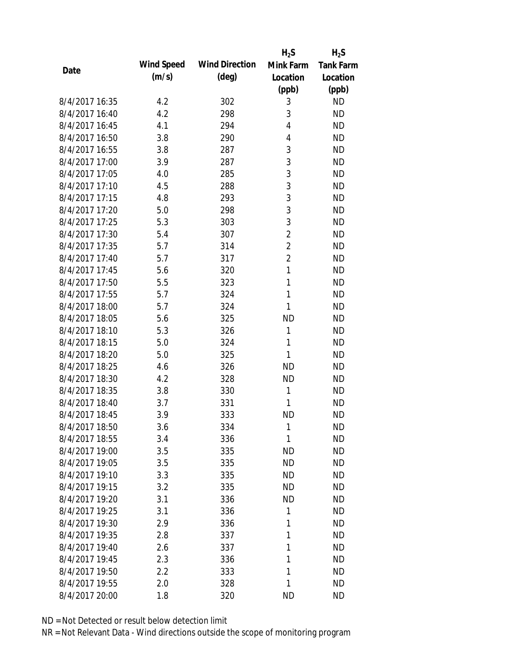|                |            |                       | $H_2S$         | $H_2S$           |
|----------------|------------|-----------------------|----------------|------------------|
| Date           | Wind Speed | <b>Wind Direction</b> | Mink Farm      | <b>Tank Farm</b> |
|                | (m/s)      | $(\text{deg})$        | Location       | Location         |
|                |            |                       | (ppb)          | (ppb)            |
| 8/4/2017 16:35 | 4.2        | 302                   | 3              | <b>ND</b>        |
| 8/4/2017 16:40 | 4.2        | 298                   | 3              | <b>ND</b>        |
| 8/4/2017 16:45 | 4.1        | 294                   | 4              | <b>ND</b>        |
| 8/4/2017 16:50 | 3.8        | 290                   | 4              | <b>ND</b>        |
| 8/4/2017 16:55 | 3.8        | 287                   | 3              | <b>ND</b>        |
| 8/4/2017 17:00 | 3.9        | 287                   | 3              | <b>ND</b>        |
| 8/4/2017 17:05 | 4.0        | 285                   | 3              | <b>ND</b>        |
| 8/4/2017 17:10 | 4.5        | 288                   | 3              | <b>ND</b>        |
| 8/4/2017 17:15 | 4.8        | 293                   | 3              | <b>ND</b>        |
| 8/4/2017 17:20 | 5.0        | 298                   | 3              | <b>ND</b>        |
| 8/4/2017 17:25 | 5.3        | 303                   | 3              | <b>ND</b>        |
| 8/4/2017 17:30 | 5.4        | 307                   | $\overline{2}$ | <b>ND</b>        |
| 8/4/2017 17:35 | 5.7        | 314                   | $\overline{2}$ | <b>ND</b>        |
| 8/4/2017 17:40 | 5.7        | 317                   | $\overline{2}$ | <b>ND</b>        |
| 8/4/2017 17:45 | 5.6        | 320                   | 1              | <b>ND</b>        |
| 8/4/2017 17:50 | 5.5        | 323                   | 1              | <b>ND</b>        |
| 8/4/2017 17:55 | 5.7        | 324                   | 1              | <b>ND</b>        |
| 8/4/2017 18:00 | 5.7        | 324                   | 1              | <b>ND</b>        |
| 8/4/2017 18:05 | 5.6        | 325                   | <b>ND</b>      | <b>ND</b>        |
| 8/4/2017 18:10 | 5.3        | 326                   | 1              | <b>ND</b>        |
| 8/4/2017 18:15 | 5.0        | 324                   | 1              | <b>ND</b>        |
| 8/4/2017 18:20 | 5.0        | 325                   | 1              | <b>ND</b>        |
| 8/4/2017 18:25 | 4.6        | 326                   | <b>ND</b>      | <b>ND</b>        |
| 8/4/2017 18:30 | 4.2        | 328                   | <b>ND</b>      | <b>ND</b>        |
| 8/4/2017 18:35 | 3.8        | 330                   | 1              | <b>ND</b>        |
| 8/4/2017 18:40 | 3.7        | 331                   | 1              | <b>ND</b>        |
| 8/4/2017 18:45 | 3.9        | 333                   | <b>ND</b>      | <b>ND</b>        |
| 8/4/2017 18:50 | 3.6        | 334                   | 1              | <b>ND</b>        |
| 8/4/2017 18:55 | 3.4        | 336                   | 1              | <b>ND</b>        |
| 8/4/2017 19:00 | 3.5        | 335                   | <b>ND</b>      | <b>ND</b>        |
| 8/4/2017 19:05 | 3.5        | 335                   | <b>ND</b>      | <b>ND</b>        |
| 8/4/2017 19:10 | 3.3        | 335                   | <b>ND</b>      | <b>ND</b>        |
| 8/4/2017 19:15 | 3.2        | 335                   | <b>ND</b>      | <b>ND</b>        |
| 8/4/2017 19:20 | 3.1        | 336                   | <b>ND</b>      | <b>ND</b>        |
| 8/4/2017 19:25 | 3.1        | 336                   | 1              | <b>ND</b>        |
| 8/4/2017 19:30 | 2.9        | 336                   | 1              | <b>ND</b>        |
| 8/4/2017 19:35 |            |                       | 1              | <b>ND</b>        |
| 8/4/2017 19:40 | 2.8        | 337<br>337            | 1              | <b>ND</b>        |
| 8/4/2017 19:45 | 2.6        |                       |                |                  |
|                | 2.3        | 336                   | 1<br>1         | <b>ND</b>        |
| 8/4/2017 19:50 | 2.2        | 333                   |                | <b>ND</b>        |
| 8/4/2017 19:55 | 2.0        | 328                   | 1              | <b>ND</b>        |
| 8/4/2017 20:00 | 1.8        | 320                   | <b>ND</b>      | <b>ND</b>        |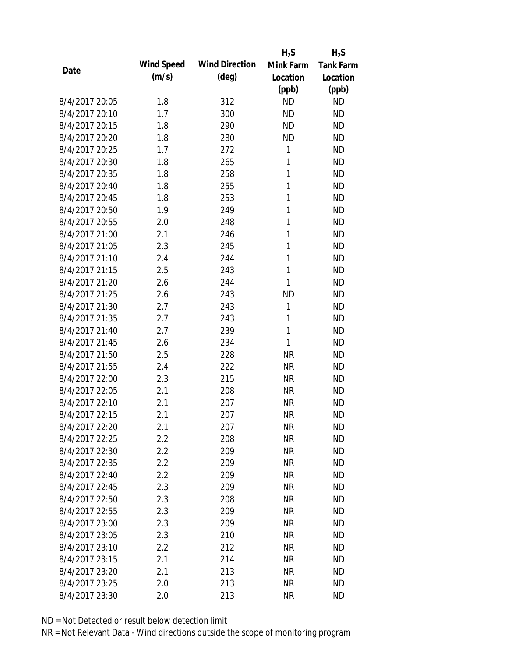|                |            |                       | $H_2S$    | $H_2S$           |
|----------------|------------|-----------------------|-----------|------------------|
| Date           | Wind Speed | <b>Wind Direction</b> | Mink Farm | <b>Tank Farm</b> |
|                | (m/s)      | $(\text{deg})$        | Location  | Location         |
|                |            |                       | (ppb)     | (ppb)            |
| 8/4/2017 20:05 | 1.8        | 312                   | <b>ND</b> | <b>ND</b>        |
| 8/4/2017 20:10 | 1.7        | 300                   | <b>ND</b> | <b>ND</b>        |
| 8/4/2017 20:15 | 1.8        | 290                   | <b>ND</b> | <b>ND</b>        |
| 8/4/2017 20:20 | 1.8        | 280                   | <b>ND</b> | <b>ND</b>        |
| 8/4/2017 20:25 | 1.7        | 272                   | 1         | <b>ND</b>        |
| 8/4/2017 20:30 | 1.8        | 265                   | 1         | <b>ND</b>        |
| 8/4/2017 20:35 | 1.8        | 258                   | 1         | <b>ND</b>        |
| 8/4/2017 20:40 | 1.8        | 255                   | 1         | <b>ND</b>        |
| 8/4/2017 20:45 | 1.8        | 253                   | 1         | <b>ND</b>        |
| 8/4/2017 20:50 | 1.9        | 249                   | 1         | <b>ND</b>        |
| 8/4/2017 20:55 | 2.0        | 248                   | 1         | <b>ND</b>        |
| 8/4/2017 21:00 | 2.1        | 246                   | 1         | <b>ND</b>        |
| 8/4/2017 21:05 | 2.3        | 245                   | 1         | <b>ND</b>        |
| 8/4/2017 21:10 | 2.4        | 244                   | 1         | <b>ND</b>        |
| 8/4/2017 21:15 | 2.5        | 243                   | 1         | <b>ND</b>        |
| 8/4/2017 21:20 | 2.6        | 244                   | 1         | <b>ND</b>        |
| 8/4/2017 21:25 | 2.6        | 243                   | <b>ND</b> | <b>ND</b>        |
| 8/4/2017 21:30 | 2.7        | 243                   | 1         | <b>ND</b>        |
| 8/4/2017 21:35 | 2.7        | 243                   | 1         | <b>ND</b>        |
| 8/4/2017 21:40 | 2.7        | 239                   | 1         | <b>ND</b>        |
| 8/4/2017 21:45 | 2.6        | 234                   | 1         | <b>ND</b>        |
| 8/4/2017 21:50 | 2.5        | 228                   | <b>NR</b> | <b>ND</b>        |
| 8/4/2017 21:55 | 2.4        | 222                   | <b>NR</b> | <b>ND</b>        |
| 8/4/2017 22:00 | 2.3        | 215                   | <b>NR</b> | <b>ND</b>        |
| 8/4/2017 22:05 | 2.1        | 208                   | <b>NR</b> | <b>ND</b>        |
| 8/4/2017 22:10 | 2.1        | 207                   | <b>NR</b> | <b>ND</b>        |
| 8/4/2017 22:15 | 2.1        | 207                   | <b>NR</b> | <b>ND</b>        |
| 8/4/2017 22:20 | 2.1        | 207                   | <b>NR</b> | <b>ND</b>        |
| 8/4/2017 22:25 | 2.2        | 208                   | <b>NR</b> | <b>ND</b>        |
| 8/4/2017 22:30 | 2.2        | 209                   | <b>NR</b> | <b>ND</b>        |
| 8/4/2017 22:35 | 2.2        | 209                   | <b>NR</b> | <b>ND</b>        |
| 8/4/2017 22:40 | 2.2        | 209                   | <b>NR</b> | <b>ND</b>        |
| 8/4/2017 22:45 | 2.3        | 209                   | <b>NR</b> | <b>ND</b>        |
| 8/4/2017 22:50 | 2.3        | 208                   | <b>NR</b> | <b>ND</b>        |
| 8/4/2017 22:55 | 2.3        | 209                   | <b>NR</b> | <b>ND</b>        |
| 8/4/2017 23:00 | 2.3        | 209                   | <b>NR</b> | <b>ND</b>        |
| 8/4/2017 23:05 | 2.3        | 210                   | <b>NR</b> | <b>ND</b>        |
| 8/4/2017 23:10 | 2.2        | 212                   | <b>NR</b> | <b>ND</b>        |
| 8/4/2017 23:15 | 2.1        | 214                   | <b>NR</b> | <b>ND</b>        |
| 8/4/2017 23:20 | 2.1        | 213                   | <b>NR</b> | <b>ND</b>        |
| 8/4/2017 23:25 | 2.0        | 213                   | <b>NR</b> | <b>ND</b>        |
| 8/4/2017 23:30 | 2.0        | 213                   | <b>NR</b> | <b>ND</b>        |
|                |            |                       |           |                  |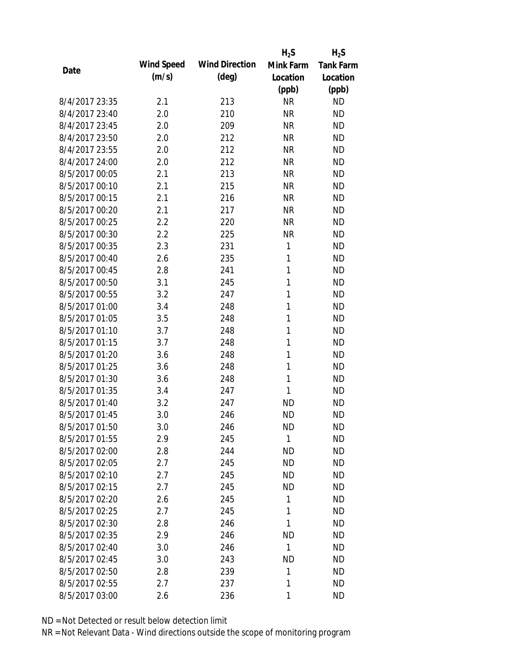|                |            |                       | $H_2S$       | $H_2S$           |
|----------------|------------|-----------------------|--------------|------------------|
| Date           | Wind Speed | <b>Wind Direction</b> | Mink Farm    | <b>Tank Farm</b> |
|                | (m/s)      | $(\text{deg})$        | Location     | Location         |
|                |            |                       | (ppb)        | (ppb)            |
| 8/4/2017 23:35 | 2.1        | 213                   | <b>NR</b>    | <b>ND</b>        |
| 8/4/2017 23:40 | 2.0        | 210                   | <b>NR</b>    | <b>ND</b>        |
| 8/4/2017 23:45 | 2.0        | 209                   | <b>NR</b>    | <b>ND</b>        |
| 8/4/2017 23:50 | 2.0        | 212                   | <b>NR</b>    | <b>ND</b>        |
| 8/4/2017 23:55 | 2.0        | 212                   | <b>NR</b>    | <b>ND</b>        |
| 8/4/2017 24:00 | 2.0        | 212                   | <b>NR</b>    | <b>ND</b>        |
| 8/5/2017 00:05 | 2.1        | 213                   | <b>NR</b>    | <b>ND</b>        |
| 8/5/2017 00:10 | 2.1        | 215                   | <b>NR</b>    | <b>ND</b>        |
| 8/5/2017 00:15 | 2.1        | 216                   | <b>NR</b>    | <b>ND</b>        |
| 8/5/2017 00:20 | 2.1        | 217                   | <b>NR</b>    | <b>ND</b>        |
| 8/5/2017 00:25 | 2.2        | 220                   | <b>NR</b>    | <b>ND</b>        |
| 8/5/2017 00:30 | 2.2        | 225                   | <b>NR</b>    | <b>ND</b>        |
| 8/5/2017 00:35 | 2.3        | 231                   | 1            | <b>ND</b>        |
| 8/5/2017 00:40 | 2.6        | 235                   | 1            | <b>ND</b>        |
| 8/5/2017 00:45 | 2.8        | 241                   | 1            | <b>ND</b>        |
| 8/5/2017 00:50 | 3.1        | 245                   | 1            | <b>ND</b>        |
| 8/5/2017 00:55 | 3.2        | 247                   | 1            | <b>ND</b>        |
| 8/5/2017 01:00 | 3.4        | 248                   | $\mathbf{1}$ | <b>ND</b>        |
| 8/5/2017 01:05 | 3.5        | 248                   | 1            | <b>ND</b>        |
| 8/5/2017 01:10 | 3.7        | 248                   | 1            | <b>ND</b>        |
| 8/5/2017 01:15 | 3.7        | 248                   | 1            | <b>ND</b>        |
| 8/5/2017 01:20 | 3.6        | 248                   | 1            | <b>ND</b>        |
| 8/5/2017 01:25 | 3.6        | 248                   | $\mathbf{1}$ | <b>ND</b>        |
| 8/5/2017 01:30 | 3.6        | 248                   | $\mathbf{1}$ | <b>ND</b>        |
| 8/5/2017 01:35 | 3.4        | 247                   | 1            | <b>ND</b>        |
| 8/5/2017 01:40 | 3.2        | 247                   | <b>ND</b>    | <b>ND</b>        |
| 8/5/2017 01:45 | 3.0        | 246                   | <b>ND</b>    | <b>ND</b>        |
| 8/5/2017 01:50 | 3.0        | 246                   | <b>ND</b>    | <b>ND</b>        |
| 8/5/2017 01:55 | 2.9        | 245                   | 1            | <b>ND</b>        |
| 8/5/2017 02:00 | 2.8        | 244                   | <b>ND</b>    | <b>ND</b>        |
| 8/5/2017 02:05 | 2.7        | 245                   | <b>ND</b>    | <b>ND</b>        |
| 8/5/2017 02:10 | 2.7        | 245                   | <b>ND</b>    | <b>ND</b>        |
| 8/5/2017 02:15 | 2.7        | 245                   | <b>ND</b>    | <b>ND</b>        |
| 8/5/2017 02:20 | 2.6        | 245                   | 1            | <b>ND</b>        |
| 8/5/2017 02:25 | 2.7        | 245                   | 1            | <b>ND</b>        |
| 8/5/2017 02:30 | 2.8        | 246                   | 1            | <b>ND</b>        |
| 8/5/2017 02:35 | 2.9        | 246                   | <b>ND</b>    | <b>ND</b>        |
| 8/5/2017 02:40 | 3.0        | 246                   | 1            | <b>ND</b>        |
| 8/5/2017 02:45 | 3.0        | 243                   | <b>ND</b>    | <b>ND</b>        |
| 8/5/2017 02:50 | 2.8        | 239                   | 1            | <b>ND</b>        |
| 8/5/2017 02:55 | 2.7        | 237                   | 1            | <b>ND</b>        |
| 8/5/2017 03:00 | 2.6        | 236                   | 1            | <b>ND</b>        |
|                |            |                       |              |                  |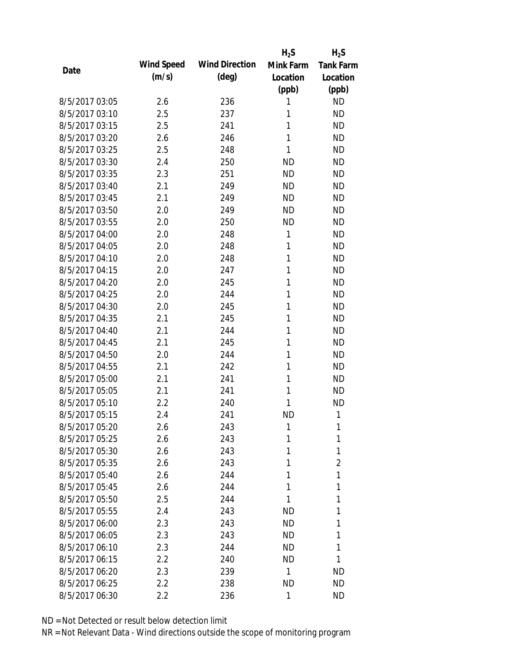|                |            |                       | $H_2S$    | $H_2S$           |
|----------------|------------|-----------------------|-----------|------------------|
| Date           | Wind Speed | <b>Wind Direction</b> | Mink Farm | <b>Tank Farm</b> |
|                | (m/s)      | $(\text{deg})$        | Location  | Location         |
|                |            |                       | (ppb)     | (ppb)            |
| 8/5/2017 03:05 | 2.6        | 236                   | 1         | <b>ND</b>        |
| 8/5/2017 03:10 | 2.5        | 237                   | 1         | <b>ND</b>        |
| 8/5/2017 03:15 | 2.5        | 241                   | 1         | <b>ND</b>        |
| 8/5/2017 03:20 | 2.6        | 246                   | 1         | <b>ND</b>        |
| 8/5/2017 03:25 | 2.5        | 248                   | 1         | <b>ND</b>        |
| 8/5/2017 03:30 | 2.4        | 250                   | <b>ND</b> | <b>ND</b>        |
| 8/5/2017 03:35 | 2.3        | 251                   | <b>ND</b> | <b>ND</b>        |
| 8/5/2017 03:40 | 2.1        | 249                   | <b>ND</b> | <b>ND</b>        |
| 8/5/2017 03:45 | 2.1        | 249                   | <b>ND</b> | <b>ND</b>        |
| 8/5/2017 03:50 | 2.0        | 249                   | <b>ND</b> | <b>ND</b>        |
| 8/5/2017 03:55 | 2.0        | 250                   | <b>ND</b> | <b>ND</b>        |
| 8/5/2017 04:00 | 2.0        | 248                   | 1         | <b>ND</b>        |
| 8/5/2017 04:05 | 2.0        | 248                   | 1         | <b>ND</b>        |
| 8/5/2017 04:10 | 2.0        | 248                   | 1         | <b>ND</b>        |
| 8/5/2017 04:15 | 2.0        | 247                   | 1         | <b>ND</b>        |
| 8/5/2017 04:20 | 2.0        | 245                   | 1         | <b>ND</b>        |
| 8/5/2017 04:25 | 2.0        | 244                   | 1         | <b>ND</b>        |
| 8/5/2017 04:30 | 2.0        | 245                   | 1         | <b>ND</b>        |
| 8/5/2017 04:35 | 2.1        | 245                   | 1         | <b>ND</b>        |
| 8/5/2017 04:40 | 2.1        | 244                   | 1         | <b>ND</b>        |
| 8/5/2017 04:45 | 2.1        | 245                   | 1         | <b>ND</b>        |
| 8/5/2017 04:50 | 2.0        | 244                   | 1         | <b>ND</b>        |
| 8/5/2017 04:55 | 2.1        | 242                   | 1         | <b>ND</b>        |
| 8/5/2017 05:00 | 2.1        | 241                   | 1         | <b>ND</b>        |
| 8/5/2017 05:05 | 2.1        | 241                   | 1         | <b>ND</b>        |
| 8/5/2017 05:10 | 2.2        | 240                   | 1         | <b>ND</b>        |
| 8/5/2017 05:15 | 2.4        | 241                   | <b>ND</b> | 1                |
| 8/5/2017 05:20 | 2.6        | 243                   | 1         | 1                |
| 8/5/2017 05:25 | 2.6        | 243                   | 1         | 1                |
| 8/5/2017 05:30 | 2.6        | 243                   | 1         | 1                |
| 8/5/2017 05:35 | 2.6        | 243                   | 1         | $\overline{2}$   |
| 8/5/2017 05:40 | 2.6        | 244                   | 1         | 1                |
| 8/5/2017 05:45 | 2.6        | 244                   | 1         | 1                |
| 8/5/2017 05:50 | 2.5        | 244                   | 1         | 1                |
| 8/5/2017 05:55 | 2.4        | 243                   | ND        | 1                |
| 8/5/2017 06:00 | 2.3        | 243                   | ND.       | 1                |
| 8/5/2017 06:05 | 2.3        | 243                   | <b>ND</b> | 1                |
| 8/5/2017 06:10 | 2.3        | 244                   | <b>ND</b> | 1                |
| 8/5/2017 06:15 | 2.2        | 240                   | <b>ND</b> | 1                |
| 8/5/2017 06:20 | 2.3        | 239                   | 1         | <b>ND</b>        |
| 8/5/2017 06:25 | $2.2\,$    | 238                   | <b>ND</b> | <b>ND</b>        |
| 8/5/2017 06:30 | 2.2        | 236                   | 1         | <b>ND</b>        |
|                |            |                       |           |                  |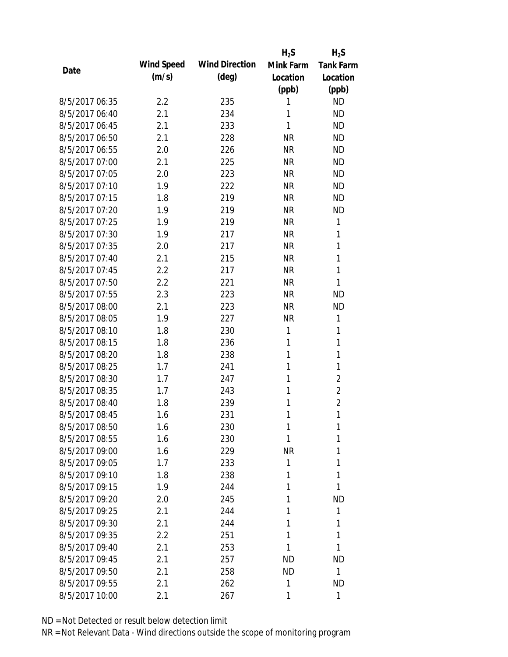|                |            |                       | $H_2S$       | $H_2S$           |
|----------------|------------|-----------------------|--------------|------------------|
| Date           | Wind Speed | <b>Wind Direction</b> | Mink Farm    | <b>Tank Farm</b> |
|                | (m/s)      | $(\text{deg})$        | Location     | Location         |
|                |            |                       | (ppb)        | (ppb)            |
| 8/5/2017 06:35 | 2.2        | 235                   | 1            | <b>ND</b>        |
| 8/5/2017 06:40 | 2.1        | 234                   | 1            | <b>ND</b>        |
| 8/5/2017 06:45 | 2.1        | 233                   | 1            | <b>ND</b>        |
| 8/5/2017 06:50 | 2.1        | 228                   | <b>NR</b>    | <b>ND</b>        |
| 8/5/2017 06:55 | 2.0        | 226                   | <b>NR</b>    | <b>ND</b>        |
| 8/5/2017 07:00 | 2.1        | 225                   | <b>NR</b>    | <b>ND</b>        |
| 8/5/2017 07:05 | 2.0        | 223                   | <b>NR</b>    | <b>ND</b>        |
| 8/5/2017 07:10 | 1.9        | 222                   | <b>NR</b>    | <b>ND</b>        |
| 8/5/2017 07:15 | 1.8        | 219                   | <b>NR</b>    | <b>ND</b>        |
| 8/5/2017 07:20 | 1.9        | 219                   | <b>NR</b>    | <b>ND</b>        |
| 8/5/2017 07:25 | 1.9        | 219                   | <b>NR</b>    | 1                |
| 8/5/2017 07:30 | 1.9        | 217                   | <b>NR</b>    | 1                |
| 8/5/2017 07:35 | 2.0        | 217                   | <b>NR</b>    | 1                |
| 8/5/2017 07:40 | 2.1        | 215                   | <b>NR</b>    | 1                |
| 8/5/2017 07:45 | 2.2        | 217                   | <b>NR</b>    | 1                |
| 8/5/2017 07:50 | 2.2        | 221                   | <b>NR</b>    | 1                |
| 8/5/2017 07:55 | 2.3        | 223                   | <b>NR</b>    | <b>ND</b>        |
| 8/5/2017 08:00 | 2.1        | 223                   | <b>NR</b>    | <b>ND</b>        |
| 8/5/2017 08:05 | 1.9        | 227                   | <b>NR</b>    | 1                |
| 8/5/2017 08:10 | 1.8        | 230                   | 1            | 1                |
| 8/5/2017 08:15 | 1.8        | 236                   | 1            | 1                |
| 8/5/2017 08:20 | 1.8        | 238                   | 1            | 1                |
| 8/5/2017 08:25 | 1.7        | 241                   | 1            | 1                |
| 8/5/2017 08:30 | 1.7        | 247                   | 1            | $\overline{2}$   |
| 8/5/2017 08:35 | 1.7        | 243                   | 1            | $\overline{2}$   |
| 8/5/2017 08:40 | 1.8        | 239                   | 1            | $\overline{c}$   |
| 8/5/2017 08:45 | 1.6        | 231                   | 1            | 1                |
| 8/5/2017 08:50 | 1.6        | 230                   | 1            | 1                |
| 8/5/2017 08:55 | 1.6        | 230                   | 1            | 1                |
| 8/5/2017 09:00 | 1.6        | 229                   | <b>NR</b>    | 1                |
| 8/5/2017 09:05 | 1.7        | 233                   | 1            | 1                |
| 8/5/2017 09:10 | 1.8        | 238                   | 1            | 1                |
| 8/5/2017 09:15 | 1.9        | 244                   | 1            | 1                |
| 8/5/2017 09:20 | 2.0        | 245                   | 1            | <b>ND</b>        |
| 8/5/2017 09:25 | 2.1        | 244                   | 1            | 1                |
| 8/5/2017 09:30 | 2.1        | 244                   | 1            | 1                |
| 8/5/2017 09:35 | 2.2        | 251                   | 1            | 1                |
| 8/5/2017 09:40 | 2.1        | 253                   | 1            | 1                |
| 8/5/2017 09:45 | 2.1        | 257                   | <b>ND</b>    | <b>ND</b>        |
| 8/5/2017 09:50 | 2.1        | 258                   | <b>ND</b>    | 1                |
| 8/5/2017 09:55 | 2.1        | 262                   | $\mathbf{1}$ | <b>ND</b>        |
| 8/5/2017 10:00 | 2.1        | 267                   | 1            | 1                |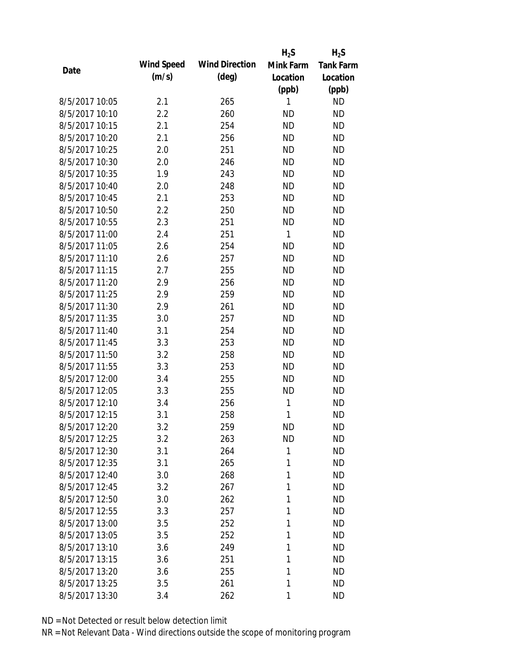|                |            |                       | $H_2S$       | $H_2S$           |
|----------------|------------|-----------------------|--------------|------------------|
| Date           | Wind Speed | <b>Wind Direction</b> | Mink Farm    | <b>Tank Farm</b> |
|                | (m/s)      | $(\text{deg})$        | Location     | Location         |
|                |            |                       | (ppb)        | (ppb)            |
| 8/5/2017 10:05 | 2.1        | 265                   | 1            | <b>ND</b>        |
| 8/5/2017 10:10 | 2.2        | 260                   | <b>ND</b>    | <b>ND</b>        |
| 8/5/2017 10:15 | 2.1        | 254                   | <b>ND</b>    | <b>ND</b>        |
| 8/5/2017 10:20 | 2.1        | 256                   | <b>ND</b>    | <b>ND</b>        |
| 8/5/2017 10:25 | 2.0        | 251                   | <b>ND</b>    | <b>ND</b>        |
| 8/5/2017 10:30 | 2.0        | 246                   | <b>ND</b>    | <b>ND</b>        |
| 8/5/2017 10:35 | 1.9        | 243                   | <b>ND</b>    | <b>ND</b>        |
| 8/5/2017 10:40 | 2.0        | 248                   | <b>ND</b>    | <b>ND</b>        |
| 8/5/2017 10:45 | 2.1        | 253                   | <b>ND</b>    | <b>ND</b>        |
| 8/5/2017 10:50 | 2.2        | 250                   | <b>ND</b>    | <b>ND</b>        |
| 8/5/2017 10:55 | 2.3        | 251                   | <b>ND</b>    | <b>ND</b>        |
| 8/5/2017 11:00 | 2.4        | 251                   | $\mathbf{1}$ | <b>ND</b>        |
| 8/5/2017 11:05 | 2.6        | 254                   | <b>ND</b>    | <b>ND</b>        |
| 8/5/2017 11:10 | 2.6        | 257                   | <b>ND</b>    | <b>ND</b>        |
| 8/5/2017 11:15 | 2.7        | 255                   | <b>ND</b>    | <b>ND</b>        |
| 8/5/2017 11:20 | 2.9        | 256                   | <b>ND</b>    | <b>ND</b>        |
| 8/5/2017 11:25 | 2.9        | 259                   | <b>ND</b>    | <b>ND</b>        |
| 8/5/2017 11:30 | 2.9        | 261                   | <b>ND</b>    | <b>ND</b>        |
| 8/5/2017 11:35 | 3.0        | 257                   | <b>ND</b>    | <b>ND</b>        |
| 8/5/2017 11:40 | 3.1        | 254                   | <b>ND</b>    | <b>ND</b>        |
| 8/5/2017 11:45 | 3.3        | 253                   | <b>ND</b>    | <b>ND</b>        |
| 8/5/2017 11:50 | 3.2        | 258                   | <b>ND</b>    | <b>ND</b>        |
| 8/5/2017 11:55 | 3.3        | 253                   | <b>ND</b>    | <b>ND</b>        |
| 8/5/2017 12:00 | 3.4        | 255                   | <b>ND</b>    | <b>ND</b>        |
| 8/5/2017 12:05 | 3.3        | 255                   | <b>ND</b>    | <b>ND</b>        |
| 8/5/2017 12:10 | 3.4        | 256                   | 1            | <b>ND</b>        |
| 8/5/2017 12:15 | 3.1        | 258                   | 1            | <b>ND</b>        |
| 8/5/2017 12:20 | 3.2        | 259                   | <b>ND</b>    | <b>ND</b>        |
| 8/5/2017 12:25 | 3.2        | 263                   | <b>ND</b>    | <b>ND</b>        |
| 8/5/2017 12:30 | 3.1        | 264                   | 1            | <b>ND</b>        |
| 8/5/2017 12:35 | 3.1        | 265                   | 1            | <b>ND</b>        |
| 8/5/2017 12:40 | 3.0        | 268                   | 1            | <b>ND</b>        |
| 8/5/2017 12:45 | 3.2        | 267                   | 1            | <b>ND</b>        |
| 8/5/2017 12:50 | 3.0        | 262                   | 1            | <b>ND</b>        |
| 8/5/2017 12:55 | 3.3        | 257                   | 1            | <b>ND</b>        |
| 8/5/2017 13:00 | 3.5        | 252                   | 1            | <b>ND</b>        |
| 8/5/2017 13:05 | 3.5        | 252                   | 1            | <b>ND</b>        |
| 8/5/2017 13:10 | 3.6        | 249                   | 1            | <b>ND</b>        |
| 8/5/2017 13:15 | 3.6        | 251                   | 1            | <b>ND</b>        |
| 8/5/2017 13:20 | 3.6        | 255                   | 1            | <b>ND</b>        |
| 8/5/2017 13:25 | 3.5        | 261                   | 1            | <b>ND</b>        |
| 8/5/2017 13:30 | 3.4        | 262                   | 1            | <b>ND</b>        |
|                |            |                       |              |                  |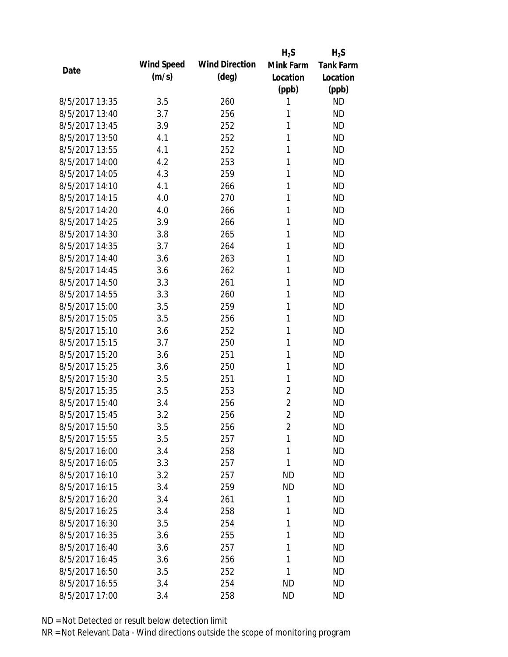|                |            |                       | $H_2S$         | $H_2S$           |
|----------------|------------|-----------------------|----------------|------------------|
| Date           | Wind Speed | <b>Wind Direction</b> | Mink Farm      | <b>Tank Farm</b> |
|                | (m/s)      | $(\text{deg})$        | Location       | Location         |
|                |            |                       | (ppb)          | (ppb)            |
| 8/5/2017 13:35 | 3.5        | 260                   | 1              | <b>ND</b>        |
| 8/5/2017 13:40 | 3.7        | 256                   | 1              | <b>ND</b>        |
| 8/5/2017 13:45 | 3.9        | 252                   | 1              | <b>ND</b>        |
| 8/5/2017 13:50 | 4.1        | 252                   | 1              | <b>ND</b>        |
| 8/5/2017 13:55 | 4.1        | 252                   | 1              | <b>ND</b>        |
| 8/5/2017 14:00 | 4.2        | 253                   | 1              | <b>ND</b>        |
| 8/5/2017 14:05 | 4.3        | 259                   | 1              | <b>ND</b>        |
| 8/5/2017 14:10 | 4.1        | 266                   | 1              | <b>ND</b>        |
| 8/5/2017 14:15 | 4.0        | 270                   | 1              | <b>ND</b>        |
| 8/5/2017 14:20 | 4.0        | 266                   | 1              | <b>ND</b>        |
| 8/5/2017 14:25 | 3.9        | 266                   | 1              | <b>ND</b>        |
| 8/5/2017 14:30 | 3.8        | 265                   | 1              | <b>ND</b>        |
| 8/5/2017 14:35 | 3.7        | 264                   | 1              | <b>ND</b>        |
| 8/5/2017 14:40 | 3.6        | 263                   | 1              | <b>ND</b>        |
| 8/5/2017 14:45 | 3.6        | 262                   | 1              | <b>ND</b>        |
| 8/5/2017 14:50 | 3.3        | 261                   | 1              | <b>ND</b>        |
| 8/5/2017 14:55 | 3.3        | 260                   | 1              | <b>ND</b>        |
| 8/5/2017 15:00 | 3.5        | 259                   | 1              | <b>ND</b>        |
| 8/5/2017 15:05 | 3.5        | 256                   | 1              | <b>ND</b>        |
| 8/5/2017 15:10 | 3.6        | 252                   | 1              | <b>ND</b>        |
| 8/5/2017 15:15 | 3.7        | 250                   | 1              | <b>ND</b>        |
| 8/5/2017 15:20 | 3.6        | 251                   | 1              | <b>ND</b>        |
| 8/5/2017 15:25 | 3.6        | 250                   | 1              | <b>ND</b>        |
| 8/5/2017 15:30 | 3.5        | 251                   | 1              | <b>ND</b>        |
| 8/5/2017 15:35 | 3.5        | 253                   | $\overline{2}$ | <b>ND</b>        |
| 8/5/2017 15:40 | 3.4        | 256                   | $\overline{2}$ | <b>ND</b>        |
| 8/5/2017 15:45 | 3.2        | 256                   | $\overline{2}$ | <b>ND</b>        |
| 8/5/2017 15:50 | 3.5        | 256                   | $\overline{2}$ | <b>ND</b>        |
| 8/5/2017 15:55 | 3.5        | 257                   | 1              | <b>ND</b>        |
| 8/5/2017 16:00 | 3.4        | 258                   | 1              | <b>ND</b>        |
| 8/5/2017 16:05 | 3.3        | 257                   | 1              | <b>ND</b>        |
| 8/5/2017 16:10 | 3.2        | 257                   | <b>ND</b>      | <b>ND</b>        |
| 8/5/2017 16:15 | 3.4        | 259                   | <b>ND</b>      | <b>ND</b>        |
| 8/5/2017 16:20 | 3.4        | 261                   | 1              | <b>ND</b>        |
| 8/5/2017 16:25 | 3.4        | 258                   | 1              | <b>ND</b>        |
| 8/5/2017 16:30 | 3.5        | 254                   | 1              | <b>ND</b>        |
| 8/5/2017 16:35 | 3.6        | 255                   | 1              | <b>ND</b>        |
| 8/5/2017 16:40 | 3.6        | 257                   | 1              | <b>ND</b>        |
| 8/5/2017 16:45 | 3.6        | 256                   | 1              | <b>ND</b>        |
| 8/5/2017 16:50 | 3.5        | 252                   | 1              | <b>ND</b>        |
| 8/5/2017 16:55 | 3.4        | 254                   | <b>ND</b>      | <b>ND</b>        |
| 8/5/2017 17:00 | 3.4        | 258                   | <b>ND</b>      | <b>ND</b>        |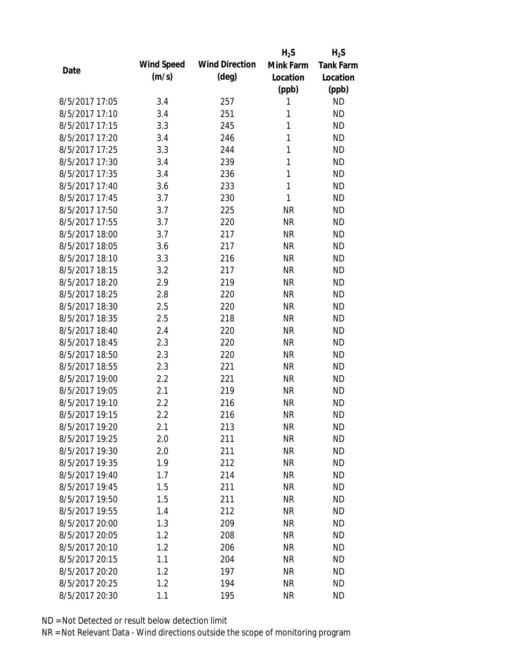|                |            |                       | $H_2S$    | $H_2S$           |
|----------------|------------|-----------------------|-----------|------------------|
| Date           | Wind Speed | <b>Wind Direction</b> | Mink Farm | <b>Tank Farm</b> |
|                | (m/s)      | $(\text{deg})$        | Location  | Location         |
|                |            |                       | (ppb)     | (ppb)            |
| 8/5/2017 17:05 | 3.4        | 257                   | 1         | <b>ND</b>        |
| 8/5/2017 17:10 | 3.4        | 251                   | 1         | <b>ND</b>        |
| 8/5/2017 17:15 | 3.3        | 245                   | 1         | <b>ND</b>        |
| 8/5/2017 17:20 | 3.4        | 246                   | 1         | <b>ND</b>        |
| 8/5/2017 17:25 | 3.3        | 244                   | 1         | <b>ND</b>        |
| 8/5/2017 17:30 | 3.4        | 239                   | 1         | <b>ND</b>        |
| 8/5/2017 17:35 | 3.4        | 236                   | 1         | <b>ND</b>        |
| 8/5/2017 17:40 | 3.6        | 233                   | 1         | <b>ND</b>        |
| 8/5/2017 17:45 | 3.7        | 230                   | 1         | <b>ND</b>        |
| 8/5/2017 17:50 | 3.7        | 225                   | <b>NR</b> | <b>ND</b>        |
| 8/5/2017 17:55 | 3.7        | 220                   | <b>NR</b> | <b>ND</b>        |
| 8/5/2017 18:00 | 3.7        | 217                   | <b>NR</b> | <b>ND</b>        |
| 8/5/2017 18:05 | 3.6        | 217                   | <b>NR</b> | <b>ND</b>        |
| 8/5/2017 18:10 | 3.3        | 216                   | <b>NR</b> | <b>ND</b>        |
| 8/5/2017 18:15 | 3.2        | 217                   | <b>NR</b> | <b>ND</b>        |
| 8/5/2017 18:20 | 2.9        | 219                   | <b>NR</b> | <b>ND</b>        |
| 8/5/2017 18:25 | 2.8        | 220                   | <b>NR</b> | <b>ND</b>        |
| 8/5/2017 18:30 | 2.5        | 220                   | <b>NR</b> | <b>ND</b>        |
| 8/5/2017 18:35 | 2.5        | 218                   | <b>NR</b> | <b>ND</b>        |
| 8/5/2017 18:40 | 2.4        | 220                   | <b>NR</b> | <b>ND</b>        |
| 8/5/2017 18:45 | 2.3        | 220                   | <b>NR</b> | <b>ND</b>        |
| 8/5/2017 18:50 | 2.3        | 220                   | <b>NR</b> | <b>ND</b>        |
| 8/5/2017 18:55 | 2.3        | 221                   | <b>NR</b> | <b>ND</b>        |
| 8/5/2017 19:00 | 2.2        | 221                   | <b>NR</b> | <b>ND</b>        |
| 8/5/2017 19:05 | 2.1        | 219                   | <b>NR</b> | <b>ND</b>        |
| 8/5/2017 19:10 | 2.2        | 216                   | <b>NR</b> | <b>ND</b>        |
| 8/5/2017 19:15 | 2.2        | 216                   | <b>NR</b> | <b>ND</b>        |
| 8/5/2017 19:20 | 2.1        | 213                   | <b>NR</b> | <b>ND</b>        |
| 8/5/2017 19:25 | 2.0        | 211                   | <b>NR</b> | <b>ND</b>        |
| 8/5/2017 19:30 | 2.0        | 211                   | <b>NR</b> | <b>ND</b>        |
| 8/5/2017 19:35 | 1.9        | 212                   | <b>NR</b> | <b>ND</b>        |
| 8/5/2017 19:40 | 1.7        | 214                   | <b>NR</b> | <b>ND</b>        |
| 8/5/2017 19:45 | 1.5        | 211                   | <b>NR</b> | <b>ND</b>        |
| 8/5/2017 19:50 | 1.5        | 211                   | <b>NR</b> | <b>ND</b>        |
| 8/5/2017 19:55 | 1.4        | 212                   | <b>NR</b> | <b>ND</b>        |
| 8/5/2017 20:00 | 1.3        | 209                   | <b>NR</b> | <b>ND</b>        |
| 8/5/2017 20:05 | 1.2        | 208                   | <b>NR</b> | <b>ND</b>        |
| 8/5/2017 20:10 | 1.2        | 206                   | <b>NR</b> | <b>ND</b>        |
| 8/5/2017 20:15 | 1.1        | 204                   | <b>NR</b> | <b>ND</b>        |
| 8/5/2017 20:20 | 1.2        | 197                   | <b>NR</b> | <b>ND</b>        |
| 8/5/2017 20:25 | 1.2        | 194                   | <b>NR</b> | <b>ND</b>        |
| 8/5/2017 20:30 | 1.1        | 195                   | <b>NR</b> | <b>ND</b>        |